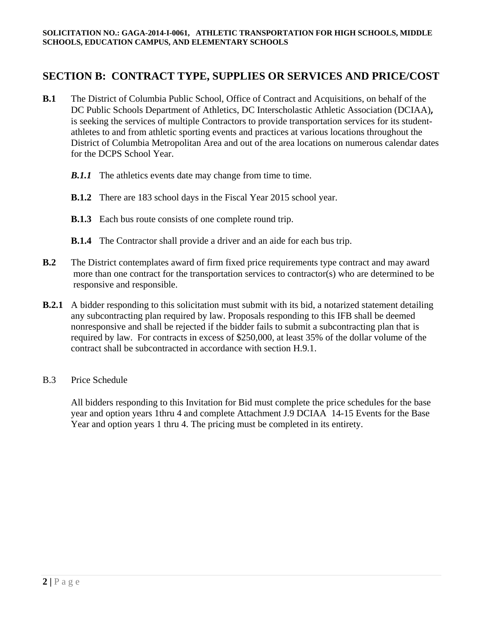# **SECTION B: CONTRACT TYPE, SUPPLIES OR SERVICES AND PRICE/COST**

- **B.1** The District of Columbia Public School, Office of Contract and Acquisitions, on behalf of the DC Public Schools Department of Athletics, DC Interscholastic Athletic Association (DCIAA)**,**  is seeking the services of multiple Contractors to provide transportation services for its studentathletes to and from athletic sporting events and practices at various locations throughout the District of Columbia Metropolitan Area and out of the area locations on numerous calendar dates for the DCPS School Year.
	- *B.1.1* The athletics events date may change from time to time.
	- **B.1.2** There are 183 school days in the Fiscal Year 2015 school year.
	- **B.1.3** Each bus route consists of one complete round trip.
	- **B.1.4** The Contractor shall provide a driver and an aide for each bus trip.
- **B.2** The District contemplates award of firm fixed price requirements type contract and may award more than one contract for the transportation services to contractor(s) who are determined to be responsive and responsible.
- **B.2.1** A bidder responding to this solicitation must submit with its bid, a notarized statement detailing any subcontracting plan required by law. Proposals responding to this IFB shall be deemed nonresponsive and shall be rejected if the bidder fails to submit a subcontracting plan that is required by law. For contracts in excess of \$250,000, at least 35% of the dollar volume of the contract shall be subcontracted in accordance with section H.9.1.
- B.3 Price Schedule

All bidders responding to this Invitation for Bid must complete the price schedules for the base year and option years 1thru 4 and complete Attachment J.9 DCIAA 14-15 Events for the Base Year and option years 1 thru 4. The pricing must be completed in its entirety.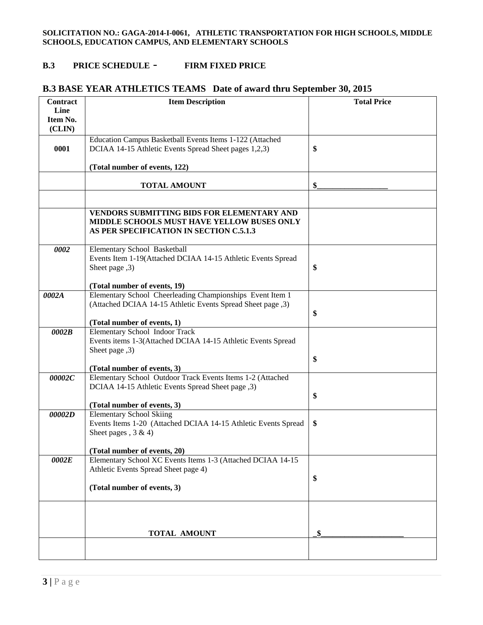#### **B.3 PRICE SCHEDULE** - **FIRM FIXED PRICE**

| <b>Contract</b> | <b>Item Description</b>                                                                           | <b>Total Price</b> |
|-----------------|---------------------------------------------------------------------------------------------------|--------------------|
| Line            |                                                                                                   |                    |
| Item No.        |                                                                                                   |                    |
| (CLIN)          |                                                                                                   |                    |
|                 | Education Campus Basketball Events Items 1-122 (Attached                                          |                    |
| 0001            | DCIAA 14-15 Athletic Events Spread Sheet pages 1,2,3)                                             | \$                 |
|                 |                                                                                                   |                    |
|                 | (Total number of events, 122)                                                                     |                    |
|                 |                                                                                                   |                    |
|                 | <b>TOTAL AMOUNT</b>                                                                               | \$                 |
|                 |                                                                                                   |                    |
|                 | VENDORS SUBMITTING BIDS FOR ELEMENTARY AND                                                        |                    |
|                 | MIDDLE SCHOOLS MUST HAVE YELLOW BUSES ONLY                                                        |                    |
|                 | AS PER SPECIFICATION IN SECTION C.5.1.3                                                           |                    |
|                 |                                                                                                   |                    |
| 0002            | Elementary School Basketball                                                                      |                    |
|                 | Events Item 1-19(Attached DCIAA 14-15 Athletic Events Spread                                      |                    |
|                 | Sheet page ,3)                                                                                    | \$                 |
|                 |                                                                                                   |                    |
|                 | (Total number of events, 19)                                                                      |                    |
| 0002A           | Elementary School Cheerleading Championships Event Item 1                                         |                    |
|                 | (Attached DCIAA 14-15 Athletic Events Spread Sheet page ,3)                                       |                    |
|                 |                                                                                                   | \$                 |
|                 | (Total number of events, 1)                                                                       |                    |
| 0002B           | <b>Elementary School Indoor Track</b>                                                             |                    |
|                 | Events items 1-3(Attached DCIAA 14-15 Athletic Events Spread                                      |                    |
|                 | Sheet page ,3)                                                                                    |                    |
|                 |                                                                                                   | \$                 |
|                 | (Total number of events, 3)                                                                       |                    |
| 00002C          | Elementary School Outdoor Track Events Items 1-2 (Attached                                        |                    |
|                 | DCIAA 14-15 Athletic Events Spread Sheet page , 3)                                                |                    |
|                 |                                                                                                   | \$                 |
|                 | (Total number of events, 3)                                                                       |                    |
| 00002D          | <b>Elementary School Skiing</b><br>Events Items 1-20 (Attached DCIAA 14-15 Athletic Events Spread | \$                 |
|                 | Sheet pages, $3 & 4$ )                                                                            |                    |
|                 |                                                                                                   |                    |
|                 | (Total number of events, 20)                                                                      |                    |
| 0002E           | Elementary School XC Events Items 1-3 (Attached DCIAA 14-15                                       |                    |
|                 | Athletic Events Spread Sheet page 4)                                                              |                    |
|                 |                                                                                                   | \$                 |
|                 | (Total number of events, 3)                                                                       |                    |
|                 |                                                                                                   |                    |
|                 |                                                                                                   |                    |
|                 |                                                                                                   |                    |
|                 |                                                                                                   |                    |
|                 | <b>TOTAL AMOUNT</b>                                                                               | \$                 |
|                 |                                                                                                   |                    |
|                 |                                                                                                   |                    |

## **B.3 BASE YEAR ATHLETICS TEAMS Date of award thru September 30, 2015**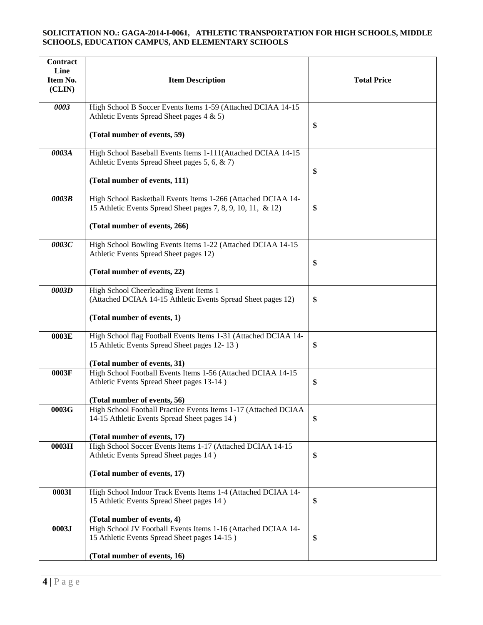| <b>Contract</b><br>Line<br>Item No.<br>(CLIN) | <b>Item Description</b>                                                                                                       | <b>Total Price</b> |
|-----------------------------------------------|-------------------------------------------------------------------------------------------------------------------------------|--------------------|
| 0003                                          | High School B Soccer Events Items 1-59 (Attached DCIAA 14-15<br>Athletic Events Spread Sheet pages $4 \& 5$ )                 | \$                 |
|                                               | (Total number of events, 59)                                                                                                  |                    |
| 0003A                                         | High School Baseball Events Items 1-111(Attached DCIAA 14-15<br>Athletic Events Spread Sheet pages 5, 6, & 7)                 | \$                 |
|                                               | (Total number of events, 111)                                                                                                 |                    |
| 0003B                                         | High School Basketball Events Items 1-266 (Attached DCIAA 14-<br>15 Athletic Events Spread Sheet pages 7, 8, 9, 10, 11, & 12) | \$                 |
|                                               | (Total number of events, 266)                                                                                                 |                    |
| 0003C                                         | High School Bowling Events Items 1-22 (Attached DCIAA 14-15<br>Athletic Events Spread Sheet pages 12)                         |                    |
|                                               | (Total number of events, 22)                                                                                                  | \$                 |
| 0003D                                         | High School Cheerleading Event Items 1<br>(Attached DCIAA 14-15 Athletic Events Spread Sheet pages 12)                        | \$                 |
|                                               | (Total number of events, 1)                                                                                                   |                    |
| 0003E                                         | High School flag Football Events Items 1-31 (Attached DCIAA 14-<br>15 Athletic Events Spread Sheet pages 12-13)               | \$                 |
|                                               | (Total number of events, 31)                                                                                                  |                    |
| 0003F                                         | High School Football Events Items 1-56 (Attached DCIAA 14-15<br>Athletic Events Spread Sheet pages 13-14)                     | \$                 |
|                                               | (Total number of events, 56)                                                                                                  |                    |
| 0003G                                         | High School Football Practice Events Items 1-17 (Attached DCIAA<br>14-15 Athletic Events Spread Sheet pages 14)               | \$                 |
|                                               | (Total number of events, 17)                                                                                                  |                    |
| 0003H                                         | High School Soccer Events Items 1-17 (Attached DCIAA 14-15<br>Athletic Events Spread Sheet pages 14)                          | \$                 |
|                                               | (Total number of events, 17)                                                                                                  |                    |
| 0003I                                         | High School Indoor Track Events Items 1-4 (Attached DCIAA 14-<br>15 Athletic Events Spread Sheet pages 14)                    | \$                 |
|                                               | (Total number of events, 4)                                                                                                   |                    |
| 0003J                                         | High School JV Football Events Items 1-16 (Attached DCIAA 14-<br>15 Athletic Events Spread Sheet pages 14-15)                 | \$                 |
|                                               | (Total number of events, 16)                                                                                                  |                    |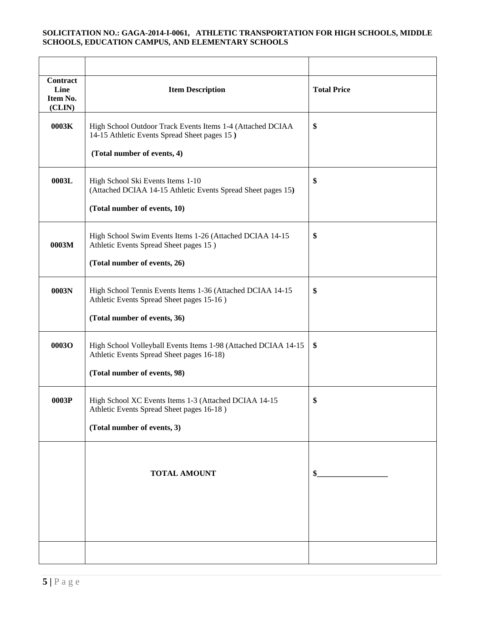| <b>Contract</b><br>Line<br>Item No.<br>(CLIN) | <b>Item Description</b>                                                                                                                   | <b>Total Price</b> |
|-----------------------------------------------|-------------------------------------------------------------------------------------------------------------------------------------------|--------------------|
| 0003K                                         | High School Outdoor Track Events Items 1-4 (Attached DCIAA<br>14-15 Athletic Events Spread Sheet pages 15)<br>(Total number of events, 4) | \$                 |
|                                               |                                                                                                                                           |                    |
| 0003L                                         | High School Ski Events Items 1-10<br>(Attached DCIAA 14-15 Athletic Events Spread Sheet pages 15)                                         | \$                 |
|                                               | (Total number of events, 10)                                                                                                              |                    |
| 0003M                                         | High School Swim Events Items 1-26 (Attached DCIAA 14-15<br>Athletic Events Spread Sheet pages 15)                                        | \$                 |
|                                               | (Total number of events, 26)                                                                                                              |                    |
| 0003N                                         | High School Tennis Events Items 1-36 (Attached DCIAA 14-15<br>Athletic Events Spread Sheet pages 15-16)                                   | \$                 |
|                                               | (Total number of events, 36)                                                                                                              |                    |
| 0003O                                         | High School Volleyball Events Items 1-98 (Attached DCIAA 14-15<br>Athletic Events Spread Sheet pages 16-18)                               | \$                 |
|                                               | (Total number of events, 98)                                                                                                              |                    |
| 0003P                                         | High School XC Events Items 1-3 (Attached DCIAA 14-15<br>Athletic Events Spread Sheet pages 16-18)                                        | \$                 |
|                                               | (Total number of events, 3)                                                                                                               |                    |
|                                               |                                                                                                                                           |                    |
|                                               |                                                                                                                                           |                    |
|                                               | <b>TOTAL AMOUNT</b>                                                                                                                       | \$                 |
|                                               |                                                                                                                                           |                    |
|                                               |                                                                                                                                           |                    |
|                                               |                                                                                                                                           |                    |
|                                               |                                                                                                                                           |                    |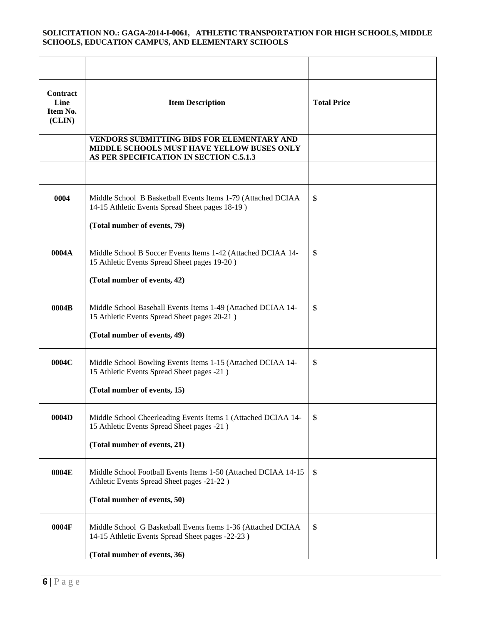| <b>Contract</b><br>Line<br>Item No.<br>(CLIN) | <b>Item Description</b>                                                                                                                    | <b>Total Price</b> |
|-----------------------------------------------|--------------------------------------------------------------------------------------------------------------------------------------------|--------------------|
|                                               | <b>VENDORS SUBMITTING BIDS FOR ELEMENTARY AND</b><br>MIDDLE SCHOOLS MUST HAVE YELLOW BUSES ONLY<br>AS PER SPECIFICATION IN SECTION C.5.1.3 |                    |
|                                               |                                                                                                                                            |                    |
| 0004                                          | Middle School B Basketball Events Items 1-79 (Attached DCIAA<br>14-15 Athletic Events Spread Sheet pages 18-19)                            | \$                 |
|                                               | (Total number of events, 79)                                                                                                               |                    |
| 0004A                                         | Middle School B Soccer Events Items 1-42 (Attached DCIAA 14-<br>15 Athletic Events Spread Sheet pages 19-20)                               | \$                 |
|                                               | (Total number of events, 42)                                                                                                               |                    |
| 0004B                                         | Middle School Baseball Events Items 1-49 (Attached DCIAA 14-<br>15 Athletic Events Spread Sheet pages 20-21)                               | \$                 |
|                                               | (Total number of events, 49)                                                                                                               |                    |
| 0004C                                         | Middle School Bowling Events Items 1-15 (Attached DCIAA 14-<br>15 Athletic Events Spread Sheet pages -21)                                  | \$                 |
|                                               | (Total number of events, 15)                                                                                                               |                    |
| 0004D                                         | Middle School Cheerleading Events Items 1 (Attached DCIAA 14-<br>15 Athletic Events Spread Sheet pages -21)                                | \$                 |
|                                               | (Total number of events, 21)                                                                                                               |                    |
| 0004E                                         | Middle School Football Events Items 1-50 (Attached DCIAA 14-15<br>Athletic Events Spread Sheet pages -21-22)                               | \$                 |
|                                               | (Total number of events, 50)                                                                                                               |                    |
| 0004F                                         | Middle School G Basketball Events Items 1-36 (Attached DCIAA<br>14-15 Athletic Events Spread Sheet pages -22-23)                           | \$                 |
|                                               | (Total number of events, 36)                                                                                                               |                    |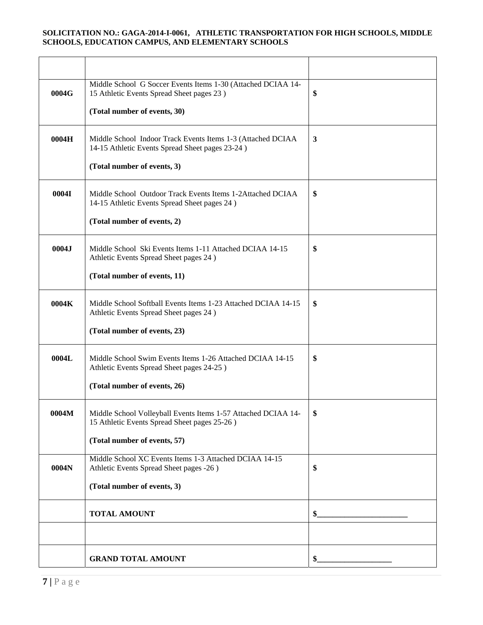| 0004G | Middle School G Soccer Events Items 1-30 (Attached DCIAA 14-<br>15 Athletic Events Spread Sheet pages 23)      | \$            |
|-------|----------------------------------------------------------------------------------------------------------------|---------------|
|       | (Total number of events, 30)                                                                                   |               |
| 0004H | Middle School Indoor Track Events Items 1-3 (Attached DCIAA<br>14-15 Athletic Events Spread Sheet pages 23-24) | 3             |
|       | (Total number of events, 3)                                                                                    |               |
| 0004I | Middle School Outdoor Track Events Items 1-2Attached DCIAA<br>14-15 Athletic Events Spread Sheet pages 24)     | \$            |
|       | (Total number of events, 2)                                                                                    |               |
| 0004J | Middle School Ski Events Items 1-11 Attached DCIAA 14-15<br>Athletic Events Spread Sheet pages 24)             | \$            |
|       | (Total number of events, 11)                                                                                   |               |
| 0004K | Middle School Softball Events Items 1-23 Attached DCIAA 14-15<br>Athletic Events Spread Sheet pages 24)        | \$            |
|       | (Total number of events, 23)                                                                                   |               |
| 0004L | Middle School Swim Events Items 1-26 Attached DCIAA 14-15<br>Athletic Events Spread Sheet pages 24-25)         | \$            |
|       | (Total number of events, 26)                                                                                   |               |
| 0004M | Middle School Volleyball Events Items 1-57 Attached DCIAA 14-<br>15 Athletic Events Spread Sheet pages 25-26)  | \$            |
|       | (Total number of events, 57)                                                                                   |               |
| 0004N | Middle School XC Events Items 1-3 Attached DCIAA 14-15<br>Athletic Events Spread Sheet pages -26)              | \$            |
|       | (Total number of events, 3)                                                                                    |               |
|       | <b>TOTAL AMOUNT</b>                                                                                            | $\frac{1}{2}$ |
|       |                                                                                                                |               |
|       | <b>GRAND TOTAL AMOUNT</b>                                                                                      | \$            |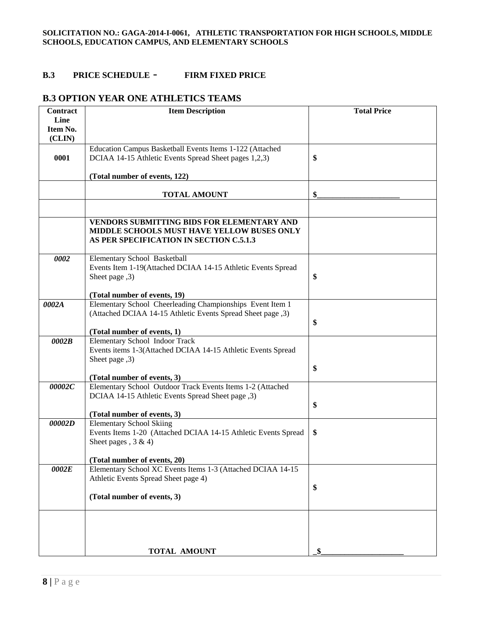### **B.3 PRICE SCHEDULE** - **FIRM FIXED PRICE**

### **B.3 OPTION YEAR ONE ATHLETICS TEAMS**

| Contract | <b>Item Description</b>                                                                                                             | <b>Total Price</b> |
|----------|-------------------------------------------------------------------------------------------------------------------------------------|--------------------|
| Line     |                                                                                                                                     |                    |
| Item No. |                                                                                                                                     |                    |
| (CLIN)   |                                                                                                                                     |                    |
|          | Education Campus Basketball Events Items 1-122 (Attached                                                                            |                    |
| 0001     | DCIAA 14-15 Athletic Events Spread Sheet pages 1,2,3)                                                                               | \$                 |
|          |                                                                                                                                     |                    |
|          | (Total number of events, 122)                                                                                                       |                    |
|          | <b>TOTAL AMOUNT</b>                                                                                                                 | \$                 |
|          |                                                                                                                                     |                    |
|          | VENDORS SUBMITTING BIDS FOR ELEMENTARY AND<br>MIDDLE SCHOOLS MUST HAVE YELLOW BUSES ONLY<br>AS PER SPECIFICATION IN SECTION C.5.1.3 |                    |
| 0002     | Elementary School Basketball                                                                                                        |                    |
|          | Events Item 1-19(Attached DCIAA 14-15 Athletic Events Spread                                                                        |                    |
|          | Sheet page ,3)                                                                                                                      | \$                 |
|          |                                                                                                                                     |                    |
|          | (Total number of events, 19)                                                                                                        |                    |
| 0002A    | Elementary School Cheerleading Championships Event Item 1                                                                           |                    |
|          | (Attached DCIAA 14-15 Athletic Events Spread Sheet page ,3)                                                                         |                    |
|          |                                                                                                                                     | \$                 |
|          | (Total number of events, 1)                                                                                                         |                    |
| 0002B    | <b>Elementary School Indoor Track</b>                                                                                               |                    |
|          | Events items 1-3(Attached DCIAA 14-15 Athletic Events Spread                                                                        |                    |
|          | Sheet page ,3)                                                                                                                      | \$                 |
|          | (Total number of events, 3)                                                                                                         |                    |
| 00002C   | Elementary School Outdoor Track Events Items 1-2 (Attached                                                                          |                    |
|          | DCIAA 14-15 Athletic Events Spread Sheet page , 3)                                                                                  |                    |
|          |                                                                                                                                     | \$                 |
|          | (Total number of events, 3)                                                                                                         |                    |
| 00002D   | <b>Elementary School Skiing</b>                                                                                                     |                    |
|          | Events Items 1-20 (Attached DCIAA 14-15 Athletic Events Spread                                                                      | \$                 |
|          | Sheet pages $, 3 & 4$ )                                                                                                             |                    |
|          |                                                                                                                                     |                    |
|          | (Total number of events, 20)                                                                                                        |                    |
| 0002E    | Elementary School XC Events Items 1-3 (Attached DCIAA 14-15                                                                         |                    |
|          | Athletic Events Spread Sheet page 4)                                                                                                |                    |
|          |                                                                                                                                     | \$                 |
|          | (Total number of events, 3)                                                                                                         |                    |
|          |                                                                                                                                     |                    |
|          |                                                                                                                                     |                    |
|          | <b>TOTAL AMOUNT</b>                                                                                                                 | \$                 |
|          |                                                                                                                                     |                    |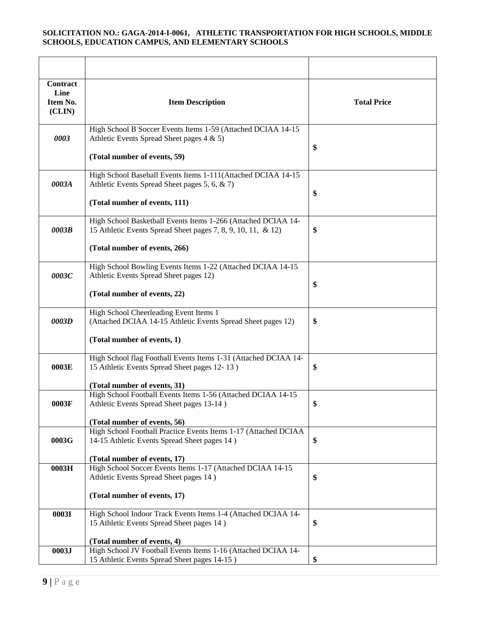| Contract<br>Line<br>Item No.<br>(CLIN) | <b>Item Description</b>                                                                                                                                        | <b>Total Price</b> |
|----------------------------------------|----------------------------------------------------------------------------------------------------------------------------------------------------------------|--------------------|
| 0003                                   | High School B Soccer Events Items 1-59 (Attached DCIAA 14-15<br>Athletic Events Spread Sheet pages 4 & 5)<br>(Total number of events, 59)                      | \$                 |
| 0003A                                  | High School Baseball Events Items 1-111(Attached DCIAA 14-15<br>Athletic Events Spread Sheet pages 5, 6, & 7)<br>(Total number of events, 111)                 | \$                 |
| 0003B                                  | High School Basketball Events Items 1-266 (Attached DCIAA 14-<br>15 Athletic Events Spread Sheet pages 7, 8, 9, 10, 11, & 12)<br>(Total number of events, 266) | \$                 |
| 0003C                                  | High School Bowling Events Items 1-22 (Attached DCIAA 14-15<br>Athletic Events Spread Sheet pages 12)<br>(Total number of events, 22)                          | \$                 |
| 0003D                                  | High School Cheerleading Event Items 1<br>(Attached DCIAA 14-15 Athletic Events Spread Sheet pages 12)<br>(Total number of events, 1)                          | \$                 |
| 0003E                                  | High School flag Football Events Items 1-31 (Attached DCIAA 14-<br>15 Athletic Events Spread Sheet pages 12-13)<br>(Total number of events, 31)                | \$                 |
| 0003F                                  | High School Football Events Items 1-56 (Attached DCIAA 14-15<br>Athletic Events Spread Sheet pages 13-14)<br>(Total number of events, 56)                      | \$                 |
| 0003G                                  | High School Football Practice Events Items 1-17 (Attached DCIAA<br>14-15 Athletic Events Spread Sheet pages 14)<br>(Total number of events, 17)                | \$                 |
| 0003H                                  | High School Soccer Events Items 1-17 (Attached DCIAA 14-15<br>Athletic Events Spread Sheet pages 14)<br>(Total number of events, 17)                           | \$                 |
| 0003I                                  | High School Indoor Track Events Items 1-4 (Attached DCIAA 14-<br>15 Athletic Events Spread Sheet pages 14)                                                     | \$                 |
| 0003J                                  | (Total number of events, 4)<br>High School JV Football Events Items 1-16 (Attached DCIAA 14-<br>15 Athletic Events Spread Sheet pages 14-15)                   | \$                 |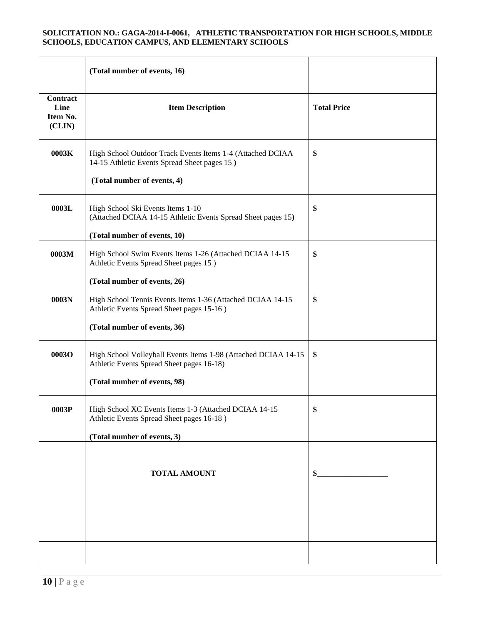|                                               | (Total number of events, 16)                                                                                                                |                    |
|-----------------------------------------------|---------------------------------------------------------------------------------------------------------------------------------------------|--------------------|
| <b>Contract</b><br>Line<br>Item No.<br>(CLIN) | <b>Item Description</b>                                                                                                                     | <b>Total Price</b> |
| 0003K                                         | High School Outdoor Track Events Items 1-4 (Attached DCIAA<br>14-15 Athletic Events Spread Sheet pages 15)<br>(Total number of events, 4)   | \$                 |
| 0003L                                         | High School Ski Events Items 1-10<br>(Attached DCIAA 14-15 Athletic Events Spread Sheet pages 15)<br>(Total number of events, 10)           | \$                 |
| 0003M                                         | High School Swim Events Items 1-26 (Attached DCIAA 14-15<br>Athletic Events Spread Sheet pages 15)<br>(Total number of events, 26)          | \$                 |
| 0003N                                         | High School Tennis Events Items 1-36 (Attached DCIAA 14-15<br>Athletic Events Spread Sheet pages 15-16)<br>(Total number of events, 36)     | \$                 |
| 0003O                                         | High School Volleyball Events Items 1-98 (Attached DCIAA 14-15<br>Athletic Events Spread Sheet pages 16-18)<br>(Total number of events, 98) | \$                 |
| 0003P                                         | High School XC Events Items 1-3 (Attached DCIAA 14-15<br>Athletic Events Spread Sheet pages 16-18)<br>(Total number of events, 3)           | \$                 |
|                                               | <b>TOTAL AMOUNT</b>                                                                                                                         | \$                 |
|                                               |                                                                                                                                             |                    |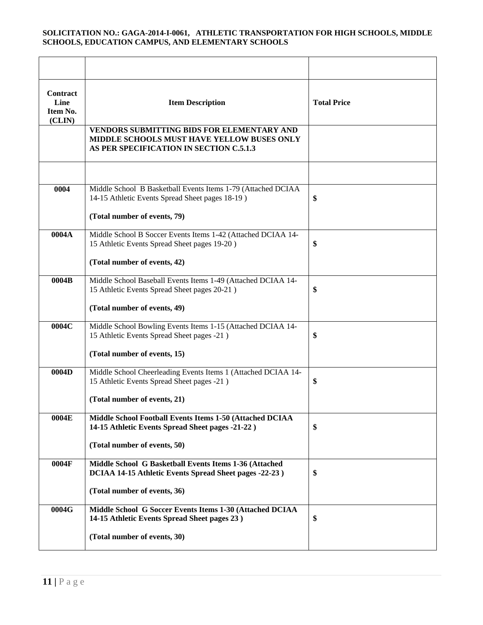| <b>Contract</b><br>Line<br>Item No.<br>(CLIN) | <b>Item Description</b>                                                                                                             | <b>Total Price</b> |
|-----------------------------------------------|-------------------------------------------------------------------------------------------------------------------------------------|--------------------|
|                                               | VENDORS SUBMITTING BIDS FOR ELEMENTARY AND<br>MIDDLE SCHOOLS MUST HAVE YELLOW BUSES ONLY<br>AS PER SPECIFICATION IN SECTION C.5.1.3 |                    |
|                                               |                                                                                                                                     |                    |
| 0004                                          | Middle School B Basketball Events Items 1-79 (Attached DCIAA<br>14-15 Athletic Events Spread Sheet pages 18-19)                     | \$                 |
|                                               | (Total number of events, 79)                                                                                                        |                    |
| 0004A                                         | Middle School B Soccer Events Items 1-42 (Attached DCIAA 14-<br>15 Athletic Events Spread Sheet pages 19-20)                        | \$                 |
|                                               | (Total number of events, 42)                                                                                                        |                    |
| 0004B                                         | Middle School Baseball Events Items 1-49 (Attached DCIAA 14-<br>15 Athletic Events Spread Sheet pages 20-21)                        | \$                 |
|                                               | (Total number of events, 49)                                                                                                        |                    |
| 0004C                                         | Middle School Bowling Events Items 1-15 (Attached DCIAA 14-<br>15 Athletic Events Spread Sheet pages -21)                           | \$                 |
|                                               | (Total number of events, 15)                                                                                                        |                    |
| 0004D                                         | Middle School Cheerleading Events Items 1 (Attached DCIAA 14-<br>15 Athletic Events Spread Sheet pages -21)                         | \$                 |
|                                               | (Total number of events, 21)                                                                                                        |                    |
| 0004E                                         | Middle School Football Events Items 1-50 (Attached DCIAA<br>14-15 Athletic Events Spread Sheet pages -21-22)                        | \$                 |
|                                               | (Total number of events, 50)                                                                                                        |                    |
| 0004F                                         | Middle School G Basketball Events Items 1-36 (Attached<br>DCIAA 14-15 Athletic Events Spread Sheet pages -22-23)                    | \$                 |
|                                               | (Total number of events, 36)                                                                                                        |                    |
| 0004G                                         | Middle School G Soccer Events Items 1-30 (Attached DCIAA<br>14-15 Athletic Events Spread Sheet pages 23)                            | \$                 |
|                                               | (Total number of events, 30)                                                                                                        |                    |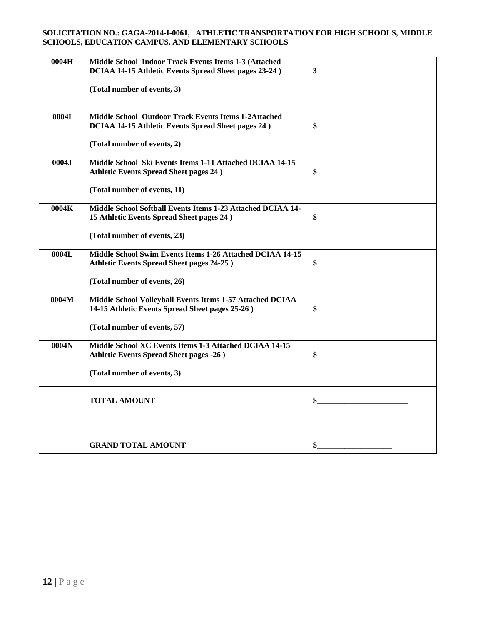| 0004H | Middle School Indoor Track Events Items 1-3 (Attached                                                                    |              |
|-------|--------------------------------------------------------------------------------------------------------------------------|--------------|
|       | DCIAA 14-15 Athletic Events Spread Sheet pages 23-24)                                                                    | $\mathbf{3}$ |
|       | (Total number of events, 3)                                                                                              |              |
| 0004I | <b>Middle School Outdoor Track Events Items 1-2Attached</b><br><b>DCIAA 14-15 Athletic Events Spread Sheet pages 24)</b> | \$           |
|       | (Total number of events, 2)                                                                                              |              |
| 0004J | Middle School Ski Events Items 1-11 Attached DCIAA 14-15<br><b>Athletic Events Spread Sheet pages 24)</b>                | \$           |
|       | (Total number of events, 11)                                                                                             |              |
| 0004K | Middle School Softball Events Items 1-23 Attached DCIAA 14-<br>15 Athletic Events Spread Sheet pages 24)                 | \$           |
|       | (Total number of events, 23)                                                                                             |              |
| 0004L | Middle School Swim Events Items 1-26 Attached DCIAA 14-15<br><b>Athletic Events Spread Sheet pages 24-25)</b>            | \$           |
|       | (Total number of events, 26)                                                                                             |              |
| 0004M | Middle School Volleyball Events Items 1-57 Attached DCIAA<br>14-15 Athletic Events Spread Sheet pages 25-26)             | \$           |
|       | (Total number of events, 57)                                                                                             |              |
| 0004N | Middle School XC Events Items 1-3 Attached DCIAA 14-15<br><b>Athletic Events Spread Sheet pages -26)</b>                 | \$           |
|       | (Total number of events, 3)                                                                                              |              |
|       | <b>TOTAL AMOUNT</b>                                                                                                      | \$           |
|       |                                                                                                                          |              |
|       | <b>GRAND TOTAL AMOUNT</b>                                                                                                | \$           |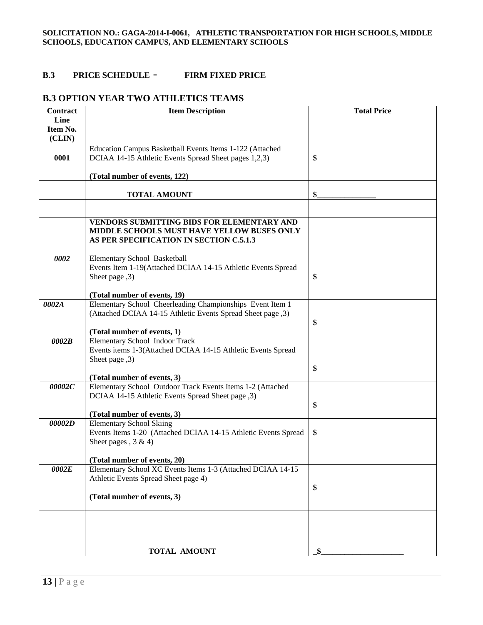### **B.3 PRICE SCHEDULE** - **FIRM FIXED PRICE**

### **B.3 OPTION YEAR TWO ATHLETICS TEAMS**

| <b>Contract</b> | <b>Item Description</b>                                                                                                             | <b>Total Price</b> |
|-----------------|-------------------------------------------------------------------------------------------------------------------------------------|--------------------|
| Line            |                                                                                                                                     |                    |
| Item No.        |                                                                                                                                     |                    |
| (CLIN)          |                                                                                                                                     |                    |
|                 | Education Campus Basketball Events Items 1-122 (Attached                                                                            |                    |
| 0001            | DCIAA 14-15 Athletic Events Spread Sheet pages 1,2,3)                                                                               | \$                 |
|                 |                                                                                                                                     |                    |
|                 | (Total number of events, 122)                                                                                                       |                    |
|                 | <b>TOTAL AMOUNT</b>                                                                                                                 | \$                 |
|                 |                                                                                                                                     |                    |
|                 | VENDORS SUBMITTING BIDS FOR ELEMENTARY AND<br>MIDDLE SCHOOLS MUST HAVE YELLOW BUSES ONLY<br>AS PER SPECIFICATION IN SECTION C.5.1.3 |                    |
| 0002            | Elementary School Basketball                                                                                                        |                    |
|                 | Events Item 1-19(Attached DCIAA 14-15 Athletic Events Spread                                                                        |                    |
|                 | Sheet page ,3)                                                                                                                      | \$                 |
|                 |                                                                                                                                     |                    |
|                 | (Total number of events, 19)                                                                                                        |                    |
| 0002A           | Elementary School Cheerleading Championships Event Item 1                                                                           |                    |
|                 | (Attached DCIAA 14-15 Athletic Events Spread Sheet page ,3)                                                                         |                    |
|                 |                                                                                                                                     | \$                 |
|                 | (Total number of events, 1)                                                                                                         |                    |
| 0002B           | Elementary School Indoor Track                                                                                                      |                    |
|                 | Events items 1-3(Attached DCIAA 14-15 Athletic Events Spread                                                                        |                    |
|                 | Sheet page ,3)                                                                                                                      |                    |
|                 |                                                                                                                                     | \$                 |
|                 | (Total number of events, 3)                                                                                                         |                    |
| 00002C          | Elementary School Outdoor Track Events Items 1-2 (Attached                                                                          |                    |
|                 | DCIAA 14-15 Athletic Events Spread Sheet page ,3)                                                                                   |                    |
|                 |                                                                                                                                     | \$                 |
| 00002D          | (Total number of events, 3)                                                                                                         |                    |
|                 | <b>Elementary School Skiing</b>                                                                                                     | \$                 |
|                 | Events Items 1-20 (Attached DCIAA 14-15 Athletic Events Spread<br>Sheet pages, $3 & 4$ )                                            |                    |
|                 |                                                                                                                                     |                    |
|                 | (Total number of events, 20)                                                                                                        |                    |
| 0002E           | Elementary School XC Events Items 1-3 (Attached DCIAA 14-15                                                                         |                    |
|                 | Athletic Events Spread Sheet page 4)                                                                                                |                    |
|                 |                                                                                                                                     | \$                 |
|                 | (Total number of events, 3)                                                                                                         |                    |
|                 |                                                                                                                                     |                    |
|                 |                                                                                                                                     |                    |
|                 | <b>TOTAL AMOUNT</b>                                                                                                                 | \$                 |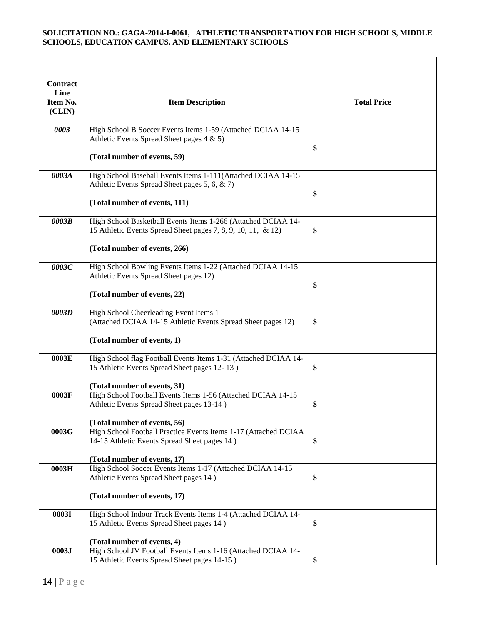| Contract<br>Line<br>Item No.<br>(CLIN) | <b>Item Description</b>                                                                                                                                        | <b>Total Price</b> |
|----------------------------------------|----------------------------------------------------------------------------------------------------------------------------------------------------------------|--------------------|
| 0003                                   | High School B Soccer Events Items 1-59 (Attached DCIAA 14-15<br>Athletic Events Spread Sheet pages 4 & 5)<br>(Total number of events, 59)                      | \$                 |
| 0003A                                  | High School Baseball Events Items 1-111(Attached DCIAA 14-15<br>Athletic Events Spread Sheet pages 5, 6, & 7)<br>(Total number of events, 111)                 | \$                 |
| 0003B                                  | High School Basketball Events Items 1-266 (Attached DCIAA 14-<br>15 Athletic Events Spread Sheet pages 7, 8, 9, 10, 11, & 12)<br>(Total number of events, 266) | \$                 |
| 0003C                                  | High School Bowling Events Items 1-22 (Attached DCIAA 14-15<br>Athletic Events Spread Sheet pages 12)<br>(Total number of events, 22)                          | \$                 |
| 0003D                                  | High School Cheerleading Event Items 1<br>(Attached DCIAA 14-15 Athletic Events Spread Sheet pages 12)<br>(Total number of events, 1)                          | \$                 |
| 0003E                                  | High School flag Football Events Items 1-31 (Attached DCIAA 14-<br>15 Athletic Events Spread Sheet pages 12-13)<br>(Total number of events, 31)                | \$                 |
| 0003F                                  | High School Football Events Items 1-56 (Attached DCIAA 14-15<br>Athletic Events Spread Sheet pages 13-14)<br>(Total number of events, 56)                      | \$                 |
| 0003G                                  | High School Football Practice Events Items 1-17 (Attached DCIAA<br>14-15 Athletic Events Spread Sheet pages 14)<br>(Total number of events, 17)                | \$                 |
| 0003H                                  | High School Soccer Events Items 1-17 (Attached DCIAA 14-15<br>Athletic Events Spread Sheet pages 14)<br>(Total number of events, 17)                           | \$                 |
| 0003I                                  | High School Indoor Track Events Items 1-4 (Attached DCIAA 14-<br>15 Athletic Events Spread Sheet pages 14)<br>(Total number of events, 4)                      | \$                 |
| 0003J                                  | High School JV Football Events Items 1-16 (Attached DCIAA 14-<br>15 Athletic Events Spread Sheet pages 14-15)                                                  | \$                 |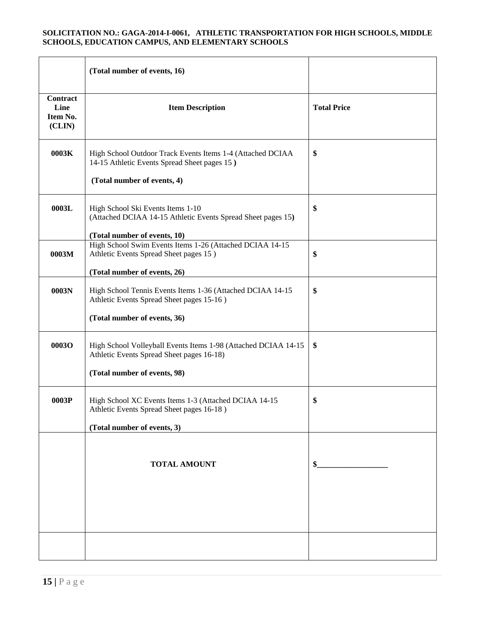|                                        | (Total number of events, 16)                                                                                                                |                    |
|----------------------------------------|---------------------------------------------------------------------------------------------------------------------------------------------|--------------------|
| Contract<br>Line<br>Item No.<br>(CLIN) | <b>Item Description</b>                                                                                                                     | <b>Total Price</b> |
| 0003K                                  | High School Outdoor Track Events Items 1-4 (Attached DCIAA<br>14-15 Athletic Events Spread Sheet pages 15)<br>(Total number of events, 4)   | \$                 |
| 0003L                                  | High School Ski Events Items 1-10<br>(Attached DCIAA 14-15 Athletic Events Spread Sheet pages 15)<br>(Total number of events, 10)           | \$                 |
| 0003M                                  | High School Swim Events Items 1-26 (Attached DCIAA 14-15<br>Athletic Events Spread Sheet pages 15)<br>(Total number of events, 26)          | \$                 |
| 0003N                                  | High School Tennis Events Items 1-36 (Attached DCIAA 14-15<br>Athletic Events Spread Sheet pages 15-16)<br>(Total number of events, 36)     | \$                 |
| 0003O                                  | High School Volleyball Events Items 1-98 (Attached DCIAA 14-15<br>Athletic Events Spread Sheet pages 16-18)<br>(Total number of events, 98) | \$                 |
| 0003P                                  | High School XC Events Items 1-3 (Attached DCIAA 14-15<br>Athletic Events Spread Sheet pages 16-18)<br>(Total number of events, 3)           | \$                 |
|                                        | <b>TOTAL AMOUNT</b>                                                                                                                         | \$                 |
|                                        |                                                                                                                                             |                    |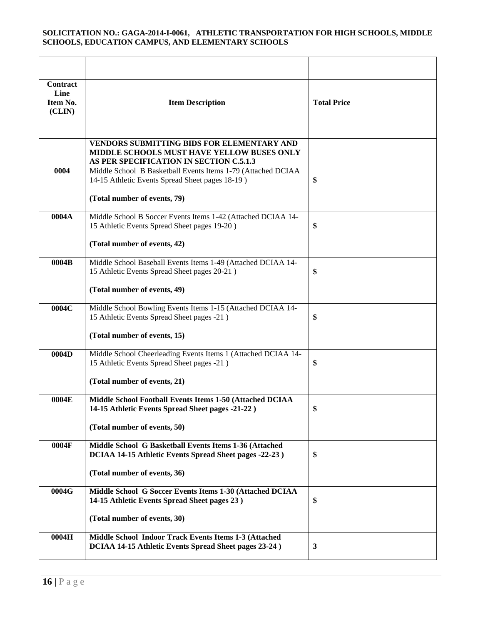| <b>Contract</b><br>Line<br>Item No.<br>(CLIN) | <b>Item Description</b>                                                                                                             | <b>Total Price</b> |
|-----------------------------------------------|-------------------------------------------------------------------------------------------------------------------------------------|--------------------|
|                                               |                                                                                                                                     |                    |
|                                               | VENDORS SUBMITTING BIDS FOR ELEMENTARY AND<br>MIDDLE SCHOOLS MUST HAVE YELLOW BUSES ONLY<br>AS PER SPECIFICATION IN SECTION C.5.1.3 |                    |
| 0004                                          | Middle School B Basketball Events Items 1-79 (Attached DCIAA<br>14-15 Athletic Events Spread Sheet pages 18-19)                     | \$                 |
|                                               | (Total number of events, 79)                                                                                                        |                    |
| 0004A                                         | Middle School B Soccer Events Items 1-42 (Attached DCIAA 14-<br>15 Athletic Events Spread Sheet pages 19-20)                        | \$                 |
|                                               | (Total number of events, 42)                                                                                                        |                    |
| 0004B                                         | Middle School Baseball Events Items 1-49 (Attached DCIAA 14-<br>15 Athletic Events Spread Sheet pages 20-21)                        | \$                 |
|                                               | (Total number of events, 49)                                                                                                        |                    |
| 0004C                                         | Middle School Bowling Events Items 1-15 (Attached DCIAA 14-<br>15 Athletic Events Spread Sheet pages -21)                           | \$                 |
|                                               | (Total number of events, 15)                                                                                                        |                    |
| $\overline{0004}D$                            | Middle School Cheerleading Events Items 1 (Attached DCIAA 14-<br>15 Athletic Events Spread Sheet pages -21)                         | \$                 |
|                                               | (Total number of events, 21)                                                                                                        |                    |
| 0004E                                         | Middle School Football Events Items 1-50 (Attached DCIAA<br>14-15 Athletic Events Spread Sheet pages -21-22)                        | \$                 |
|                                               | (Total number of events, 50)                                                                                                        |                    |
| 0004F                                         | Middle School G Basketball Events Items 1-36 (Attached<br>DCIAA 14-15 Athletic Events Spread Sheet pages -22-23)                    | \$                 |
|                                               | (Total number of events, 36)                                                                                                        |                    |
| 0004G                                         | Middle School G Soccer Events Items 1-30 (Attached DCIAA<br>14-15 Athletic Events Spread Sheet pages 23)                            | \$                 |
|                                               | (Total number of events, 30)                                                                                                        |                    |
| 0004H                                         | Middle School Indoor Track Events Items 1-3 (Attached<br>DCIAA 14-15 Athletic Events Spread Sheet pages 23-24)                      | 3                  |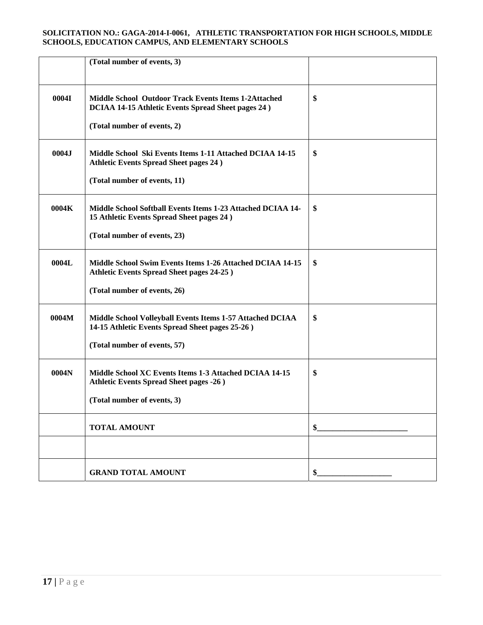|       | (Total number of events, 3)                                                                                       |    |
|-------|-------------------------------------------------------------------------------------------------------------------|----|
|       |                                                                                                                   |    |
| 0004I | Middle School Outdoor Track Events Items 1-2Attached<br><b>DCIAA 14-15 Athletic Events Spread Sheet pages 24)</b> | \$ |
|       | (Total number of events, 2)                                                                                       |    |
| 0004J | Middle School Ski Events Items 1-11 Attached DCIAA 14-15<br><b>Athletic Events Spread Sheet pages 24)</b>         | \$ |
|       | (Total number of events, 11)                                                                                      |    |
| 0004K | Middle School Softball Events Items 1-23 Attached DCIAA 14-<br>15 Athletic Events Spread Sheet pages 24)          | \$ |
|       | (Total number of events, 23)                                                                                      |    |
| 0004L | Middle School Swim Events Items 1-26 Attached DCIAA 14-15<br><b>Athletic Events Spread Sheet pages 24-25)</b>     | \$ |
|       | (Total number of events, 26)                                                                                      |    |
| 0004M | Middle School Volleyball Events Items 1-57 Attached DCIAA<br>14-15 Athletic Events Spread Sheet pages 25-26)      | \$ |
|       | (Total number of events, 57)                                                                                      |    |
| 0004N | Middle School XC Events Items 1-3 Attached DCIAA 14-15<br><b>Athletic Events Spread Sheet pages -26)</b>          | \$ |
|       | (Total number of events, 3)                                                                                       |    |
|       | <b>TOTAL AMOUNT</b>                                                                                               | \$ |
|       |                                                                                                                   |    |
|       | <b>GRAND TOTAL AMOUNT</b>                                                                                         | \$ |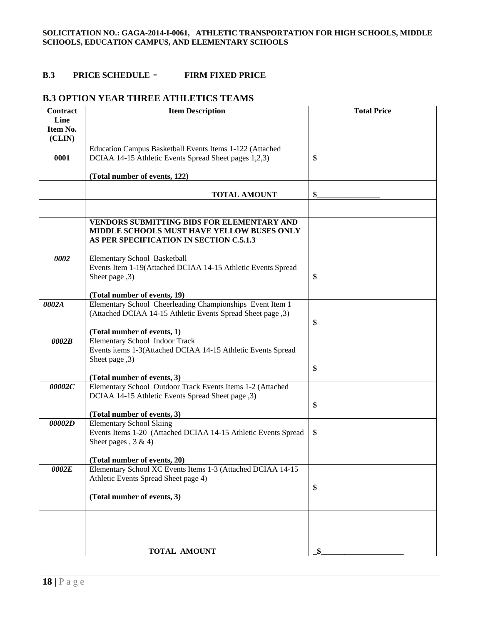### **B.3 PRICE SCHEDULE** - **FIRM FIXED PRICE**

## **B.3 OPTION YEAR THREE ATHLETICS TEAMS**

| <b>Contract</b> | <b>Item Description</b>                                                                     | <b>Total Price</b> |
|-----------------|---------------------------------------------------------------------------------------------|--------------------|
| Line            |                                                                                             |                    |
| Item No.        |                                                                                             |                    |
| (CLIN)          |                                                                                             |                    |
|                 | Education Campus Basketball Events Items 1-122 (Attached                                    |                    |
| 0001            | DCIAA 14-15 Athletic Events Spread Sheet pages 1,2,3)                                       | \$                 |
|                 |                                                                                             |                    |
|                 | (Total number of events, 122)                                                               |                    |
|                 |                                                                                             |                    |
|                 | <b>TOTAL AMOUNT</b>                                                                         | $\frac{1}{2}$      |
|                 |                                                                                             |                    |
|                 | VENDORS SUBMITTING BIDS FOR ELEMENTARY AND                                                  |                    |
|                 | MIDDLE SCHOOLS MUST HAVE YELLOW BUSES ONLY                                                  |                    |
|                 | AS PER SPECIFICATION IN SECTION C.5.1.3                                                     |                    |
|                 |                                                                                             |                    |
| 0002            | Elementary School Basketball                                                                |                    |
|                 | Events Item 1-19(Attached DCIAA 14-15 Athletic Events Spread                                |                    |
|                 | (3, Sheet page                                                                              | \$                 |
|                 |                                                                                             |                    |
|                 | (Total number of events, 19)                                                                |                    |
| 0002A           | Elementary School Cheerleading Championships Event Item 1                                   |                    |
|                 | (Attached DCIAA 14-15 Athletic Events Spread Sheet page ,3)                                 |                    |
|                 |                                                                                             | \$                 |
|                 | (Total number of events, 1)                                                                 |                    |
| 0002B           | <b>Elementary School Indoor Track</b>                                                       |                    |
|                 | Events items 1-3(Attached DCIAA 14-15 Athletic Events Spread                                |                    |
|                 | Sheet page ,3)                                                                              |                    |
|                 |                                                                                             | \$                 |
|                 | (Total number of events, 3)                                                                 |                    |
| 00002C          | Elementary School Outdoor Track Events Items 1-2 (Attached                                  |                    |
|                 | DCIAA 14-15 Athletic Events Spread Sheet page , 3)                                          |                    |
|                 |                                                                                             | \$                 |
|                 | (Total number of events, 3)                                                                 |                    |
| 00002D          | <b>Elementary School Skiing</b>                                                             |                    |
|                 | Events Items 1-20 (Attached DCIAA 14-15 Athletic Events Spread                              | \$                 |
|                 | Sheet pages, $3 & 4$ )                                                                      |                    |
|                 |                                                                                             |                    |
| 0002E           | (Total number of events, 20)<br>Elementary School XC Events Items 1-3 (Attached DCIAA 14-15 |                    |
|                 | Athletic Events Spread Sheet page 4)                                                        |                    |
|                 |                                                                                             | \$                 |
|                 | (Total number of events, 3)                                                                 |                    |
|                 |                                                                                             |                    |
|                 |                                                                                             |                    |
|                 |                                                                                             |                    |
|                 |                                                                                             |                    |
|                 |                                                                                             |                    |
|                 | <b>TOTAL AMOUNT</b>                                                                         |                    |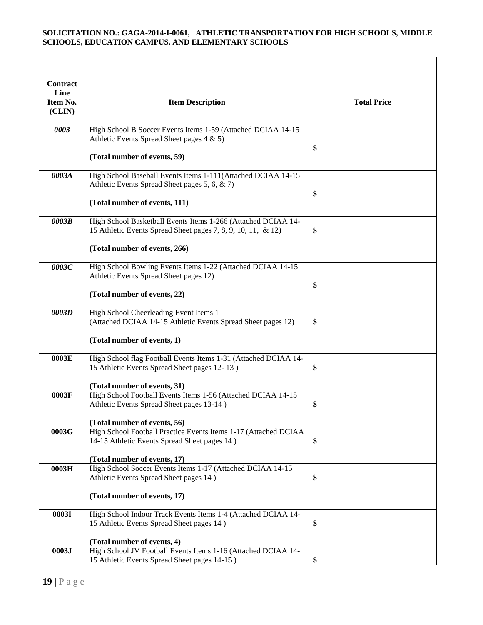| Contract<br>Line<br>Item No.<br>(CLIN) | <b>Item Description</b>                                                                                                                                        | <b>Total Price</b> |
|----------------------------------------|----------------------------------------------------------------------------------------------------------------------------------------------------------------|--------------------|
| 0003                                   | High School B Soccer Events Items 1-59 (Attached DCIAA 14-15<br>Athletic Events Spread Sheet pages 4 & 5)<br>(Total number of events, 59)                      | \$                 |
| 0003A                                  | High School Baseball Events Items 1-111(Attached DCIAA 14-15<br>Athletic Events Spread Sheet pages 5, 6, & 7)<br>(Total number of events, 111)                 | \$                 |
| 0003B                                  | High School Basketball Events Items 1-266 (Attached DCIAA 14-<br>15 Athletic Events Spread Sheet pages 7, 8, 9, 10, 11, & 12)<br>(Total number of events, 266) | \$                 |
| 0003C                                  | High School Bowling Events Items 1-22 (Attached DCIAA 14-15<br>Athletic Events Spread Sheet pages 12)<br>(Total number of events, 22)                          | \$                 |
| 0003D                                  | High School Cheerleading Event Items 1<br>(Attached DCIAA 14-15 Athletic Events Spread Sheet pages 12)<br>(Total number of events, 1)                          | \$                 |
| 0003E                                  | High School flag Football Events Items 1-31 (Attached DCIAA 14-<br>15 Athletic Events Spread Sheet pages 12-13)<br>(Total number of events, 31)                | \$                 |
| 0003F                                  | High School Football Events Items 1-56 (Attached DCIAA 14-15<br>Athletic Events Spread Sheet pages 13-14)<br>(Total number of events, 56)                      | \$                 |
| 0003G                                  | High School Football Practice Events Items 1-17 (Attached DCIAA<br>14-15 Athletic Events Spread Sheet pages 14)<br>(Total number of events, 17)                | \$                 |
| 0003H                                  | High School Soccer Events Items 1-17 (Attached DCIAA 14-15<br>Athletic Events Spread Sheet pages 14)<br>(Total number of events, 17)                           | \$                 |
| 0003I                                  | High School Indoor Track Events Items 1-4 (Attached DCIAA 14-<br>15 Athletic Events Spread Sheet pages 14)<br>(Total number of events, 4)                      | \$                 |
| 0003J                                  | High School JV Football Events Items 1-16 (Attached DCIAA 14-<br>15 Athletic Events Spread Sheet pages 14-15)                                                  | \$                 |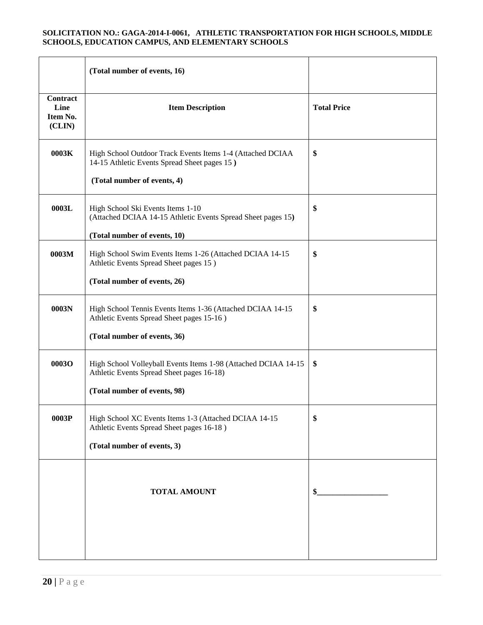|                                               | (Total number of events, 16)                                                                                                                |                    |
|-----------------------------------------------|---------------------------------------------------------------------------------------------------------------------------------------------|--------------------|
| <b>Contract</b><br>Line<br>Item No.<br>(CLIN) | <b>Item Description</b>                                                                                                                     | <b>Total Price</b> |
| 0003K                                         | High School Outdoor Track Events Items 1-4 (Attached DCIAA<br>14-15 Athletic Events Spread Sheet pages 15)<br>(Total number of events, 4)   | \$                 |
| 0003L                                         | High School Ski Events Items 1-10<br>(Attached DCIAA 14-15 Athletic Events Spread Sheet pages 15)<br>(Total number of events, 10)           | \$                 |
| 0003M                                         | High School Swim Events Items 1-26 (Attached DCIAA 14-15<br>Athletic Events Spread Sheet pages 15)<br>(Total number of events, 26)          | \$                 |
| 0003N                                         | High School Tennis Events Items 1-36 (Attached DCIAA 14-15<br>Athletic Events Spread Sheet pages 15-16)<br>(Total number of events, 36)     | \$                 |
| <b>0003O</b>                                  | High School Volleyball Events Items 1-98 (Attached DCIAA 14-15<br>Athletic Events Spread Sheet pages 16-18)<br>(Total number of events, 98) | \$                 |
| 0003P                                         | High School XC Events Items 1-3 (Attached DCIAA 14-15<br>Athletic Events Spread Sheet pages 16-18)<br>(Total number of events, 3)           | \$                 |
|                                               | <b>TOTAL AMOUNT</b>                                                                                                                         | \$                 |
|                                               |                                                                                                                                             |                    |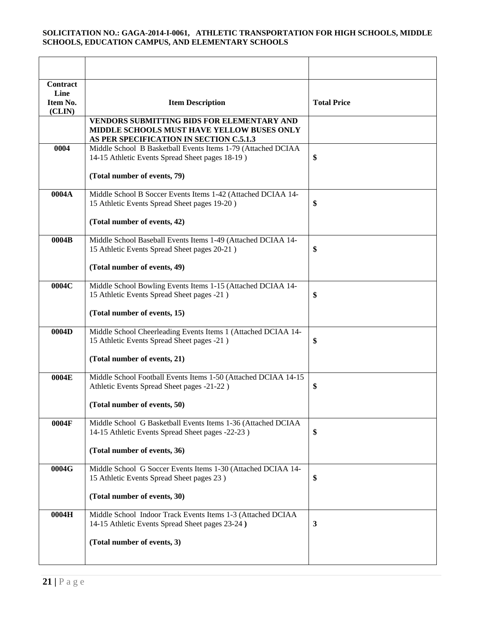| <b>Contract</b><br>Line |                                                                                                                  |                    |
|-------------------------|------------------------------------------------------------------------------------------------------------------|--------------------|
| Item No.<br>(CLIN)      | <b>Item Description</b>                                                                                          | <b>Total Price</b> |
|                         | <b>VENDORS SUBMITTING BIDS FOR ELEMENTARY AND</b><br>MIDDLE SCHOOLS MUST HAVE YELLOW BUSES ONLY                  |                    |
|                         | AS PER SPECIFICATION IN SECTION C.5.1.3                                                                          |                    |
| 0004                    | Middle School B Basketball Events Items 1-79 (Attached DCIAA<br>14-15 Athletic Events Spread Sheet pages 18-19)  | \$                 |
|                         | (Total number of events, 79)                                                                                     |                    |
| 0004A                   | Middle School B Soccer Events Items 1-42 (Attached DCIAA 14-<br>15 Athletic Events Spread Sheet pages 19-20)     | \$                 |
|                         | (Total number of events, 42)                                                                                     |                    |
| 0004B                   | Middle School Baseball Events Items 1-49 (Attached DCIAA 14-<br>15 Athletic Events Spread Sheet pages 20-21)     | \$                 |
|                         | (Total number of events, 49)                                                                                     |                    |
| 0004C                   | Middle School Bowling Events Items 1-15 (Attached DCIAA 14-<br>15 Athletic Events Spread Sheet pages -21)        | \$                 |
|                         | (Total number of events, 15)                                                                                     |                    |
| 0004D                   | Middle School Cheerleading Events Items 1 (Attached DCIAA 14-<br>15 Athletic Events Spread Sheet pages -21)      | \$                 |
|                         | (Total number of events, 21)                                                                                     |                    |
| 0004E                   | Middle School Football Events Items 1-50 (Attached DCIAA 14-15<br>Athletic Events Spread Sheet pages -21-22)     | \$                 |
|                         | (Total number of events, 50)                                                                                     |                    |
| 0004F                   | Middle School G Basketball Events Items 1-36 (Attached DCIAA<br>14-15 Athletic Events Spread Sheet pages -22-23) | \$                 |
|                         | (Total number of events, 36)                                                                                     |                    |
| 0004G                   | Middle School G Soccer Events Items 1-30 (Attached DCIAA 14-<br>15 Athletic Events Spread Sheet pages 23)        | \$                 |
|                         | (Total number of events, 30)                                                                                     |                    |
| 0004H                   | Middle School Indoor Track Events Items 1-3 (Attached DCIAA<br>14-15 Athletic Events Spread Sheet pages 23-24)   | $\mathbf{3}$       |
|                         | (Total number of events, 3)                                                                                      |                    |
|                         |                                                                                                                  |                    |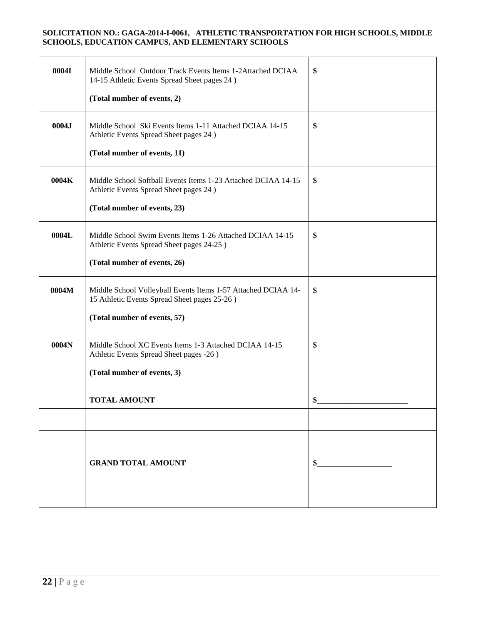| 0004I | Middle School Outdoor Track Events Items 1-2Attached DCIAA<br>14-15 Athletic Events Spread Sheet pages 24)                         | \$ |
|-------|------------------------------------------------------------------------------------------------------------------------------------|----|
|       | (Total number of events, 2)                                                                                                        |    |
| 0004J | Middle School Ski Events Items 1-11 Attached DCIAA 14-15<br>Athletic Events Spread Sheet pages 24)<br>(Total number of events, 11) | \$ |
|       |                                                                                                                                    |    |
| 0004K | Middle School Softball Events Items 1-23 Attached DCIAA 14-15<br>Athletic Events Spread Sheet pages 24)                            | \$ |
|       | (Total number of events, 23)                                                                                                       |    |
| 0004L | Middle School Swim Events Items 1-26 Attached DCIAA 14-15<br>Athletic Events Spread Sheet pages 24-25)                             | \$ |
|       | (Total number of events, 26)                                                                                                       |    |
| 0004M | Middle School Volleyball Events Items 1-57 Attached DCIAA 14-<br>15 Athletic Events Spread Sheet pages 25-26)                      | \$ |
|       | (Total number of events, 57)                                                                                                       |    |
| 0004N | Middle School XC Events Items 1-3 Attached DCIAA 14-15<br>Athletic Events Spread Sheet pages -26)                                  | \$ |
|       | (Total number of events, 3)                                                                                                        |    |
|       | <b>TOTAL AMOUNT</b>                                                                                                                | \$ |
|       |                                                                                                                                    |    |
|       | <b>GRAND TOTAL AMOUNT</b>                                                                                                          | \$ |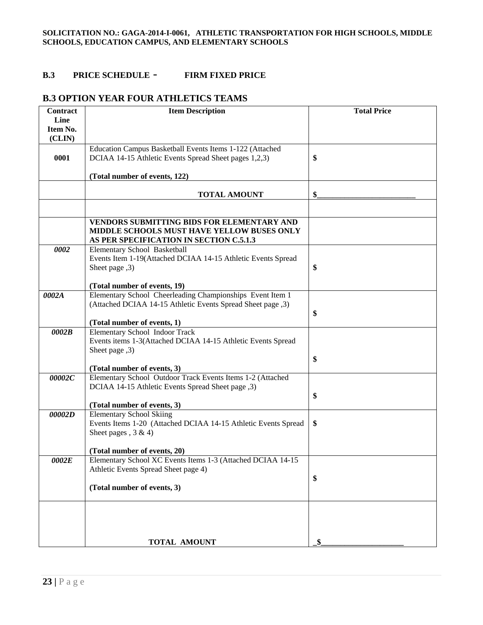### **B.3 PRICE SCHEDULE** - **FIRM FIXED PRICE**

## **B.3 OPTION YEAR FOUR ATHLETICS TEAMS**

| Contract | <b>Item Description</b>                                                                                                             | <b>Total Price</b> |
|----------|-------------------------------------------------------------------------------------------------------------------------------------|--------------------|
| Line     |                                                                                                                                     |                    |
| Item No. |                                                                                                                                     |                    |
| (CLIN)   |                                                                                                                                     |                    |
|          | Education Campus Basketball Events Items 1-122 (Attached                                                                            |                    |
| 0001     | DCIAA 14-15 Athletic Events Spread Sheet pages 1,2,3)                                                                               | \$                 |
|          |                                                                                                                                     |                    |
|          | (Total number of events, 122)                                                                                                       |                    |
|          | <b>TOTAL AMOUNT</b>                                                                                                                 | \$                 |
|          |                                                                                                                                     |                    |
|          | VENDORS SUBMITTING BIDS FOR ELEMENTARY AND<br>MIDDLE SCHOOLS MUST HAVE YELLOW BUSES ONLY<br>AS PER SPECIFICATION IN SECTION C.5.1.3 |                    |
| 0002     | Elementary School Basketball                                                                                                        |                    |
|          | Events Item 1-19(Attached DCIAA 14-15 Athletic Events Spread                                                                        |                    |
|          | Sheet page ,3)                                                                                                                      | \$                 |
|          |                                                                                                                                     |                    |
|          | (Total number of events, 19)                                                                                                        |                    |
| 0002A    | Elementary School Cheerleading Championships Event Item 1<br>(Attached DCIAA 14-15 Athletic Events Spread Sheet page ,3)            |                    |
|          |                                                                                                                                     | \$                 |
|          | (Total number of events, 1)                                                                                                         |                    |
| 0002B    | Elementary School Indoor Track                                                                                                      |                    |
|          | Events items 1-3(Attached DCIAA 14-15 Athletic Events Spread                                                                        |                    |
|          | Sheet page ,3)                                                                                                                      |                    |
|          |                                                                                                                                     | \$                 |
|          | (Total number of events, 3)                                                                                                         |                    |
| 00002C   | Elementary School Outdoor Track Events Items 1-2 (Attached                                                                          |                    |
|          | DCIAA 14-15 Athletic Events Spread Sheet page , 3)                                                                                  |                    |
|          |                                                                                                                                     | \$                 |
|          | (Total number of events, 3)<br><b>Elementary School Skiing</b>                                                                      |                    |
| 00002D   | Events Items 1-20 (Attached DCIAA 14-15 Athletic Events Spread                                                                      | \$                 |
|          | Sheet pages, $3 & 4$ )                                                                                                              |                    |
|          |                                                                                                                                     |                    |
|          | (Total number of events, 20)                                                                                                        |                    |
| 0002E    | Elementary School XC Events Items 1-3 (Attached DCIAA 14-15                                                                         |                    |
|          | Athletic Events Spread Sheet page 4)                                                                                                |                    |
|          |                                                                                                                                     | \$                 |
|          | (Total number of events, 3)                                                                                                         |                    |
|          |                                                                                                                                     |                    |
|          |                                                                                                                                     |                    |
|          |                                                                                                                                     |                    |
|          |                                                                                                                                     |                    |
|          | TOTAL AMOUNT                                                                                                                        | \$                 |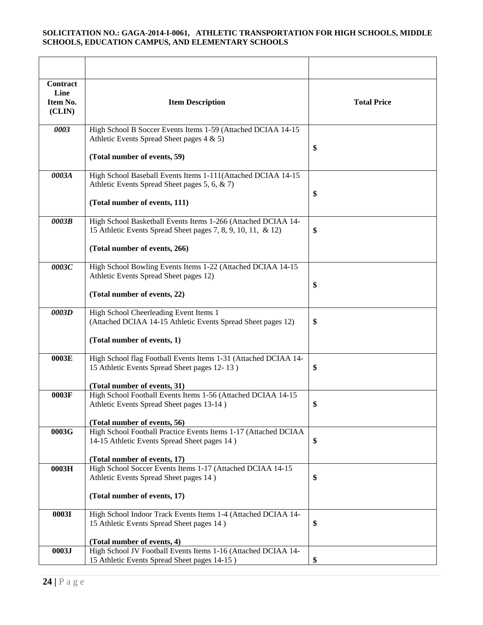| Contract<br>Line<br>Item No.<br>(CLIN) | <b>Item Description</b>                                                                                                                                        | <b>Total Price</b> |
|----------------------------------------|----------------------------------------------------------------------------------------------------------------------------------------------------------------|--------------------|
| 0003                                   | High School B Soccer Events Items 1-59 (Attached DCIAA 14-15<br>Athletic Events Spread Sheet pages 4 & 5)<br>(Total number of events, 59)                      | \$                 |
| 0003A                                  | High School Baseball Events Items 1-111(Attached DCIAA 14-15<br>Athletic Events Spread Sheet pages 5, 6, & 7)<br>(Total number of events, 111)                 | \$                 |
| 0003B                                  | High School Basketball Events Items 1-266 (Attached DCIAA 14-<br>15 Athletic Events Spread Sheet pages 7, 8, 9, 10, 11, & 12)<br>(Total number of events, 266) | \$                 |
| 0003C                                  | High School Bowling Events Items 1-22 (Attached DCIAA 14-15<br>Athletic Events Spread Sheet pages 12)<br>(Total number of events, 22)                          | \$                 |
| 0003D                                  | High School Cheerleading Event Items 1<br>(Attached DCIAA 14-15 Athletic Events Spread Sheet pages 12)<br>(Total number of events, 1)                          | \$                 |
| 0003E                                  | High School flag Football Events Items 1-31 (Attached DCIAA 14-<br>15 Athletic Events Spread Sheet pages 12-13)<br>(Total number of events, 31)                | \$                 |
| 0003F                                  | High School Football Events Items 1-56 (Attached DCIAA 14-15<br>Athletic Events Spread Sheet pages 13-14)<br>(Total number of events, 56)                      | \$                 |
| 0003G                                  | High School Football Practice Events Items 1-17 (Attached DCIAA<br>14-15 Athletic Events Spread Sheet pages 14)<br>(Total number of events, 17)                | \$                 |
| 0003H                                  | High School Soccer Events Items 1-17 (Attached DCIAA 14-15<br>Athletic Events Spread Sheet pages 14)<br>(Total number of events, 17)                           | \$                 |
| 0003I                                  | High School Indoor Track Events Items 1-4 (Attached DCIAA 14-<br>15 Athletic Events Spread Sheet pages 14)<br>(Total number of events, 4)                      | \$                 |
| 0003J                                  | High School JV Football Events Items 1-16 (Attached DCIAA 14-<br>15 Athletic Events Spread Sheet pages 14-15)                                                  | \$                 |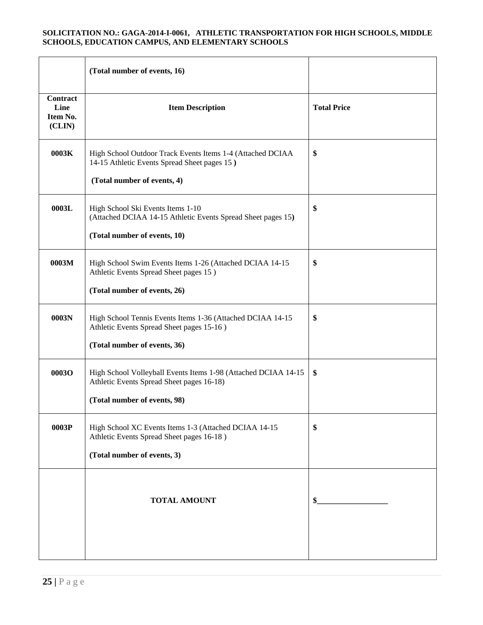|                                               | (Total number of events, 16)                                                                                                                |                    |
|-----------------------------------------------|---------------------------------------------------------------------------------------------------------------------------------------------|--------------------|
| <b>Contract</b><br>Line<br>Item No.<br>(CLIN) | <b>Item Description</b>                                                                                                                     | <b>Total Price</b> |
| 0003K                                         | High School Outdoor Track Events Items 1-4 (Attached DCIAA<br>14-15 Athletic Events Spread Sheet pages 15)<br>(Total number of events, 4)   | \$                 |
| 0003L                                         | High School Ski Events Items 1-10<br>(Attached DCIAA 14-15 Athletic Events Spread Sheet pages 15)<br>(Total number of events, 10)           | \$                 |
| 0003M                                         | High School Swim Events Items 1-26 (Attached DCIAA 14-15<br>Athletic Events Spread Sheet pages 15)<br>(Total number of events, 26)          | \$                 |
| 0003N                                         | High School Tennis Events Items 1-36 (Attached DCIAA 14-15<br>Athletic Events Spread Sheet pages 15-16)<br>(Total number of events, 36)     | \$                 |
| <b>0003O</b>                                  | High School Volleyball Events Items 1-98 (Attached DCIAA 14-15<br>Athletic Events Spread Sheet pages 16-18)<br>(Total number of events, 98) | \$                 |
| 0003P                                         | High School XC Events Items 1-3 (Attached DCIAA 14-15<br>Athletic Events Spread Sheet pages 16-18)<br>(Total number of events, 3)           | \$                 |
|                                               | <b>TOTAL AMOUNT</b>                                                                                                                         | \$                 |
|                                               |                                                                                                                                             |                    |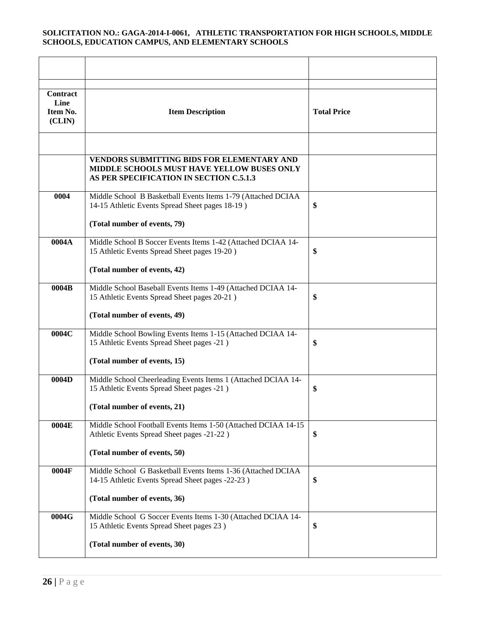| <b>Contract</b><br>Line<br>Item No.<br>(CLIN) | <b>Item Description</b>                                                                                                             | <b>Total Price</b> |
|-----------------------------------------------|-------------------------------------------------------------------------------------------------------------------------------------|--------------------|
|                                               |                                                                                                                                     |                    |
|                                               | VENDORS SUBMITTING BIDS FOR ELEMENTARY AND<br>MIDDLE SCHOOLS MUST HAVE YELLOW BUSES ONLY<br>AS PER SPECIFICATION IN SECTION C.5.1.3 |                    |
| 0004                                          | Middle School B Basketball Events Items 1-79 (Attached DCIAA<br>14-15 Athletic Events Spread Sheet pages 18-19)                     | \$                 |
|                                               | (Total number of events, 79)                                                                                                        |                    |
| 0004A                                         | Middle School B Soccer Events Items 1-42 (Attached DCIAA 14-<br>15 Athletic Events Spread Sheet pages 19-20)                        | \$                 |
|                                               | (Total number of events, 42)                                                                                                        |                    |
| 0004B                                         | Middle School Baseball Events Items 1-49 (Attached DCIAA 14-<br>15 Athletic Events Spread Sheet pages 20-21)                        | \$                 |
|                                               | (Total number of events, 49)                                                                                                        |                    |
| 0004C                                         | Middle School Bowling Events Items 1-15 (Attached DCIAA 14-<br>15 Athletic Events Spread Sheet pages -21)                           | \$                 |
|                                               | (Total number of events, 15)                                                                                                        |                    |
| 0004D                                         | Middle School Cheerleading Events Items 1 (Attached DCIAA 14-<br>15 Athletic Events Spread Sheet pages -21)                         | \$                 |
|                                               | (Total number of events, 21)                                                                                                        |                    |
| 0004E                                         | Middle School Football Events Items 1-50 (Attached DCIAA 14-15<br>Athletic Events Spread Sheet pages -21-22)                        | \$                 |
|                                               | (Total number of events, 50)                                                                                                        |                    |
| 0004F                                         | Middle School G Basketball Events Items 1-36 (Attached DCIAA<br>14-15 Athletic Events Spread Sheet pages -22-23)                    | \$                 |
|                                               | (Total number of events, 36)                                                                                                        |                    |
| 0004G                                         | Middle School G Soccer Events Items 1-30 (Attached DCIAA 14-<br>15 Athletic Events Spread Sheet pages 23)                           | \$                 |
|                                               | (Total number of events, 30)                                                                                                        |                    |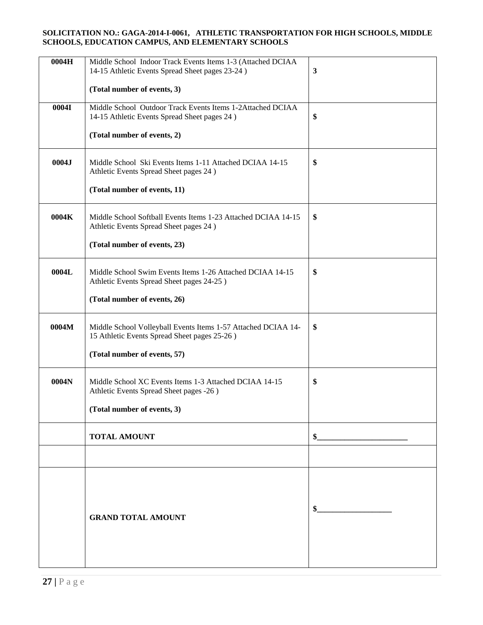| 0004H | Middle School Indoor Track Events Items 1-3 (Attached DCIAA<br>14-15 Athletic Events Spread Sheet pages 23-24) | $\mathbf{3}$ |  |  |
|-------|----------------------------------------------------------------------------------------------------------------|--------------|--|--|
|       | (Total number of events, 3)                                                                                    |              |  |  |
|       |                                                                                                                |              |  |  |
| 0004I | Middle School Outdoor Track Events Items 1-2Attached DCIAA<br>14-15 Athletic Events Spread Sheet pages 24)     | \$           |  |  |
|       | (Total number of events, 2)                                                                                    |              |  |  |
| 0004J | Middle School Ski Events Items 1-11 Attached DCIAA 14-15<br>Athletic Events Spread Sheet pages 24)             | \$           |  |  |
|       | (Total number of events, 11)                                                                                   |              |  |  |
| 0004K | Middle School Softball Events Items 1-23 Attached DCIAA 14-15<br>Athletic Events Spread Sheet pages 24)        | \$           |  |  |
|       | (Total number of events, 23)                                                                                   |              |  |  |
| 0004L | Middle School Swim Events Items 1-26 Attached DCIAA 14-15<br>Athletic Events Spread Sheet pages 24-25)         | \$           |  |  |
|       | (Total number of events, 26)                                                                                   |              |  |  |
| 0004M | Middle School Volleyball Events Items 1-57 Attached DCIAA 14-<br>15 Athletic Events Spread Sheet pages 25-26)  | \$           |  |  |
|       | (Total number of events, 57)                                                                                   |              |  |  |
| 0004N | Middle School XC Events Items 1-3 Attached DCIAA 14-15<br>Athletic Events Spread Sheet pages -26)              | \$           |  |  |
|       | (Total number of events, 3)                                                                                    |              |  |  |
|       | <b>TOTAL AMOUNT</b>                                                                                            | \$           |  |  |
|       |                                                                                                                |              |  |  |
|       |                                                                                                                |              |  |  |
|       |                                                                                                                |              |  |  |
|       | <b>GRAND TOTAL AMOUNT</b>                                                                                      | \$           |  |  |
|       |                                                                                                                |              |  |  |
|       |                                                                                                                |              |  |  |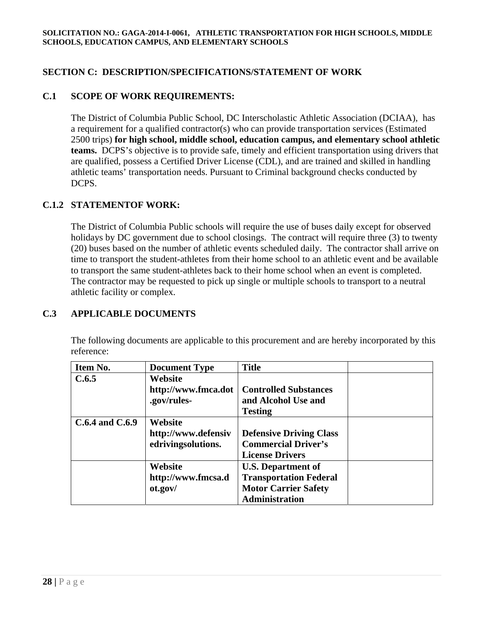## **SECTION C: DESCRIPTION/SPECIFICATIONS/STATEMENT OF WORK**

## **C.1 SCOPE OF WORK REQUIREMENTS:**

The District of Columbia Public School, DC Interscholastic Athletic Association (DCIAA), has a requirement for a qualified contractor(s) who can provide transportation services (Estimated 2500 trips) **for high school, middle school, education campus, and elementary school athletic teams.** DCPS's objective is to provide safe, timely and efficient transportation using drivers that are qualified, possess a Certified Driver License (CDL), and are trained and skilled in handling athletic teams' transportation needs. Pursuant to Criminal background checks conducted by DCPS.

### **C.1.2 STATEMENTOF WORK:**

The District of Columbia Public schools will require the use of buses daily except for observed holidays by DC government due to school closings. The contract will require three (3) to twenty (20) buses based on the number of athletic events scheduled daily. The contractor shall arrive on time to transport the student-athletes from their home school to an athletic event and be available to transport the same student-athletes back to their home school when an event is completed. The contractor may be requested to pick up single or multiple schools to transport to a neutral athletic facility or complex.

#### **C.3 APPLICABLE DOCUMENTS**

The following documents are applicable to this procurement and are hereby incorporated by this reference:

| Item No.            | <b>Document Type</b> | <b>Title</b>                   |  |
|---------------------|----------------------|--------------------------------|--|
| C.6.5               | Website              |                                |  |
|                     | http://www.fmca.dot  | <b>Controlled Substances</b>   |  |
|                     | .gov/rules-          | and Alcohol Use and            |  |
|                     |                      | <b>Testing</b>                 |  |
| $C.6.4$ and $C.6.9$ | Website              |                                |  |
|                     | http://www.defensiv  | <b>Defensive Driving Class</b> |  |
|                     | edrivingsolutions.   | <b>Commercial Driver's</b>     |  |
|                     |                      | <b>License Drivers</b>         |  |
|                     | Website              | <b>U.S. Department of</b>      |  |
|                     | http://www.fmcsa.d   | <b>Transportation Federal</b>  |  |
|                     | ot.gov/              | <b>Motor Carrier Safety</b>    |  |
|                     |                      | <b>Administration</b>          |  |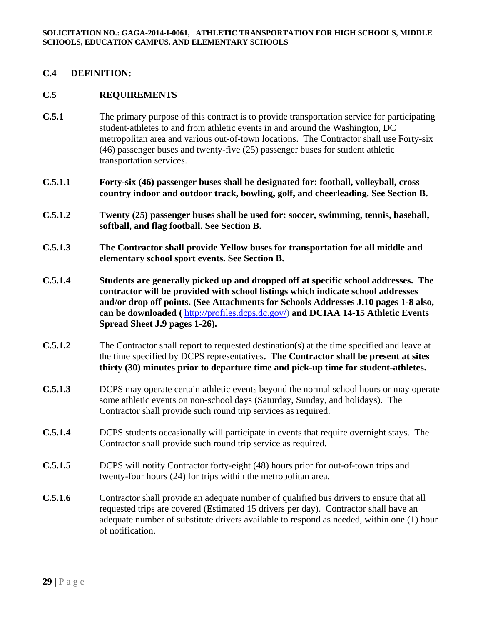#### **C.4 DEFINITION:**

#### **C.5 REQUIREMENTS**

- **C.5.1** The primary purpose of this contract is to provide transportation service for participating student-athletes to and from athletic events in and around the Washington, DC metropolitan area and various out-of-town locations. The Contractor shall use Forty-six (46) passenger buses and twenty-five (25) passenger buses for student athletic transportation services.
- **C.5.1.1 Forty-six (46) passenger buses shall be designated for: football, volleyball, cross country indoor and outdoor track, bowling, golf, and cheerleading. See Section B.**
- **C.5.1.2 Twenty (25) passenger buses shall be used for: soccer, swimming, tennis, baseball, softball, and flag football. See Section B.**
- **C.5.1.3 The Contractor shall provide Yellow buses for transportation for all middle and elementary school sport events. See Section B.**
- **C.5.1.4 Students are generally picked up and dropped off at specific school addresses. The contractor will be provided with school listings which indicate school addresses and/or drop off points. (See Attachments for Schools Addresses J.10 pages 1-8 also, can be downloaded (** http://profiles.dcps.dc.gov/) **and DCIAA 14-15 Athletic Events Spread Sheet J.9 pages 1-26).**
- **C.5.1.2** The Contractor shall report to requested destination(s) at the time specified and leave at the time specified by DCPS representatives**. The Contractor shall be present at sites thirty (30) minutes prior to departure time and pick-up time for student-athletes.**
- **C.5.1.3** DCPS may operate certain athletic events beyond the normal school hours or may operate some athletic events on non-school days (Saturday, Sunday, and holidays). The Contractor shall provide such round trip services as required.
- **C.5.1.4** DCPS students occasionally will participate in events that require overnight stays. The Contractor shall provide such round trip service as required.
- **C.5.1.5** DCPS will notify Contractor forty-eight (48) hours prior for out-of-town trips and twenty-four hours (24) for trips within the metropolitan area.
- **C.5.1.6** Contractor shall provide an adequate number of qualified bus drivers to ensure that all requested trips are covered (Estimated 15 drivers per day). Contractor shall have an adequate number of substitute drivers available to respond as needed, within one (1) hour of notification.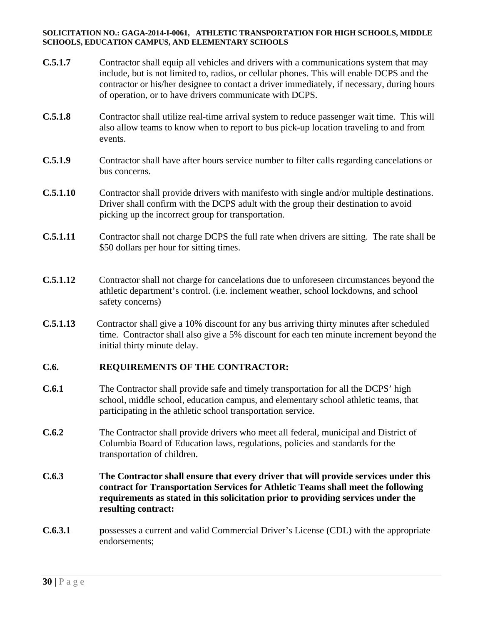- **C.5.1.7** Contractor shall equip all vehicles and drivers with a communications system that may include, but is not limited to, radios, or cellular phones. This will enable DCPS and the contractor or his/her designee to contact a driver immediately, if necessary, during hours of operation, or to have drivers communicate with DCPS.
- **C.5.1.8** Contractor shall utilize real-time arrival system to reduce passenger wait time. This will also allow teams to know when to report to bus pick-up location traveling to and from events.
- **C.5.1.9** Contractor shall have after hours service number to filter calls regarding cancelations or bus concerns.
- **C.5.1.10** Contractor shall provide drivers with manifesto with single and/or multiple destinations. Driver shall confirm with the DCPS adult with the group their destination to avoid picking up the incorrect group for transportation.
- **C.5.1.11** Contractor shall not charge DCPS the full rate when drivers are sitting. The rate shall be \$50 dollars per hour for sitting times.
- **C.5.1.12** Contractor shall not charge for cancelations due to unforeseen circumstances beyond the athletic department's control. (i.e. inclement weather, school lockdowns, and school safety concerns)
- **C.5.1.13** Contractor shall give a 10% discount for any bus arriving thirty minutes after scheduled time. Contractor shall also give a 5% discount for each ten minute increment beyond the initial thirty minute delay.

## **C.6. REQUIREMENTS OF THE CONTRACTOR:**

- **C.6.1** The Contractor shall provide safe and timely transportation for all the DCPS' high school, middle school, education campus, and elementary school athletic teams, that participating in the athletic school transportation service.
- **C.6.2** The Contractor shall provide drivers who meet all federal, municipal and District of Columbia Board of Education laws, regulations, policies and standards for the transportation of children.
- **C.6.3 The Contractor shall ensure that every driver that will provide services under this contract for Transportation Services for Athletic Teams shall meet the following requirements as stated in this solicitation prior to providing services under the resulting contract:**
- **C.6.3.1 p**ossesses a current and valid Commercial Driver's License (CDL) with the appropriate endorsements;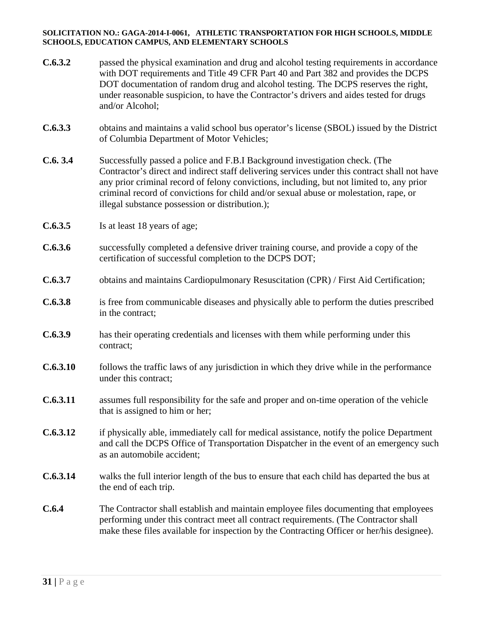| C.6.3.2  | passed the physical examination and drug and alcohol testing requirements in accordance<br>with DOT requirements and Title 49 CFR Part 40 and Part 382 and provides the DCPS<br>DOT documentation of random drug and alcohol testing. The DCPS reserves the right,<br>under reasonable suspicion, to have the Contractor's drivers and aides tested for drugs<br>and/or Alcohol;                                      |
|----------|-----------------------------------------------------------------------------------------------------------------------------------------------------------------------------------------------------------------------------------------------------------------------------------------------------------------------------------------------------------------------------------------------------------------------|
| C.6.3.3  | obtains and maintains a valid school bus operator's license (SBOL) issued by the District<br>of Columbia Department of Motor Vehicles;                                                                                                                                                                                                                                                                                |
| C.6.3.4  | Successfully passed a police and F.B.I Background investigation check. (The<br>Contractor's direct and indirect staff delivering services under this contract shall not have<br>any prior criminal record of felony convictions, including, but not limited to, any prior<br>criminal record of convictions for child and/or sexual abuse or molestation, rape, or<br>illegal substance possession or distribution.); |
| C.6.3.5  | Is at least 18 years of age;                                                                                                                                                                                                                                                                                                                                                                                          |
| C.6.3.6  | successfully completed a defensive driver training course, and provide a copy of the<br>certification of successful completion to the DCPS DOT;                                                                                                                                                                                                                                                                       |
| C.6.3.7  | obtains and maintains Cardiopulmonary Resuscitation (CPR) / First Aid Certification;                                                                                                                                                                                                                                                                                                                                  |
| C.6.3.8  | is free from communicable diseases and physically able to perform the duties prescribed<br>in the contract;                                                                                                                                                                                                                                                                                                           |
| C.6.3.9  | has their operating credentials and licenses with them while performing under this<br>contract;                                                                                                                                                                                                                                                                                                                       |
| C.6.3.10 | follows the traffic laws of any jurisdiction in which they drive while in the performance<br>under this contract;                                                                                                                                                                                                                                                                                                     |
| C.6.3.11 | assumes full responsibility for the safe and proper and on-time operation of the vehicle<br>that is assigned to him or her;                                                                                                                                                                                                                                                                                           |
| C.6.3.12 | if physically able, immediately call for medical assistance, notify the police Department<br>and call the DCPS Office of Transportation Dispatcher in the event of an emergency such<br>as an automobile accident;                                                                                                                                                                                                    |
| C.6.3.14 | walks the full interior length of the bus to ensure that each child has departed the bus at<br>the end of each trip.                                                                                                                                                                                                                                                                                                  |
| C.6.4    | The Contractor shall establish and maintain employee files documenting that employees<br>performing under this contract meet all contract requirements. (The Contractor shall<br>make these files available for inspection by the Contracting Officer or her/his designee).                                                                                                                                           |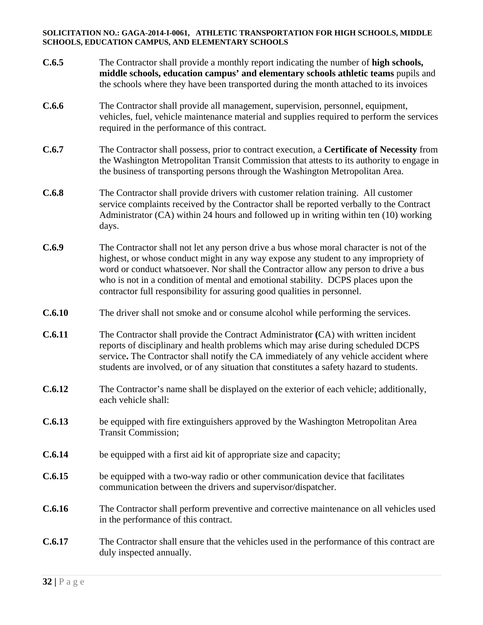| C.6.5  | The Contractor shall provide a monthly report indicating the number of high schools,<br>middle schools, education campus' and elementary schools athletic teams pupils and<br>the schools where they have been transported during the month attached to its invoices                                                                                                                                                                    |
|--------|-----------------------------------------------------------------------------------------------------------------------------------------------------------------------------------------------------------------------------------------------------------------------------------------------------------------------------------------------------------------------------------------------------------------------------------------|
| C.6.6  | The Contractor shall provide all management, supervision, personnel, equipment,<br>vehicles, fuel, vehicle maintenance material and supplies required to perform the services<br>required in the performance of this contract.                                                                                                                                                                                                          |
| C.6.7  | The Contractor shall possess, prior to contract execution, a Certificate of Necessity from<br>the Washington Metropolitan Transit Commission that attests to its authority to engage in<br>the business of transporting persons through the Washington Metropolitan Area.                                                                                                                                                               |
| C.6.8  | The Contractor shall provide drivers with customer relation training. All customer<br>service complaints received by the Contractor shall be reported verbally to the Contract<br>Administrator (CA) within 24 hours and followed up in writing within ten (10) working<br>days.                                                                                                                                                        |
| C.6.9  | The Contractor shall not let any person drive a bus whose moral character is not of the<br>highest, or whose conduct might in any way expose any student to any impropriety of<br>word or conduct whatsoever. Nor shall the Contractor allow any person to drive a bus<br>who is not in a condition of mental and emotional stability. DCPS places upon the<br>contractor full responsibility for assuring good qualities in personnel. |
| C.6.10 | The driver shall not smoke and or consume alcohol while performing the services.                                                                                                                                                                                                                                                                                                                                                        |
| C.6.11 | The Contractor shall provide the Contract Administrator (CA) with written incident<br>reports of disciplinary and health problems which may arise during scheduled DCPS<br>service. The Contractor shall notify the CA immediately of any vehicle accident where<br>students are involved, or of any situation that constitutes a safety hazard to students.                                                                            |
| C.6.12 | The Contractor's name shall be displayed on the exterior of each vehicle; additionally,<br>each vehicle shall:                                                                                                                                                                                                                                                                                                                          |
| C.6.13 | be equipped with fire extinguishers approved by the Washington Metropolitan Area<br><b>Transit Commission;</b>                                                                                                                                                                                                                                                                                                                          |
| C.6.14 | be equipped with a first aid kit of appropriate size and capacity;                                                                                                                                                                                                                                                                                                                                                                      |
| C.6.15 | be equipped with a two-way radio or other communication device that facilitates<br>communication between the drivers and supervisor/dispatcher.                                                                                                                                                                                                                                                                                         |
| C.6.16 | The Contractor shall perform preventive and corrective maintenance on all vehicles used<br>in the performance of this contract.                                                                                                                                                                                                                                                                                                         |
| C.6.17 | The Contractor shall ensure that the vehicles used in the performance of this contract are<br>duly inspected annually.                                                                                                                                                                                                                                                                                                                  |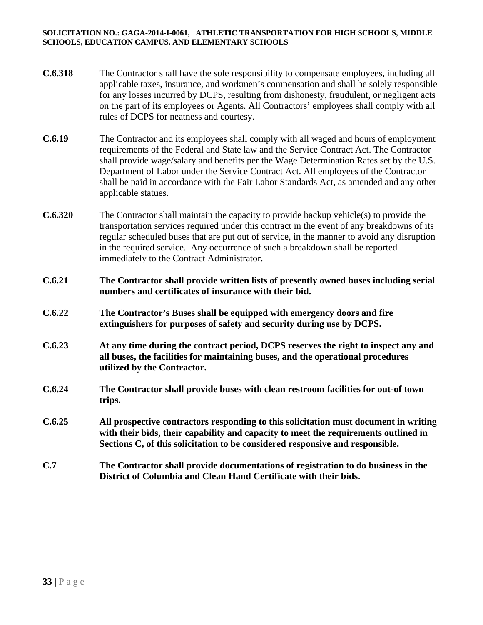- **C.6.318** The Contractor shall have the sole responsibility to compensate employees, including all applicable taxes, insurance, and workmen's compensation and shall be solely responsible for any losses incurred by DCPS, resulting from dishonesty, fraudulent, or negligent acts on the part of its employees or Agents. All Contractors' employees shall comply with all rules of DCPS for neatness and courtesy.
- **C.6.19** The Contractor and its employees shall comply with all waged and hours of employment requirements of the Federal and State law and the Service Contract Act. The Contractor shall provide wage/salary and benefits per the Wage Determination Rates set by the U.S. Department of Labor under the Service Contract Act. All employees of the Contractor shall be paid in accordance with the Fair Labor Standards Act, as amended and any other applicable statues.
- **C.6.320** The Contractor shall maintain the capacity to provide backup vehicle(s) to provide the transportation services required under this contract in the event of any breakdowns of its regular scheduled buses that are put out of service, in the manner to avoid any disruption in the required service. Any occurrence of such a breakdown shall be reported immediately to the Contract Administrator.
- **C.6.21 The Contractor shall provide written lists of presently owned buses including serial numbers and certificates of insurance with their bid.**
- **C.6.22 The Contractor's Buses shall be equipped with emergency doors and fire extinguishers for purposes of safety and security during use by DCPS.**
- **C.6.23 At any time during the contract period, DCPS reserves the right to inspect any and all buses, the facilities for maintaining buses, and the operational procedures utilized by the Contractor.**
- **C.6.24 The Contractor shall provide buses with clean restroom facilities for out-of town trips.**
- **C.6.25 All prospective contractors responding to this solicitation must document in writing with their bids, their capability and capacity to meet the requirements outlined in Sections C, of this solicitation to be considered responsive and responsible.**
- **C.7 The Contractor shall provide documentations of registration to do business in the District of Columbia and Clean Hand Certificate with their bids.**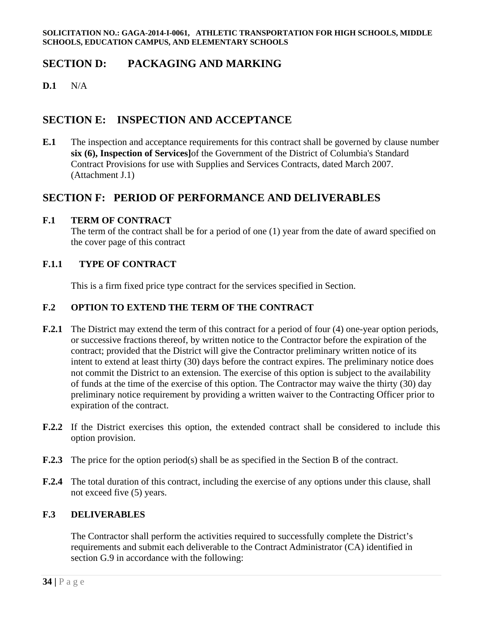# **SECTION D: PACKAGING AND MARKING**

**D.1** N/A

# **SECTION E: INSPECTION AND ACCEPTANCE**

**E.1** The inspection and acceptance requirements for this contract shall be governed by clause number **six (6), Inspection of Services]**of the Government of the District of Columbia's Standard Contract Provisions for use with Supplies and Services Contracts, dated March 2007. (Attachment J.1)

## **SECTION F: PERIOD OF PERFORMANCE AND DELIVERABLES**

### **F.1 TERM OF CONTRACT**

The term of the contract shall be for a period of one (1) year from the date of award specified on the cover page of this contract

### **F.1.1 TYPE OF CONTRACT**

This is a firm fixed price type contract for the services specified in Section.

### **F.2 OPTION TO EXTEND THE TERM OF THE CONTRACT**

- **F.2.1** The District may extend the term of this contract for a period of four (4) one-year option periods, or successive fractions thereof, by written notice to the Contractor before the expiration of the contract; provided that the District will give the Contractor preliminary written notice of its intent to extend at least thirty (30) days before the contract expires. The preliminary notice does not commit the District to an extension. The exercise of this option is subject to the availability of funds at the time of the exercise of this option. The Contractor may waive the thirty (30) day preliminary notice requirement by providing a written waiver to the Contracting Officer prior to expiration of the contract.
- **F.2.2** If the District exercises this option, the extended contract shall be considered to include this option provision.
- **F.2.3** The price for the option period(s) shall be as specified in the Section B of the contract.
- **F.2.4** The total duration of this contract, including the exercise of any options under this clause, shall not exceed five (5) years.

## **F.3 DELIVERABLES**

The Contractor shall perform the activities required to successfully complete the District's requirements and submit each deliverable to the Contract Administrator (CA) identified in section G.9 in accordance with the following: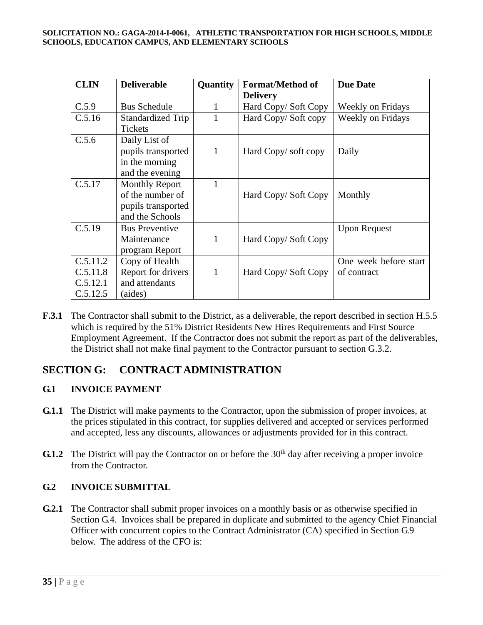| <b>CLIN</b>                                  | <b>Deliverable</b>                                                                 | Quantity | <b>Format/Method of</b><br><b>Delivery</b> | <b>Due Date</b>                      |
|----------------------------------------------|------------------------------------------------------------------------------------|----------|--------------------------------------------|--------------------------------------|
| C.5.9                                        | <b>Bus Schedule</b>                                                                |          | Hard Copy/Soft Copy                        | <b>Weekly on Fridays</b>             |
| C.5.16                                       | Standardized Trip<br><b>Tickets</b>                                                |          | Hard Copy/Soft copy                        | Weekly on Fridays                    |
| C.5.6                                        | Daily List of<br>pupils transported<br>in the morning<br>and the evening           | 1        | Hard Copy/soft copy                        | Daily                                |
| C.5.17                                       | <b>Monthly Report</b><br>of the number of<br>pupils transported<br>and the Schools | 1        | Hard Copy/Soft Copy                        | Monthly                              |
| C.5.19                                       | <b>Bus Preventive</b><br>Maintenance<br>program Report                             | 1        | Hard Copy/Soft Copy                        | <b>Upon Request</b>                  |
| C.5.11.2<br>C.5.11.8<br>C.5.12.1<br>C.5.12.5 | Copy of Health<br>Report for drivers<br>and attendants<br>(aides)                  | 1        | Hard Copy/Soft Copy                        | One week before start<br>of contract |

**F.3.1** The Contractor shall submit to the District, as a deliverable, the report described in section H.5.5 which is required by the 51% District Residents New Hires Requirements and First Source Employment Agreement. If the Contractor does not submit the report as part of the deliverables, the District shall not make final payment to the Contractor pursuant to section G.3.2.

# **SECTION G: CONTRACT ADMINISTRATION**

## **G.1 INVOICE PAYMENT**

- **G.1.1** The District will make payments to the Contractor, upon the submission of proper invoices, at the prices stipulated in this contract, for supplies delivered and accepted or services performed and accepted, less any discounts, allowances or adjustments provided for in this contract.
- **G.1.2** The District will pay the Contractor on or before the 30<sup>th</sup> day after receiving a proper invoice from the Contractor.

## **G.2 INVOICE SUBMITTAL**

**G.2.1** The Contractor shall submit proper invoices on a monthly basis or as otherwise specified in Section G.4. Invoices shall be prepared in duplicate and submitted to the agency Chief Financial Officer with concurrent copies to the Contract Administrator (CA) specified in Section G.9 below. The address of the CFO is: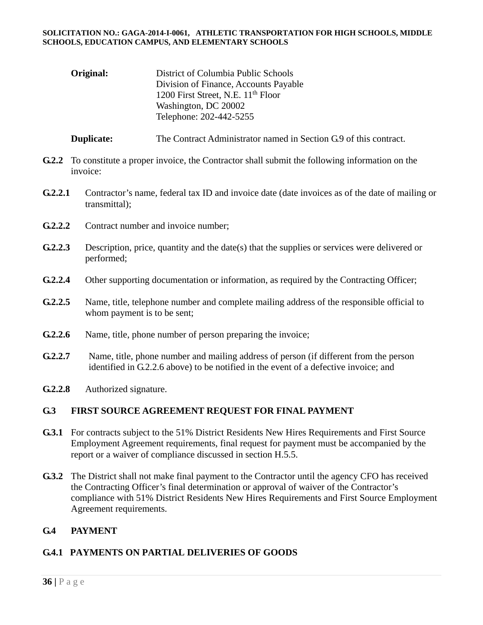| Original: | District of Columbia Public Schools            |  |
|-----------|------------------------------------------------|--|
|           | Division of Finance, Accounts Payable          |  |
|           | 1200 First Street, N.E. 11 <sup>th</sup> Floor |  |
|           | Washington, DC 20002                           |  |
|           | Telephone: 202-442-5255                        |  |

**Duplicate:** The Contract Administrator named in Section G.9 of this contract.

- **G.2.2** To constitute a proper invoice, the Contractor shall submit the following information on the invoice:
- **G.2.2.1** Contractor's name, federal tax ID and invoice date (date invoices as of the date of mailing or transmittal);
- **G.2.2.2** Contract number and invoice number;
- **G.2.2.3** Description, price, quantity and the date(s) that the supplies or services were delivered or performed;
- G.2.2.4 Other supporting documentation or information, as required by the Contracting Officer;
- **G.2.2.5** Name, title, telephone number and complete mailing address of the responsible official to whom payment is to be sent;
- **G.2.2.6** Name, title, phone number of person preparing the invoice;
- **G.2.2.7** Name, title, phone number and mailing address of person (if different from the person identified in G.2.2.6 above) to be notified in the event of a defective invoice; and
- **G.2.2.8** Authorized signature.

## **G.3 FIRST SOURCE AGREEMENT REQUEST FOR FINAL PAYMENT**

- **G.3.1** For contracts subject to the 51% District Residents New Hires Requirements and First Source Employment Agreement requirements, final request for payment must be accompanied by the report or a waiver of compliance discussed in section H.5.5.
- **G.3.2** The District shall not make final payment to the Contractor until the agency CFO has received the Contracting Officer's final determination or approval of waiver of the Contractor's compliance with 51% District Residents New Hires Requirements and First Source Employment Agreement requirements.

## **G.4 PAYMENT**

## **G.4.1 PAYMENTS ON PARTIAL DELIVERIES OF GOODS**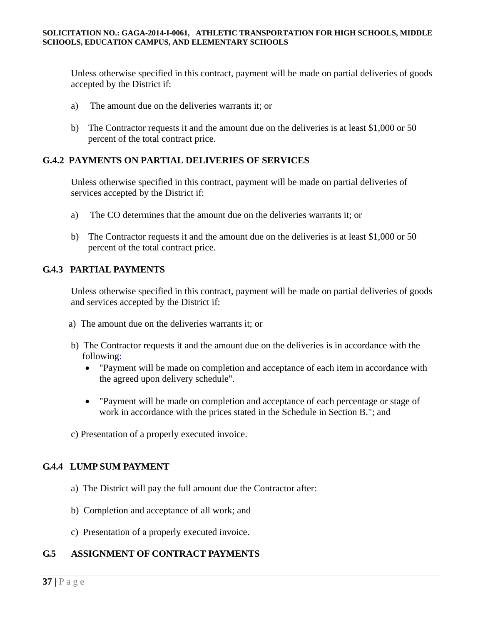Unless otherwise specified in this contract, payment will be made on partial deliveries of goods accepted by the District if:

- a) The amount due on the deliveries warrants it; or
- b) The Contractor requests it and the amount due on the deliveries is at least \$1,000 or 50 percent of the total contract price.

## **G.4.2 PAYMENTS ON PARTIAL DELIVERIES OF SERVICES**

Unless otherwise specified in this contract, payment will be made on partial deliveries of services accepted by the District if:

- a) The CO determines that the amount due on the deliveries warrants it; or
- b) The Contractor requests it and the amount due on the deliveries is at least \$1,000 or 50 percent of the total contract price.

## **G.4.3 PARTIAL PAYMENTS**

Unless otherwise specified in this contract, payment will be made on partial deliveries of goods and services accepted by the District if:

- a) The amount due on the deliveries warrants it; or
- b) The Contractor requests it and the amount due on the deliveries is in accordance with the following:
	- "Payment will be made on completion and acceptance of each item in accordance with the agreed upon delivery schedule".
	- "Payment will be made on completion and acceptance of each percentage or stage of work in accordance with the prices stated in the Schedule in Section B."; and
- c) Presentation of a properly executed invoice.

## **G.4.4 LUMP SUM PAYMENT**

- a) The District will pay the full amount due the Contractor after:
- b) Completion and acceptance of all work; and
- c) Presentation of a properly executed invoice.

## **G.5 ASSIGNMENT OF CONTRACT PAYMENTS**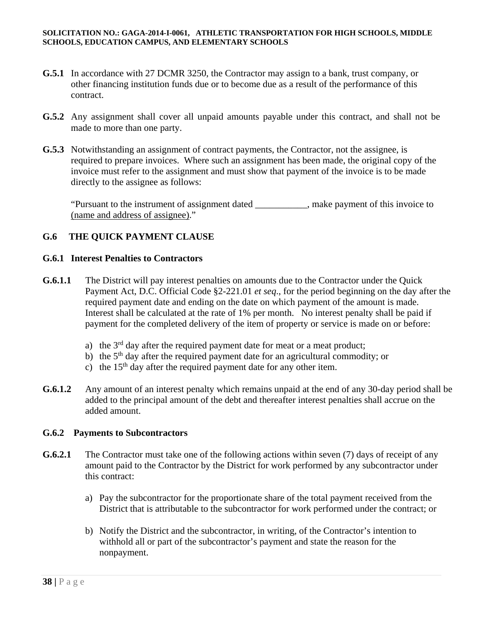- **G.5.1** In accordance with 27 DCMR 3250, the Contractor may assign to a bank, trust company, or other financing institution funds due or to become due as a result of the performance of this contract.
- **G.5.2** Any assignment shall cover all unpaid amounts payable under this contract, and shall not be made to more than one party.
- **G.5.3** Notwithstanding an assignment of contract payments, the Contractor, not the assignee, is required to prepare invoices. Where such an assignment has been made, the original copy of the invoice must refer to the assignment and must show that payment of the invoice is to be made directly to the assignee as follows:

"Pursuant to the instrument of assignment dated \_\_\_\_\_\_\_\_\_\_\_, make payment of this invoice to (name and address of assignee)."

## **G.6 THE QUICK PAYMENT CLAUSE**

### **G.6.1 Interest Penalties to Contractors**

- **G.6.1.1** The District will pay interest penalties on amounts due to the Contractor under the Quick Payment Act, D.C. Official Code §2-221.01 *et seq*., for the period beginning on the day after the required payment date and ending on the date on which payment of the amount is made. Interest shall be calculated at the rate of 1% per month. No interest penalty shall be paid if payment for the completed delivery of the item of property or service is made on or before:
	- a) the  $3<sup>rd</sup>$  day after the required payment date for meat or a meat product;
	- b) the  $5<sup>th</sup>$  day after the required payment date for an agricultural commodity; or
	- c) the  $15<sup>th</sup>$  day after the required payment date for any other item.
- **G.6.1.2** Any amount of an interest penalty which remains unpaid at the end of any 30-day period shall be added to the principal amount of the debt and thereafter interest penalties shall accrue on the added amount.

#### **G.6.2 Payments to Subcontractors**

- **G.6.2.1** The Contractor must take one of the following actions within seven (7) days of receipt of any amount paid to the Contractor by the District for work performed by any subcontractor under this contract:
	- a) Pay the subcontractor for the proportionate share of the total payment received from the District that is attributable to the subcontractor for work performed under the contract; or
	- b) Notify the District and the subcontractor, in writing, of the Contractor's intention to withhold all or part of the subcontractor's payment and state the reason for the nonpayment.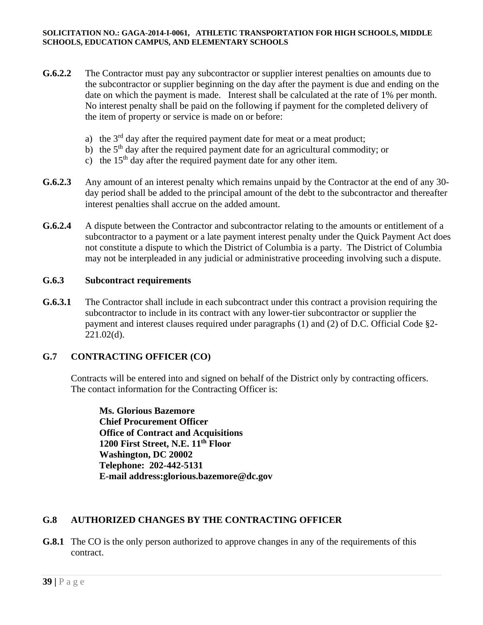- **G.6.2.2** The Contractor must pay any subcontractor or supplier interest penalties on amounts due to the subcontractor or supplier beginning on the day after the payment is due and ending on the date on which the payment is made. Interest shall be calculated at the rate of 1% per month. No interest penalty shall be paid on the following if payment for the completed delivery of the item of property or service is made on or before:
	- a) the  $3<sup>rd</sup>$  day after the required payment date for meat or a meat product;
	- b) the  $5<sup>th</sup>$  day after the required payment date for an agricultural commodity; or
	- c) the  $15<sup>th</sup>$  day after the required payment date for any other item.
- **G.6.2.3** Any amount of an interest penalty which remains unpaid by the Contractor at the end of any 30 day period shall be added to the principal amount of the debt to the subcontractor and thereafter interest penalties shall accrue on the added amount.
- **G.6.2.4** A dispute between the Contractor and subcontractor relating to the amounts or entitlement of a subcontractor to a payment or a late payment interest penalty under the Quick Payment Act does not constitute a dispute to which the District of Columbia is a party. The District of Columbia may not be interpleaded in any judicial or administrative proceeding involving such a dispute.

#### **G.6.3 Subcontract requirements**

**G.6.3.1** The Contractor shall include in each subcontract under this contract a provision requiring the subcontractor to include in its contract with any lower-tier subcontractor or supplier the payment and interest clauses required under paragraphs (1) and (2) of D.C. Official Code §2- 221.02(d).

## **G.7 CONTRACTING OFFICER (CO)**

Contracts will be entered into and signed on behalf of the District only by contracting officers. The contact information for the Contracting Officer is:

**Ms. Glorious Bazemore Chief Procurement Officer Office of Contract and Acquisitions 1200 First Street, N.E. 11th Floor Washington, DC 20002 Telephone: 202-442-5131 E-mail address:glorious.bazemore@dc.gov** 

## **G.8 AUTHORIZED CHANGES BY THE CONTRACTING OFFICER**

**G.8.1** The CO is the only person authorized to approve changes in any of the requirements of this contract.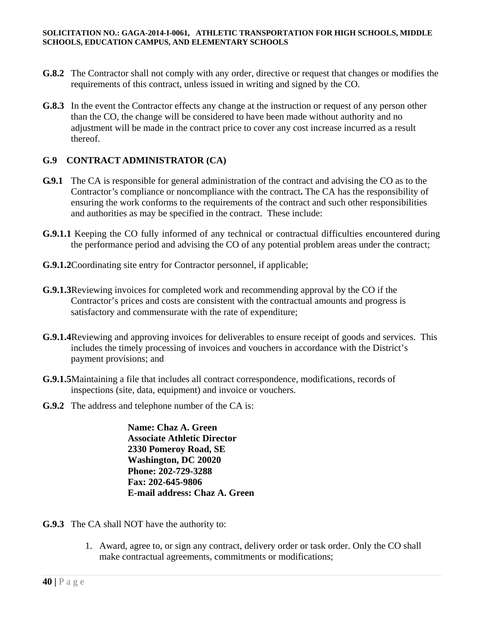- **G.8.2** The Contractor shall not comply with any order, directive or request that changes or modifies the requirements of this contract, unless issued in writing and signed by the CO.
- **G.8.3** In the event the Contractor effects any change at the instruction or request of any person other than the CO, the change will be considered to have been made without authority and no adjustment will be made in the contract price to cover any cost increase incurred as a result thereof.

## **G.9 CONTRACT ADMINISTRATOR (CA)**

- **G.9.1** The CA is responsible for general administration of the contract and advising the CO as to the Contractor's compliance or noncompliance with the contract**.** The CA has the responsibility of ensuring the work conforms to the requirements of the contract and such other responsibilities and authorities as may be specified in the contract. These include:
- **G.9.1.1** Keeping the CO fully informed of any technical or contractual difficulties encountered during the performance period and advising the CO of any potential problem areas under the contract;
- **G.9.1.2**Coordinating site entry for Contractor personnel, if applicable;
- **G.9.1.3**Reviewing invoices for completed work and recommending approval by the CO if the Contractor's prices and costs are consistent with the contractual amounts and progress is satisfactory and commensurate with the rate of expenditure;
- **G.9.1.4**Reviewing and approving invoices for deliverables to ensure receipt of goods and services. This includes the timely processing of invoices and vouchers in accordance with the District's payment provisions; and
- **G.9.1.5**Maintaining a file that includes all contract correspondence, modifications, records of inspections (site, data, equipment) and invoice or vouchers.
- **G.9.2** The address and telephone number of the CA is:

**Name: Chaz A. Green Associate Athletic Director 2330 Pomeroy Road, SE Washington, DC 20020 Phone: 202-729-3288 Fax: 202-645-9806 E-mail address: Chaz A. Green** 

- **G.9.3** The CA shall NOT have the authority to:
	- 1. Award, agree to, or sign any contract, delivery order or task order. Only the CO shall make contractual agreements, commitments or modifications;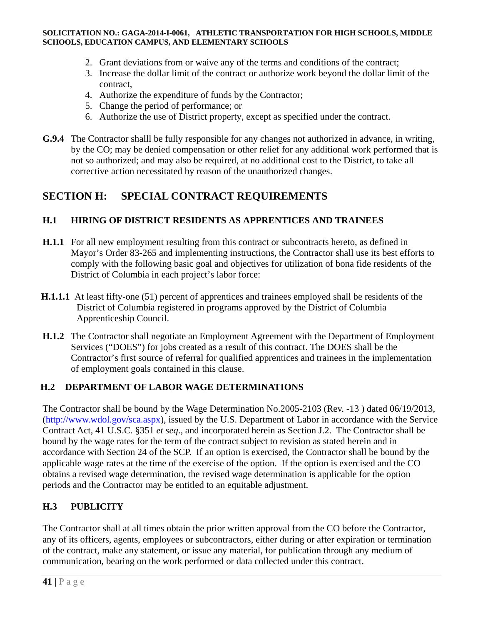- 2. Grant deviations from or waive any of the terms and conditions of the contract;
- 3. Increase the dollar limit of the contract or authorize work beyond the dollar limit of the contract,
- 4. Authorize the expenditure of funds by the Contractor;
- 5. Change the period of performance; or
- 6. Authorize the use of District property, except as specified under the contract.
- **G.9.4** The Contractor shalll be fully responsible for any changes not authorized in advance, in writing, by the CO; may be denied compensation or other relief for any additional work performed that is not so authorized; and may also be required, at no additional cost to the District, to take all corrective action necessitated by reason of the unauthorized changes.

# **SECTION H: SPECIAL CONTRACT REQUIREMENTS**

## **H.1 HIRING OF DISTRICT RESIDENTS AS APPRENTICES AND TRAINEES**

- **H.1.1** For all new employment resulting from this contract or subcontracts hereto, as defined in Mayor's Order 83-265 and implementing instructions, the Contractor shall use its best efforts to comply with the following basic goal and objectives for utilization of bona fide residents of the District of Columbia in each project's labor force:
- **H.1.1.1** At least fifty-one (51) percent of apprentices and trainees employed shall be residents of the District of Columbia registered in programs approved by the District of Columbia Apprenticeship Council.
- **H.1.2** The Contractor shall negotiate an Employment Agreement with the Department of Employment Services ("DOES") for jobs created as a result of this contract. The DOES shall be the Contractor's first source of referral for qualified apprentices and trainees in the implementation of employment goals contained in this clause.

## **H.2 DEPARTMENT OF LABOR WAGE DETERMINATIONS**

The Contractor shall be bound by the Wage Determination No.2005-2103 (Rev. -13 ) dated 06/19/2013, (http://www.wdol.gov/sca.aspx), issued by the U.S. Department of Labor in accordance with the Service Contract Act, 41 U.S.C. §351 *et seq*., and incorporated herein as Section J.2. The Contractor shall be bound by the wage rates for the term of the contract subject to revision as stated herein and in accordance with Section 24 of the SCP. If an option is exercised, the Contractor shall be bound by the applicable wage rates at the time of the exercise of the option. If the option is exercised and the CO obtains a revised wage determination, the revised wage determination is applicable for the option periods and the Contractor may be entitled to an equitable adjustment.

## **H.3 PUBLICITY**

The Contractor shall at all times obtain the prior written approval from the CO before the Contractor, any of its officers, agents, employees or subcontractors, either during or after expiration or termination of the contract, make any statement, or issue any material, for publication through any medium of communication, bearing on the work performed or data collected under this contract.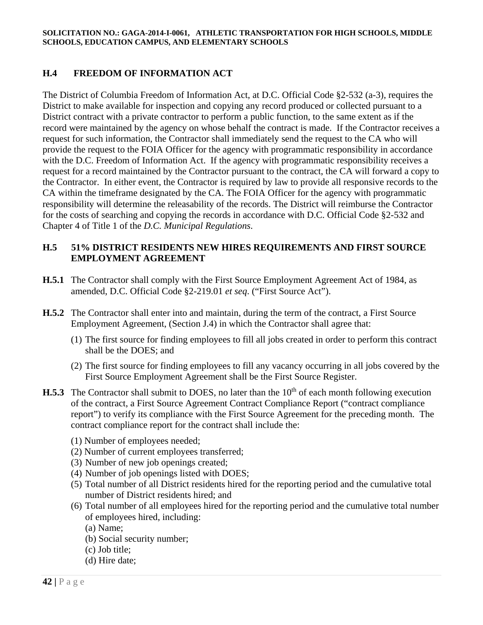## **H.4 FREEDOM OF INFORMATION ACT**

The District of Columbia Freedom of Information Act, at D.C. Official Code §2-532 (a-3), requires the District to make available for inspection and copying any record produced or collected pursuant to a District contract with a private contractor to perform a public function, to the same extent as if the record were maintained by the agency on whose behalf the contract is made. If the Contractor receives a request for such information, the Contractor shall immediately send the request to the CA who will provide the request to the FOIA Officer for the agency with programmatic responsibility in accordance with the D.C. Freedom of Information Act. If the agency with programmatic responsibility receives a request for a record maintained by the Contractor pursuant to the contract, the CA will forward a copy to the Contractor. In either event, the Contractor is required by law to provide all responsive records to the CA within the timeframe designated by the CA. The FOIA Officer for the agency with programmatic responsibility will determine the releasability of the records. The District will reimburse the Contractor for the costs of searching and copying the records in accordance with D.C. Official Code §2-532 and Chapter 4 of Title 1 of the *D.C. Municipal Regulations*.

### **H.5 51% DISTRICT RESIDENTS NEW HIRES REQUIREMENTS AND FIRST SOURCE EMPLOYMENT AGREEMENT**

- **H.5.1** The Contractor shall comply with the First Source Employment Agreement Act of 1984, as amended, D.C. Official Code §2-219.01 *et seq*. ("First Source Act").
- **H.5.2** The Contractor shall enter into and maintain, during the term of the contract, a First Source Employment Agreement, (Section J.4) in which the Contractor shall agree that:
	- (1) The first source for finding employees to fill all jobs created in order to perform this contract shall be the DOES; and
	- (2) The first source for finding employees to fill any vacancy occurring in all jobs covered by the First Source Employment Agreement shall be the First Source Register.
- **H.5.3** The Contractor shall submit to DOES, no later than the 10<sup>th</sup> of each month following execution of the contract, a First Source Agreement Contract Compliance Report ("contract compliance report") to verify its compliance with the First Source Agreement for the preceding month. The contract compliance report for the contract shall include the:
	- (1) Number of employees needed;
	- (2) Number of current employees transferred;
	- (3) Number of new job openings created;
	- (4) Number of job openings listed with DOES;
	- (5) Total number of all District residents hired for the reporting period and the cumulative total number of District residents hired; and
	- (6) Total number of all employees hired for the reporting period and the cumulative total number of employees hired, including:
		- (a) Name;
		- (b) Social security number;
		- (c) Job title;
		- (d) Hire date;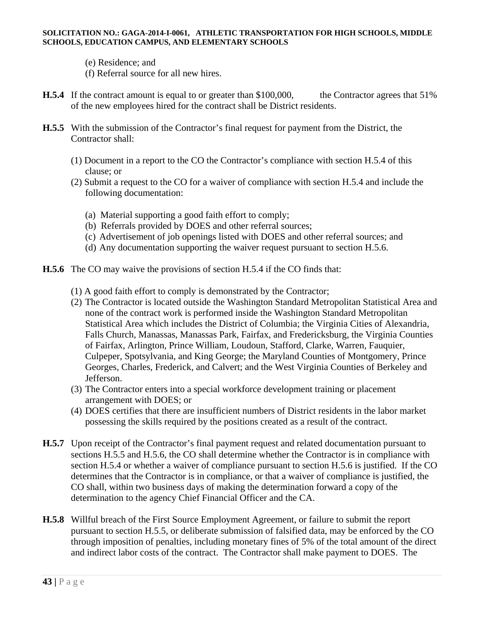- (e) Residence; and
- (f) Referral source for all new hires.
- **H.5.4** If the contract amount is equal to or greater than \$100,000, the Contractor agrees that 51% of the new employees hired for the contract shall be District residents.
- **H.5.5** With the submission of the Contractor's final request for payment from the District, the Contractor shall:
	- (1) Document in a report to the CO the Contractor's compliance with section H.5.4 of this clause; or
	- (2) Submit a request to the CO for a waiver of compliance with section H.5.4 and include the following documentation:
		- (a) Material supporting a good faith effort to comply;
		- (b) Referrals provided by DOES and other referral sources;
		- (c) Advertisement of job openings listed with DOES and other referral sources; and
		- (d) Any documentation supporting the waiver request pursuant to section H.5.6.
- **H.5.6** The CO may waive the provisions of section H.5.4 if the CO finds that:
	- (1) A good faith effort to comply is demonstrated by the Contractor;
	- (2) The Contractor is located outside the Washington Standard Metropolitan Statistical Area and none of the contract work is performed inside the Washington Standard Metropolitan Statistical Area which includes the District of Columbia; the Virginia Cities of Alexandria, Falls Church, Manassas, Manassas Park, Fairfax, and Fredericksburg, the Virginia Counties of Fairfax, Arlington, Prince William, Loudoun, Stafford, Clarke, Warren, Fauquier, Culpeper, Spotsylvania, and King George; the Maryland Counties of Montgomery, Prince Georges, Charles, Frederick, and Calvert; and the West Virginia Counties of Berkeley and Jefferson.
	- (3) The Contractor enters into a special workforce development training or placement arrangement with DOES; or
	- (4) DOES certifies that there are insufficient numbers of District residents in the labor market possessing the skills required by the positions created as a result of the contract.
- **H.5.7** Upon receipt of the Contractor's final payment request and related documentation pursuant to sections H.5.5 and H.5.6, the CO shall determine whether the Contractor is in compliance with section H.5.4 or whether a waiver of compliance pursuant to section H.5.6 is justified. If the CO determines that the Contractor is in compliance, or that a waiver of compliance is justified, the CO shall, within two business days of making the determination forward a copy of the determination to the agency Chief Financial Officer and the CA.
- **H.5.8** Willful breach of the First Source Employment Agreement, or failure to submit the report pursuant to section H.5.5, or deliberate submission of falsified data, may be enforced by the CO through imposition of penalties, including monetary fines of 5% of the total amount of the direct and indirect labor costs of the contract. The Contractor shall make payment to DOES. The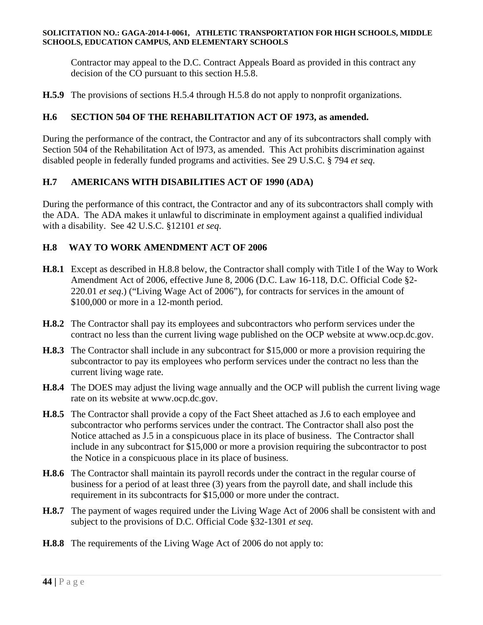Contractor may appeal to the D.C. Contract Appeals Board as provided in this contract any decision of the CO pursuant to this section H.5.8.

**H.5.9** The provisions of sections H.5.4 through H.5.8 do not apply to nonprofit organizations.

## **H.6 SECTION 504 OF THE REHABILITATION ACT OF 1973, as amended.**

During the performance of the contract, the Contractor and any of its subcontractors shall comply with Section 504 of the Rehabilitation Act of l973, as amended. This Act prohibits discrimination against disabled people in federally funded programs and activities. See 29 U.S.C. § 794 *et seq*.

## **H.7 AMERICANS WITH DISABILITIES ACT OF 1990 (ADA)**

During the performance of this contract, the Contractor and any of its subcontractors shall comply with the ADA. The ADA makes it unlawful to discriminate in employment against a qualified individual with a disability. See 42 U.S.C. §12101 *et seq*.

## **H.8 WAY TO WORK AMENDMENT ACT OF 2006**

- **H.8.1** Except as described in H.8.8 below, the Contractor shall comply with Title I of the Way to Work Amendment Act of 2006, effective June 8, 2006 (D.C. Law 16-118, D.C. Official Code §2- 220.01 *et seq*.) ("Living Wage Act of 2006"), for contracts for services in the amount of \$100,000 or more in a 12-month period.
- **H.8.2** The Contractor shall pay its employees and subcontractors who perform services under the contract no less than the current living wage published on the OCP website at www.ocp.dc.gov.
- **H.8.3** The Contractor shall include in any subcontract for \$15,000 or more a provision requiring the subcontractor to pay its employees who perform services under the contract no less than the current living wage rate.
- **H.8.4** The DOES may adjust the living wage annually and the OCP will publish the current living wage rate on its website at www.ocp.dc.gov.
- **H.8.5** The Contractor shall provide a copy of the Fact Sheet attached as J.6 to each employee and subcontractor who performs services under the contract. The Contractor shall also post the Notice attached as J.5 in a conspicuous place in its place of business. The Contractor shall include in any subcontract for \$15,000 or more a provision requiring the subcontractor to post the Notice in a conspicuous place in its place of business.
- **H.8.6** The Contractor shall maintain its payroll records under the contract in the regular course of business for a period of at least three (3) years from the payroll date, and shall include this requirement in its subcontracts for \$15,000 or more under the contract.
- **H.8.7** The payment of wages required under the Living Wage Act of 2006 shall be consistent with and subject to the provisions of D.C. Official Code §32-1301 *et seq*.
- **H.8.8** The requirements of the Living Wage Act of 2006 do not apply to: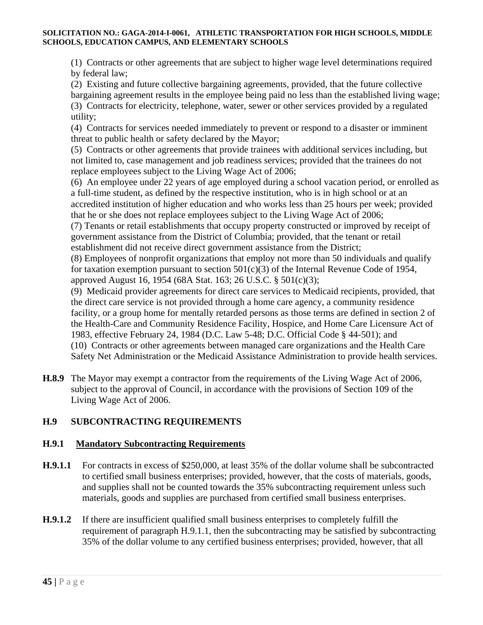(1) Contracts or other agreements that are subject to higher wage level determinations required by federal law;

(2) Existing and future collective bargaining agreements, provided, that the future collective bargaining agreement results in the employee being paid no less than the established living wage; (3) Contracts for electricity, telephone, water, sewer or other services provided by a regulated utility;

(4) Contracts for services needed immediately to prevent or respond to a disaster or imminent threat to public health or safety declared by the Mayor;

(5) Contracts or other agreements that provide trainees with additional services including, but not limited to, case management and job readiness services; provided that the trainees do not replace employees subject to the Living Wage Act of 2006;

(6) An employee under 22 years of age employed during a school vacation period, or enrolled as a full-time student, as defined by the respective institution, who is in high school or at an accredited institution of higher education and who works less than 25 hours per week; provided that he or she does not replace employees subject to the Living Wage Act of 2006;

(7) Tenants or retail establishments that occupy property constructed or improved by receipt of government assistance from the District of Columbia; provided, that the tenant or retail establishment did not receive direct government assistance from the District;

(8) Employees of nonprofit organizations that employ not more than 50 individuals and qualify for taxation exemption pursuant to section  $501(c)(3)$  of the Internal Revenue Code of 1954, approved August 16, 1954 (68A Stat. 163; 26 U.S.C. § 501(c)(3);

(9) Medicaid provider agreements for direct care services to Medicaid recipients, provided, that the direct care service is not provided through a home care agency, a community residence facility, or a group home for mentally retarded persons as those terms are defined in section 2 of the Health-Care and Community Residence Facility, Hospice, and Home Care Licensure Act of 1983, effective February 24, 1984 (D.C. Law 5-48; D.C. Official Code § 44-501); and (10) Contracts or other agreements between managed care organizations and the Health Care Safety Net Administration or the Medicaid Assistance Administration to provide health services.

**H.8.9** The Mayor may exempt a contractor from the requirements of the Living Wage Act of 2006, subject to the approval of Council, in accordance with the provisions of Section 109 of the Living Wage Act of 2006.

# **H.9 SUBCONTRACTING REQUIREMENTS**

## **H.9.1 Mandatory Subcontracting Requirements**

- **H.9.1.1** For contracts in excess of \$250,000, at least 35% of the dollar volume shall be subcontracted to certified small business enterprises; provided, however, that the costs of materials, goods, and supplies shall not be counted towards the 35% subcontracting requirement unless such materials, goods and supplies are purchased from certified small business enterprises.
- **H.9.1.2** If there are insufficient qualified small business enterprises to completely fulfill the requirement of paragraph H.9.1.1, then the subcontracting may be satisfied by subcontracting 35% of the dollar volume to any certified business enterprises; provided, however, that all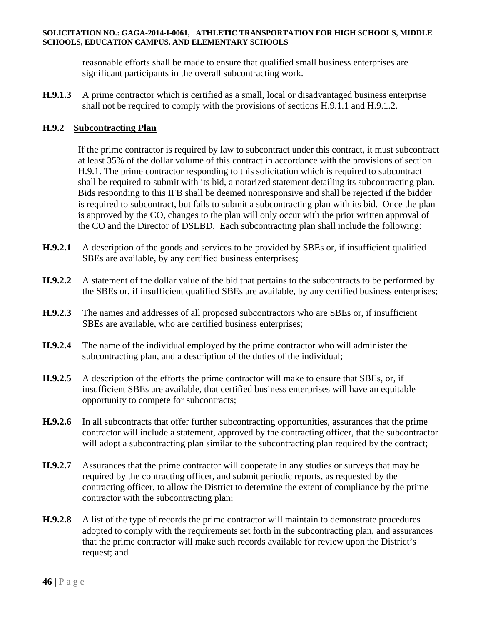reasonable efforts shall be made to ensure that qualified small business enterprises are significant participants in the overall subcontracting work.

**H.9.1.3** A prime contractor which is certified as a small, local or disadvantaged business enterprise shall not be required to comply with the provisions of sections H.9.1.1 and H.9.1.2.

### **H.9.2 Subcontracting Plan**

 If the prime contractor is required by law to subcontract under this contract, it must subcontract at least 35% of the dollar volume of this contract in accordance with the provisions of section H.9.1. The prime contractor responding to this solicitation which is required to subcontract shall be required to submit with its bid, a notarized statement detailing its subcontracting plan. Bids responding to this IFB shall be deemed nonresponsive and shall be rejected if the bidder is required to subcontract, but fails to submit a subcontracting plan with its bid. Once the plan is approved by the CO, changes to the plan will only occur with the prior written approval of the CO and the Director of DSLBD. Each subcontracting plan shall include the following:

- **H.9.2.1** A description of the goods and services to be provided by SBEs or, if insufficient qualified SBEs are available, by any certified business enterprises;
- **H.9.2.2** A statement of the dollar value of the bid that pertains to the subcontracts to be performed by the SBEs or, if insufficient qualified SBEs are available, by any certified business enterprises;
- **H.9.2.3** The names and addresses of all proposed subcontractors who are SBEs or, if insufficient SBEs are available, who are certified business enterprises;
- **H.9.2.4** The name of the individual employed by the prime contractor who will administer the subcontracting plan, and a description of the duties of the individual;
- **H.9.2.5** A description of the efforts the prime contractor will make to ensure that SBEs, or, if insufficient SBEs are available, that certified business enterprises will have an equitable opportunity to compete for subcontracts;
- **H.9.2.6** In all subcontracts that offer further subcontracting opportunities, assurances that the prime contractor will include a statement, approved by the contracting officer, that the subcontractor will adopt a subcontracting plan similar to the subcontracting plan required by the contract;
- **H.9.2.7** Assurances that the prime contractor will cooperate in any studies or surveys that may be required by the contracting officer, and submit periodic reports, as requested by the contracting officer, to allow the District to determine the extent of compliance by the prime contractor with the subcontracting plan;
- **H.9.2.8** A list of the type of records the prime contractor will maintain to demonstrate procedures adopted to comply with the requirements set forth in the subcontracting plan, and assurances that the prime contractor will make such records available for review upon the District's request; and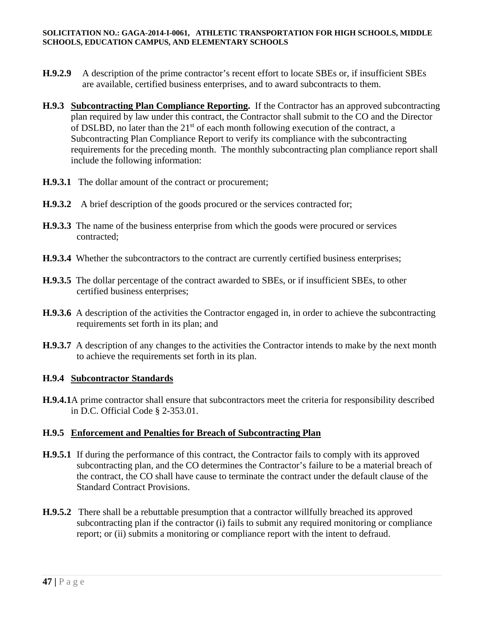- **H.9.2.9** A description of the prime contractor's recent effort to locate SBEs or, if insufficient SBEs are available, certified business enterprises, and to award subcontracts to them.
- **H.9.3 Subcontracting Plan Compliance Reporting.** If the Contractor has an approved subcontracting plan required by law under this contract, the Contractor shall submit to the CO and the Director of DSLBD, no later than the  $21<sup>st</sup>$  of each month following execution of the contract, a Subcontracting Plan Compliance Report to verify its compliance with the subcontracting requirements for the preceding month. The monthly subcontracting plan compliance report shall include the following information:
- **H.9.3.1** The dollar amount of the contract or procurement;
- **H.9.3.2** A brief description of the goods procured or the services contracted for;
- **H.9.3.3** The name of the business enterprise from which the goods were procured or services contracted;
- **H.9.3.4** Whether the subcontractors to the contract are currently certified business enterprises;
- **H.9.3.5** The dollar percentage of the contract awarded to SBEs, or if insufficient SBEs, to other certified business enterprises;
- **H.9.3.6** A description of the activities the Contractor engaged in, in order to achieve the subcontracting requirements set forth in its plan; and
- **H.9.3.7** A description of any changes to the activities the Contractor intends to make by the next month to achieve the requirements set forth in its plan.

#### **H.9.4 Subcontractor Standards**

**H.9.4.1**A prime contractor shall ensure that subcontractors meet the criteria for responsibility described in D.C. Official Code § 2-353.01.

## **H.9.5 Enforcement and Penalties for Breach of Subcontracting Plan**

- **H.9.5.1** If during the performance of this contract, the Contractor fails to comply with its approved subcontracting plan, and the CO determines the Contractor's failure to be a material breach of the contract, the CO shall have cause to terminate the contract under the default clause of the Standard Contract Provisions.
- **H.9.5.2** There shall be a rebuttable presumption that a contractor willfully breached its approved subcontracting plan if the contractor (i) fails to submit any required monitoring or compliance report; or (ii) submits a monitoring or compliance report with the intent to defraud.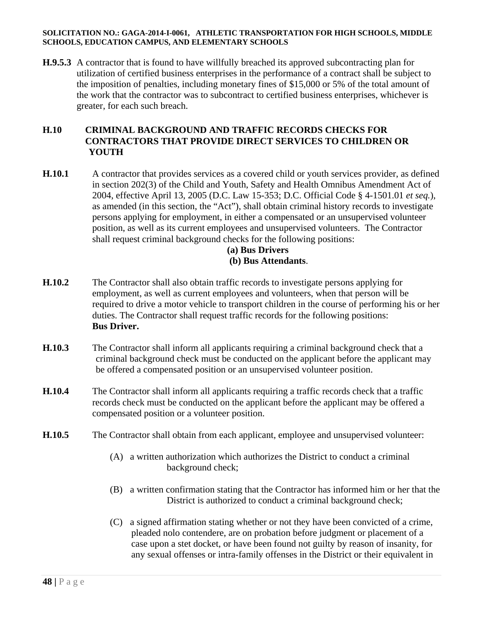**H.9.5.3** A contractor that is found to have willfully breached its approved subcontracting plan for utilization of certified business enterprises in the performance of a contract shall be subject to the imposition of penalties, including monetary fines of \$15,000 or 5% of the total amount of the work that the contractor was to subcontract to certified business enterprises, whichever is greater, for each such breach.

## **H.10 CRIMINAL BACKGROUND AND TRAFFIC RECORDS CHECKS FOR CONTRACTORS THAT PROVIDE DIRECT SERVICES TO CHILDREN OR YOUTH**

**H.10.1** A contractor that provides services as a covered child or youth services provider, as defined in section 202(3) of the Child and Youth, Safety and Health Omnibus Amendment Act of 2004, effective April 13, 2005 (D.C. Law 15-353; D.C. Official Code § 4-1501.01 *et seq.*), as amended (in this section, the "Act"), shall obtain criminal history records to investigate persons applying for employment, in either a compensated or an unsupervised volunteer position, as well as its current employees and unsupervised volunteers. The Contractor shall request criminal background checks for the following positions:

#### **(a) Bus Drivers (b) Bus Attendants**.

- **H.10.2** The Contractor shall also obtain traffic records to investigate persons applying for employment, as well as current employees and volunteers, when that person will be required to drive a motor vehicle to transport children in the course of performing his or her duties. The Contractor shall request traffic records for the following positions: **Bus Driver.**
- **H.10.3** The Contractor shall inform all applicants requiring a criminal background check that a criminal background check must be conducted on the applicant before the applicant may be offered a compensated position or an unsupervised volunteer position.
- **H.10.4** The Contractor shall inform all applicants requiring a traffic records check that a traffic records check must be conducted on the applicant before the applicant may be offered a compensated position or a volunteer position.
- **H.10.5** The Contractor shall obtain from each applicant, employee and unsupervised volunteer:
	- (A) a written authorization which authorizes the District to conduct a criminal background check;
	- (B) a written confirmation stating that the Contractor has informed him or her that the District is authorized to conduct a criminal background check;
	- (C) a signed affirmation stating whether or not they have been convicted of a crime, pleaded nolo contendere, are on probation before judgment or placement of a case upon a stet docket, or have been found not guilty by reason of insanity, for any sexual offenses or intra-family offenses in the District or their equivalent in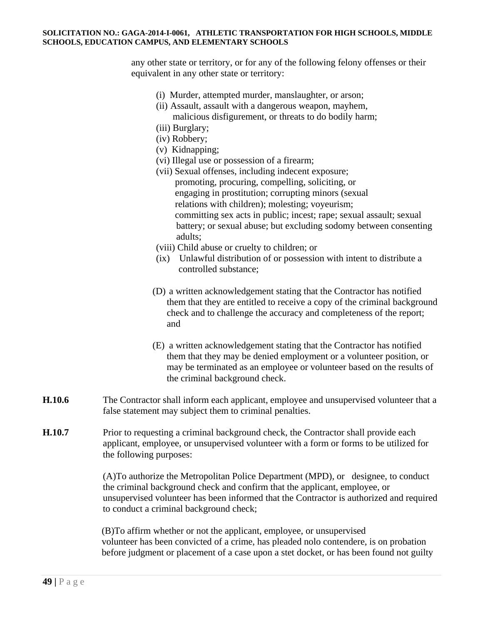any other state or territory, or for any of the following felony offenses or their equivalent in any other state or territory:

- (i) Murder, attempted murder, manslaughter, or arson;
- (ii) Assault, assault with a dangerous weapon, mayhem, malicious disfigurement, or threats to do bodily harm;
- (iii) Burglary;
- (iv) Robbery;
- (v) Kidnapping;
- (vi) Illegal use or possession of a firearm;
- (vii) Sexual offenses, including indecent exposure; promoting, procuring, compelling, soliciting, or engaging in prostitution; corrupting minors (sexual relations with children); molesting; voyeurism; committing sex acts in public; incest; rape; sexual assault; sexual battery; or sexual abuse; but excluding sodomy between consenting adults;
- (viii) Child abuse or cruelty to children; or
- (ix) Unlawful distribution of or possession with intent to distribute a controlled substance;
- (D) a written acknowledgement stating that the Contractor has notified them that they are entitled to receive a copy of the criminal background check and to challenge the accuracy and completeness of the report; and
- (E) a written acknowledgement stating that the Contractor has notified them that they may be denied employment or a volunteer position, or may be terminated as an employee or volunteer based on the results of the criminal background check.
- **H.10.6** The Contractor shall inform each applicant, employee and unsupervised volunteer that a false statement may subject them to criminal penalties.
- **H.10.7** Prior to requesting a criminal background check, the Contractor shall provide each applicant, employee, or unsupervised volunteer with a form or forms to be utilized for the following purposes:

 (A)To authorize the Metropolitan Police Department (MPD), or designee, to conduct the criminal background check and confirm that the applicant, employee, or unsupervised volunteer has been informed that the Contractor is authorized and required to conduct a criminal background check;

(B)To affirm whether or not the applicant, employee, or unsupervised volunteer has been convicted of a crime, has pleaded nolo contendere, is on probation before judgment or placement of a case upon a stet docket, or has been found not guilty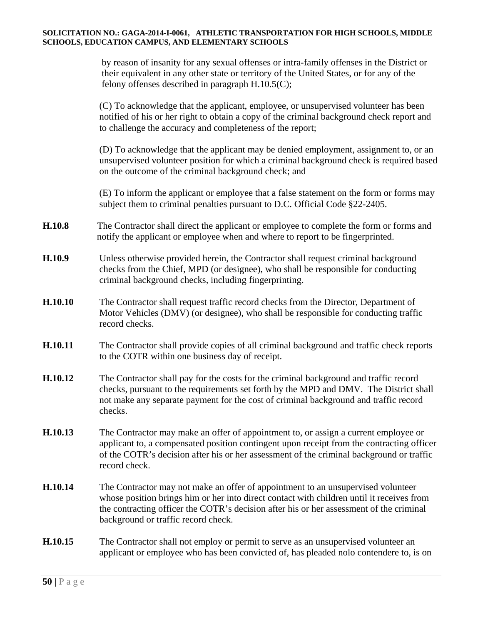by reason of insanity for any sexual offenses or intra-family offenses in the District or their equivalent in any other state or territory of the United States, or for any of the felony offenses described in paragraph H.10.5(C);

(C) To acknowledge that the applicant, employee, or unsupervised volunteer has been notified of his or her right to obtain a copy of the criminal background check report and to challenge the accuracy and completeness of the report;

(D) To acknowledge that the applicant may be denied employment, assignment to, or an unsupervised volunteer position for which a criminal background check is required based on the outcome of the criminal background check; and

(E) To inform the applicant or employee that a false statement on the form or forms may subject them to criminal penalties pursuant to D.C. Official Code §22-2405.

- **H.10.8** The Contractor shall direct the applicant or employee to complete the form or forms and notify the applicant or employee when and where to report to be fingerprinted.
- **H.10.9** Unless otherwise provided herein, the Contractor shall request criminal background checks from the Chief, MPD (or designee), who shall be responsible for conducting criminal background checks, including fingerprinting.
- **H.10.10** The Contractor shall request traffic record checks from the Director, Department of Motor Vehicles (DMV) (or designee), who shall be responsible for conducting traffic record checks.
- **H.10.11** The Contractor shall provide copies of all criminal background and traffic check reports to the COTR within one business day of receipt.
- **H.10.12** The Contractor shall pay for the costs for the criminal background and traffic record checks, pursuant to the requirements set forth by the MPD and DMV. The District shall not make any separate payment for the cost of criminal background and traffic record checks.
- **H.10.13** The Contractor may make an offer of appointment to, or assign a current employee or applicant to, a compensated position contingent upon receipt from the contracting officer of the COTR's decision after his or her assessment of the criminal background or traffic record check.
- **H.10.14** The Contractor may not make an offer of appointment to an unsupervised volunteer whose position brings him or her into direct contact with children until it receives from the contracting officer the COTR's decision after his or her assessment of the criminal background or traffic record check.
- **H.10.15** The Contractor shall not employ or permit to serve as an unsupervised volunteer an applicant or employee who has been convicted of, has pleaded nolo contendere to, is on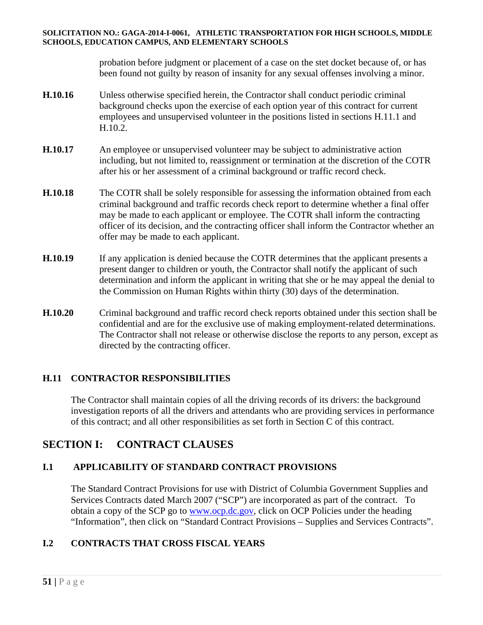probation before judgment or placement of a case on the stet docket because of, or has been found not guilty by reason of insanity for any sexual offenses involving a minor.

- **H.10.16** Unless otherwise specified herein, the Contractor shall conduct periodic criminal background checks upon the exercise of each option year of this contract for current employees and unsupervised volunteer in the positions listed in sections H.11.1 and H.10.2.
- **H.10.17** An employee or unsupervised volunteer may be subject to administrative action including, but not limited to, reassignment or termination at the discretion of the COTR after his or her assessment of a criminal background or traffic record check.
- **H.10.18** The COTR shall be solely responsible for assessing the information obtained from each criminal background and traffic records check report to determine whether a final offer may be made to each applicant or employee. The COTR shall inform the contracting officer of its decision, and the contracting officer shall inform the Contractor whether an offer may be made to each applicant.
- **H.10.19** If any application is denied because the COTR determines that the applicant presents a present danger to children or youth, the Contractor shall notify the applicant of such determination and inform the applicant in writing that she or he may appeal the denial to the Commission on Human Rights within thirty (30) days of the determination.
- **H.10.20** Criminal background and traffic record check reports obtained under this section shall be confidential and are for the exclusive use of making employment-related determinations. The Contractor shall not release or otherwise disclose the reports to any person, except as directed by the contracting officer.

## **H.11 CONTRACTOR RESPONSIBILITIES**

The Contractor shall maintain copies of all the driving records of its drivers: the background investigation reports of all the drivers and attendants who are providing services in performance of this contract; and all other responsibilities as set forth in Section C of this contract.

# **SECTION I: CONTRACT CLAUSES**

## **I.1 APPLICABILITY OF STANDARD CONTRACT PROVISIONS**

The Standard Contract Provisions for use with District of Columbia Government Supplies and Services Contracts dated March 2007 ("SCP") are incorporated as part of the contract. To obtain a copy of the SCP go to www.ocp.dc.gov, click on OCP Policies under the heading "Information", then click on "Standard Contract Provisions – Supplies and Services Contracts".

## **I.2 CONTRACTS THAT CROSS FISCAL YEARS**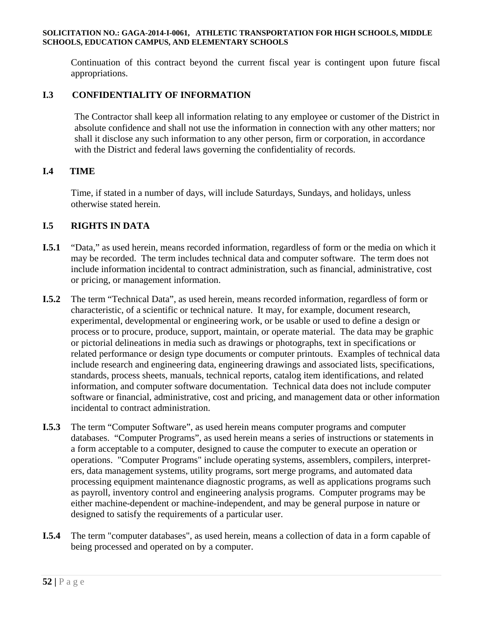Continuation of this contract beyond the current fiscal year is contingent upon future fiscal appropriations.

### **I.3 CONFIDENTIALITY OF INFORMATION**

The Contractor shall keep all information relating to any employee or customer of the District in absolute confidence and shall not use the information in connection with any other matters; nor shall it disclose any such information to any other person, firm or corporation, in accordance with the District and federal laws governing the confidentiality of records.

#### **I.4 TIME**

Time, if stated in a number of days, will include Saturdays, Sundays, and holidays, unless otherwise stated herein.

#### **I.5 RIGHTS IN DATA**

- **I.5.1** "Data," as used herein, means recorded information, regardless of form or the media on which it may be recorded. The term includes technical data and computer software. The term does not include information incidental to contract administration, such as financial, administrative, cost or pricing, or management information.
- **I.5.2** The term "Technical Data", as used herein, means recorded information, regardless of form or characteristic, of a scientific or technical nature. It may, for example, document research, experimental, developmental or engineering work, or be usable or used to define a design or process or to procure, produce, support, maintain, or operate material. The data may be graphic or pictorial delineations in media such as drawings or photographs, text in specifications or related performance or design type documents or computer printouts. Examples of technical data include research and engineering data, engineering drawings and associated lists, specifications, standards, process sheets, manuals, technical reports, catalog item identifications, and related information, and computer software documentation. Technical data does not include computer software or financial, administrative, cost and pricing, and management data or other information incidental to contract administration.
- **I.5.3** The term "Computer Software", as used herein means computer programs and computer databases. "Computer Programs", as used herein means a series of instructions or statements in a form acceptable to a computer, designed to cause the computer to execute an operation or operations. "Computer Programs" include operating systems, assemblers, compilers, interpreters, data management systems, utility programs, sort merge programs, and automated data processing equipment maintenance diagnostic programs, as well as applications programs such as payroll, inventory control and engineering analysis programs. Computer programs may be either machine-dependent or machine-independent, and may be general purpose in nature or designed to satisfy the requirements of a particular user.
- **I.5.4** The term "computer databases", as used herein, means a collection of data in a form capable of being processed and operated on by a computer.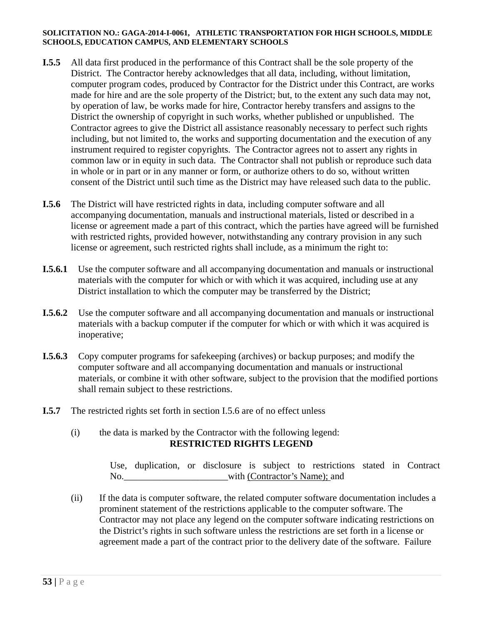- **I.5.5** All data first produced in the performance of this Contract shall be the sole property of the District. The Contractor hereby acknowledges that all data, including, without limitation, computer program codes, produced by Contractor for the District under this Contract, are works made for hire and are the sole property of the District; but, to the extent any such data may not, by operation of law, be works made for hire, Contractor hereby transfers and assigns to the District the ownership of copyright in such works, whether published or unpublished. The Contractor agrees to give the District all assistance reasonably necessary to perfect such rights including, but not limited to, the works and supporting documentation and the execution of any instrument required to register copyrights. The Contractor agrees not to assert any rights in common law or in equity in such data. The Contractor shall not publish or reproduce such data in whole or in part or in any manner or form, or authorize others to do so, without written consent of the District until such time as the District may have released such data to the public.
- **I.5.6** The District will have restricted rights in data, including computer software and all accompanying documentation, manuals and instructional materials, listed or described in a license or agreement made a part of this contract, which the parties have agreed will be furnished with restricted rights, provided however, notwithstanding any contrary provision in any such license or agreement, such restricted rights shall include, as a minimum the right to:
- **I.5.6.1** Use the computer software and all accompanying documentation and manuals or instructional materials with the computer for which or with which it was acquired, including use at any District installation to which the computer may be transferred by the District;
- **I.5.6.2** Use the computer software and all accompanying documentation and manuals or instructional materials with a backup computer if the computer for which or with which it was acquired is inoperative;
- **I.5.6.3** Copy computer programs for safekeeping (archives) or backup purposes; and modify the computer software and all accompanying documentation and manuals or instructional materials, or combine it with other software, subject to the provision that the modified portions shall remain subject to these restrictions.
- **I.5.7** The restricted rights set forth in section I.5.6 are of no effect unless
	- (i) the data is marked by the Contractor with the following legend: **RESTRICTED RIGHTS LEGEND**

Use, duplication, or disclosure is subject to restrictions stated in Contract No. with (Contractor's Name); and

(ii) If the data is computer software, the related computer software documentation includes a prominent statement of the restrictions applicable to the computer software. The Contractor may not place any legend on the computer software indicating restrictions on the District's rights in such software unless the restrictions are set forth in a license or agreement made a part of the contract prior to the delivery date of the software. Failure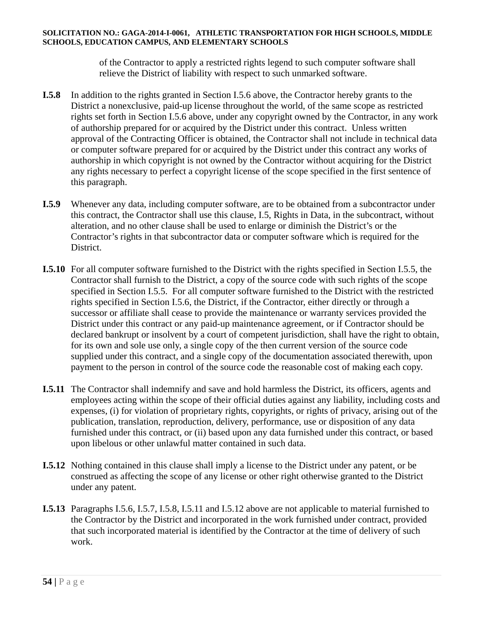of the Contractor to apply a restricted rights legend to such computer software shall relieve the District of liability with respect to such unmarked software.

- **I.5.8** In addition to the rights granted in Section I.5.6 above, the Contractor hereby grants to the District a nonexclusive, paid-up license throughout the world, of the same scope as restricted rights set forth in Section I.5.6 above, under any copyright owned by the Contractor, in any work of authorship prepared for or acquired by the District under this contract. Unless written approval of the Contracting Officer is obtained, the Contractor shall not include in technical data or computer software prepared for or acquired by the District under this contract any works of authorship in which copyright is not owned by the Contractor without acquiring for the District any rights necessary to perfect a copyright license of the scope specified in the first sentence of this paragraph.
- **I.5.9** Whenever any data, including computer software, are to be obtained from a subcontractor under this contract, the Contractor shall use this clause, I.5, Rights in Data, in the subcontract, without alteration, and no other clause shall be used to enlarge or diminish the District's or the Contractor's rights in that subcontractor data or computer software which is required for the District.
- **I.5.10** For all computer software furnished to the District with the rights specified in Section I.5.5, the Contractor shall furnish to the District, a copy of the source code with such rights of the scope specified in Section I.5.5. For all computer software furnished to the District with the restricted rights specified in Section I.5.6, the District, if the Contractor, either directly or through a successor or affiliate shall cease to provide the maintenance or warranty services provided the District under this contract or any paid-up maintenance agreement, or if Contractor should be declared bankrupt or insolvent by a court of competent jurisdiction, shall have the right to obtain, for its own and sole use only, a single copy of the then current version of the source code supplied under this contract, and a single copy of the documentation associated therewith, upon payment to the person in control of the source code the reasonable cost of making each copy.
- **I.5.11** The Contractor shall indemnify and save and hold harmless the District, its officers, agents and employees acting within the scope of their official duties against any liability, including costs and expenses, (i) for violation of proprietary rights, copyrights, or rights of privacy, arising out of the publication, translation, reproduction, delivery, performance, use or disposition of any data furnished under this contract, or (ii) based upon any data furnished under this contract, or based upon libelous or other unlawful matter contained in such data.
- **I.5.12** Nothing contained in this clause shall imply a license to the District under any patent, or be construed as affecting the scope of any license or other right otherwise granted to the District under any patent.
- **I.5.13** Paragraphs I.5.6, I.5.7, I.5.8, I.5.11 and I.5.12 above are not applicable to material furnished to the Contractor by the District and incorporated in the work furnished under contract, provided that such incorporated material is identified by the Contractor at the time of delivery of such work.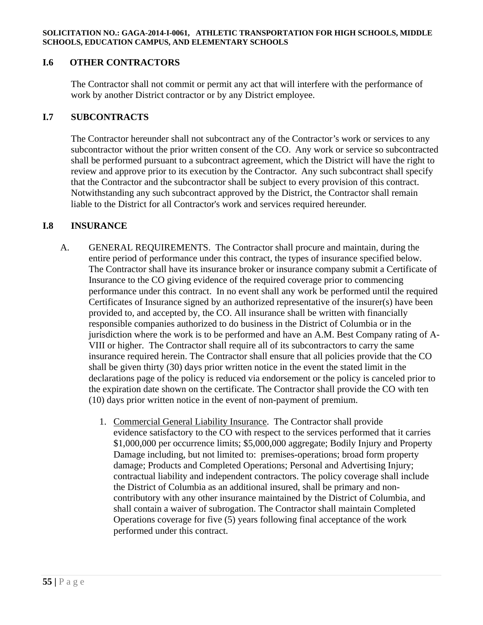### **I.6 OTHER CONTRACTORS**

The Contractor shall not commit or permit any act that will interfere with the performance of work by another District contractor or by any District employee.

### **I.7 SUBCONTRACTS**

The Contractor hereunder shall not subcontract any of the Contractor's work or services to any subcontractor without the prior written consent of the CO. Any work or service so subcontracted shall be performed pursuant to a subcontract agreement, which the District will have the right to review and approve prior to its execution by the Contractor. Any such subcontract shall specify that the Contractor and the subcontractor shall be subject to every provision of this contract. Notwithstanding any such subcontract approved by the District, the Contractor shall remain liable to the District for all Contractor's work and services required hereunder.

#### **I.8 INSURANCE**

- A. GENERAL REQUIREMENTS. The Contractor shall procure and maintain, during the entire period of performance under this contract, the types of insurance specified below. The Contractor shall have its insurance broker or insurance company submit a Certificate of Insurance to the CO giving evidence of the required coverage prior to commencing performance under this contract. In no event shall any work be performed until the required Certificates of Insurance signed by an authorized representative of the insurer(s) have been provided to, and accepted by, the CO. All insurance shall be written with financially responsible companies authorized to do business in the District of Columbia or in the jurisdiction where the work is to be performed and have an A.M. Best Company rating of A-VIII or higher. The Contractor shall require all of its subcontractors to carry the same insurance required herein. The Contractor shall ensure that all policies provide that the CO shall be given thirty (30) days prior written notice in the event the stated limit in the declarations page of the policy is reduced via endorsement or the policy is canceled prior to the expiration date shown on the certificate. The Contractor shall provide the CO with ten (10) days prior written notice in the event of non-payment of premium.
	- 1. Commercial General Liability Insurance. The Contractor shall provide evidence satisfactory to the CO with respect to the services performed that it carries \$1,000,000 per occurrence limits; \$5,000,000 aggregate; Bodily Injury and Property Damage including, but not limited to: premises-operations; broad form property damage; Products and Completed Operations; Personal and Advertising Injury; contractual liability and independent contractors. The policy coverage shall include the District of Columbia as an additional insured, shall be primary and noncontributory with any other insurance maintained by the District of Columbia, and shall contain a waiver of subrogation. The Contractor shall maintain Completed Operations coverage for five (5) years following final acceptance of the work performed under this contract.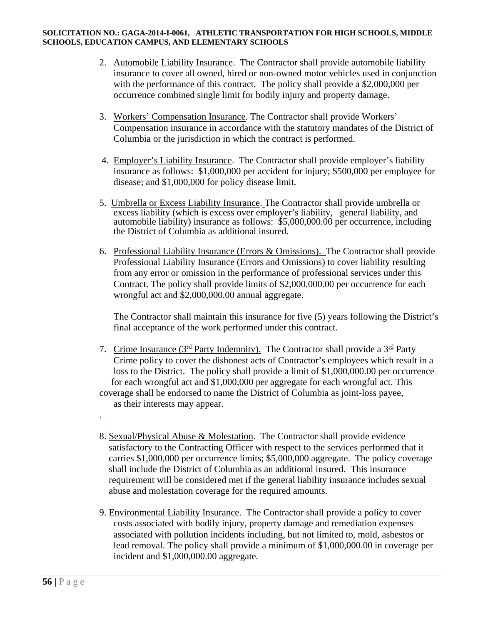- 2. Automobile Liability Insurance. The Contractor shall provide automobile liability insurance to cover all owned, hired or non-owned motor vehicles used in conjunction with the performance of this contract. The policy shall provide a \$2,000,000 per occurrence combined single limit for bodily injury and property damage.
- 3. Workers' Compensation Insurance. The Contractor shall provide Workers' Compensation insurance in accordance with the statutory mandates of the District of Columbia or the jurisdiction in which the contract is performed.
- 4. Employer's Liability Insurance. The Contractor shall provide employer's liability insurance as follows: \$1,000,000 per accident for injury; \$500,000 per employee for disease; and \$1,000,000 for policy disease limit.
- 5. Umbrella or Excess Liability Insurance. The Contractor shall provide umbrella or excess liability (which is excess over employer's liability, general liability, and automobile liability) insurance as follows: \$5,000,000.00 per occurrence, including the District of Columbia as additional insured.
- 6. Professional Liability Insurance (Errors & Omissions). The Contractor shall provide Professional Liability Insurance (Errors and Omissions) to cover liability resulting from any error or omission in the performance of professional services under this Contract. The policy shall provide limits of \$2,000,000.00 per occurrence for each wrongful act and \$2,000,000.00 annual aggregate.

The Contractor shall maintain this insurance for five (5) years following the District's final acceptance of the work performed under this contract.

- 7. Crime Insurance ( $3<sup>rd</sup>$  Party Indemnity). The Contractor shall provide a  $3<sup>rd</sup>$  Party Crime policy to cover the dishonest acts of Contractor's employees which result in a loss to the District. The policy shall provide a limit of \$1,000,000.00 per occurrence for each wrongful act and \$1,000,000 per aggregate for each wrongful act. This coverage shall be endorsed to name the District of Columbia as joint-loss payee,
	- as their interests may appear.

.

- 8. Sexual/Physical Abuse & Molestation. The Contractor shall provide evidence satisfactory to the Contracting Officer with respect to the services performed that it carries \$1,000,000 per occurrence limits; \$5,000,000 aggregate. The policy coverage shall include the District of Columbia as an additional insured. This insurance requirement will be considered met if the general liability insurance includes sexual abuse and molestation coverage for the required amounts.
- 9. Environmental Liability Insurance.The Contractor shall provide a policy to cover costs associated with bodily injury, property damage and remediation expenses associated with pollution incidents including, but not limited to, mold, asbestos or lead removal. The policy shall provide a minimum of \$1,000,000.00 in coverage per incident and \$1,000,000.00 aggregate.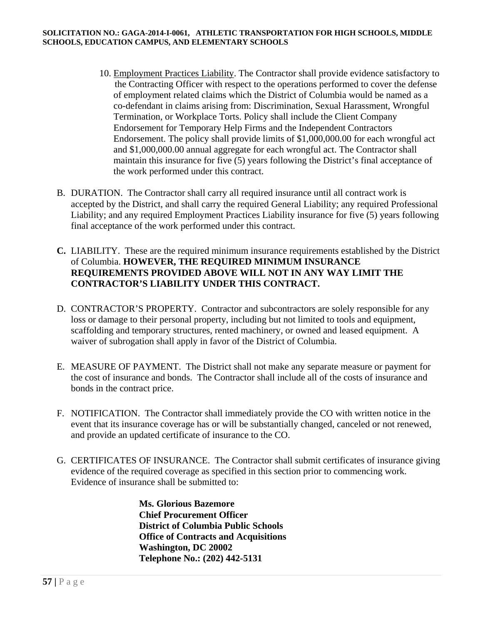- 10. Employment Practices Liability. The Contractor shall provide evidence satisfactory to the Contracting Officer with respect to the operations performed to cover the defense of employment related claims which the District of Columbia would be named as a co-defendant in claims arising from: Discrimination, Sexual Harassment, Wrongful Termination, or Workplace Torts. Policy shall include the Client Company Endorsement for Temporary Help Firms and the Independent Contractors Endorsement. The policy shall provide limits of \$1,000,000.00 for each wrongful act and \$1,000,000.00 annual aggregate for each wrongful act. The Contractor shall maintain this insurance for five (5) years following the District's final acceptance of the work performed under this contract.
- B. DURATION. The Contractor shall carry all required insurance until all contract work is accepted by the District, and shall carry the required General Liability; any required Professional Liability; and any required Employment Practices Liability insurance for five (5) years following final acceptance of the work performed under this contract.
- **C.** LIABILITY. These are the required minimum insurance requirements established by the District of Columbia. **HOWEVER, THE REQUIRED MINIMUM INSURANCE REQUIREMENTS PROVIDED ABOVE WILL NOT IN ANY WAY LIMIT THE CONTRACTOR'S LIABILITY UNDER THIS CONTRACT.**
- D. CONTRACTOR'S PROPERTY. Contractor and subcontractors are solely responsible for any loss or damage to their personal property, including but not limited to tools and equipment, scaffolding and temporary structures, rented machinery, or owned and leased equipment. A waiver of subrogation shall apply in favor of the District of Columbia.
- E. MEASURE OF PAYMENT. The District shall not make any separate measure or payment for the cost of insurance and bonds. The Contractor shall include all of the costs of insurance and bonds in the contract price.
- F. NOTIFICATION. The Contractor shall immediately provide the CO with written notice in the event that its insurance coverage has or will be substantially changed, canceled or not renewed, and provide an updated certificate of insurance to the CO.
- G. CERTIFICATES OF INSURANCE. The Contractor shall submit certificates of insurance giving evidence of the required coverage as specified in this section prior to commencing work. Evidence of insurance shall be submitted to:

 **Ms. Glorious Bazemore Chief Procurement Officer District of Columbia Public Schools Office of Contracts and Acquisitions Washington, DC 20002 Telephone No.: (202) 442-5131**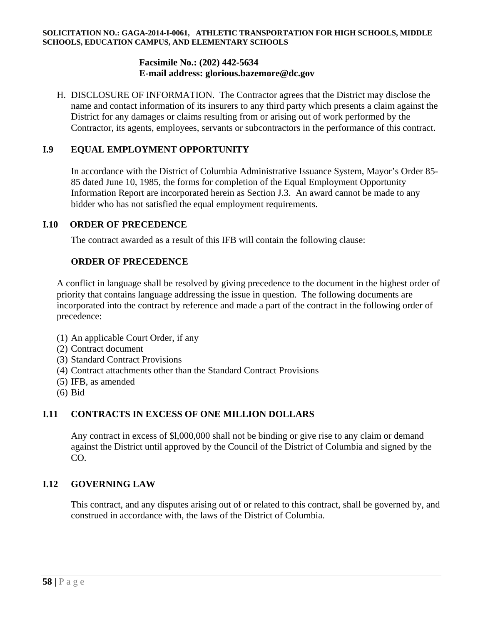### **Facsimile No.: (202) 442-5634 E-mail address: glorious.bazemore@dc.gov**

H. DISCLOSURE OF INFORMATION.The Contractor agrees that the District may disclose the name and contact information of its insurers to any third party which presents a claim against the District for any damages or claims resulting from or arising out of work performed by the Contractor, its agents, employees, servants or subcontractors in the performance of this contract.

## **I.9 EQUAL EMPLOYMENT OPPORTUNITY**

In accordance with the District of Columbia Administrative Issuance System, Mayor's Order 85- 85 dated June 10, 1985, the forms for completion of the Equal Employment Opportunity Information Report are incorporated herein as Section J.3. An award cannot be made to any bidder who has not satisfied the equal employment requirements.

### **I.10 ORDER OF PRECEDENCE**

The contract awarded as a result of this IFB will contain the following clause:

### **ORDER OF PRECEDENCE**

A conflict in language shall be resolved by giving precedence to the document in the highest order of priority that contains language addressing the issue in question. The following documents are incorporated into the contract by reference and made a part of the contract in the following order of precedence:

- (1) An applicable Court Order, if any
- (2) Contract document
- (3) Standard Contract Provisions
- (4) Contract attachments other than the Standard Contract Provisions
- (5) IFB, as amended
- (6) Bid

## **I.11 CONTRACTS IN EXCESS OF ONE MILLION DOLLARS**

Any contract in excess of \$l,000,000 shall not be binding or give rise to any claim or demand against the District until approved by the Council of the District of Columbia and signed by the CO.

## **I.12 GOVERNING LAW**

This contract, and any disputes arising out of or related to this contract, shall be governed by, and construed in accordance with, the laws of the District of Columbia.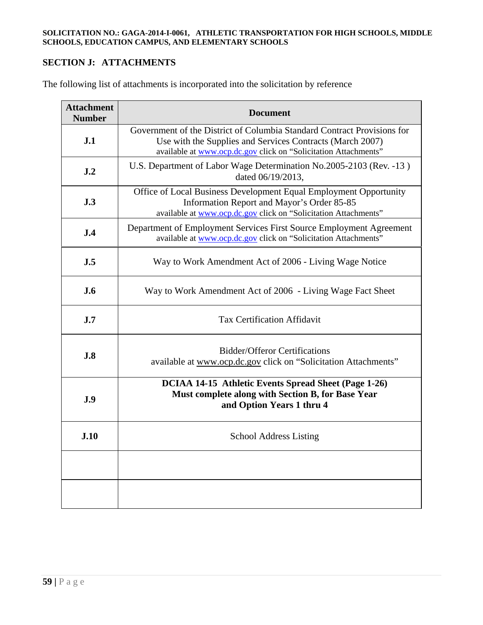# **SECTION J: ATTACHMENTS**

The following list of attachments is incorporated into the solicitation by reference

| <b>Attachment</b><br><b>Number</b> | <b>Document</b>                                                                                                                                                                                         |  |  |
|------------------------------------|---------------------------------------------------------------------------------------------------------------------------------------------------------------------------------------------------------|--|--|
| J.1                                | Government of the District of Columbia Standard Contract Provisions for<br>Use with the Supplies and Services Contracts (March 2007)<br>available at www.ocp.dc.gov click on "Solicitation Attachments" |  |  |
| J.2                                | U.S. Department of Labor Wage Determination No.2005-2103 (Rev. -13)<br>dated 06/19/2013,                                                                                                                |  |  |
| J.3                                | Office of Local Business Development Equal Employment Opportunity<br>Information Report and Mayor's Order 85-85<br>available at www.ocp.dc.gov click on "Solicitation Attachments"                      |  |  |
| J.4                                | Department of Employment Services First Source Employment Agreement<br>available at www.ocp.dc.gov click on "Solicitation Attachments"                                                                  |  |  |
| J.5                                | Way to Work Amendment Act of 2006 - Living Wage Notice                                                                                                                                                  |  |  |
| <b>J.6</b>                         | Way to Work Amendment Act of 2006 - Living Wage Fact Sheet                                                                                                                                              |  |  |
| J.7                                | <b>Tax Certification Affidavit</b>                                                                                                                                                                      |  |  |
| J.8                                | <b>Bidder/Offeror Certifications</b><br>available at www.ocp.dc.gov click on "Solicitation Attachments"                                                                                                 |  |  |
| J.9                                | DCIAA 14-15 Athletic Events Spread Sheet (Page 1-26)<br>Must complete along with Section B, for Base Year<br>and Option Years 1 thru 4                                                                  |  |  |
| J.10                               | <b>School Address Listing</b>                                                                                                                                                                           |  |  |
|                                    |                                                                                                                                                                                                         |  |  |
|                                    |                                                                                                                                                                                                         |  |  |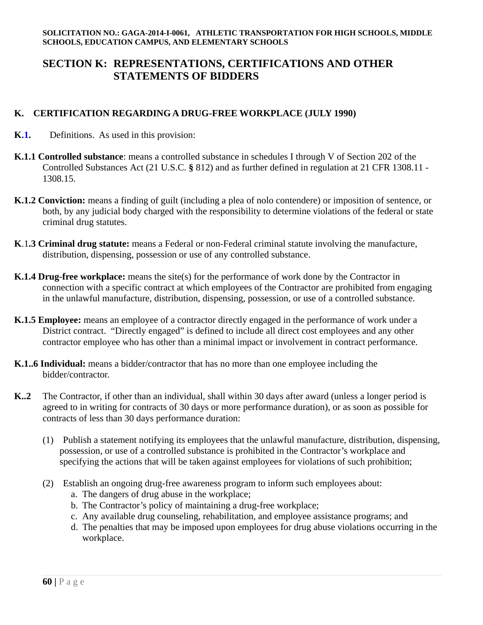# **SECTION K: REPRESENTATIONS, CERTIFICATIONS AND OTHER STATEMENTS OF BIDDERS**

## **K. CERTIFICATION REGARDING A DRUG-FREE WORKPLACE (JULY 1990)**

- **K.1.** Definitions. As used in this provision:
- **K.1.1 Controlled substance**: means a controlled substance in schedules I through V of Section 202 of the Controlled Substances Act (21 U.S.C. **§** 812) and as further defined in regulation at 21 CFR 1308.11 - 1308.15.
- **K.1.2 Conviction:** means a finding of guilt (including a plea of nolo contendere) or imposition of sentence, or both, by any judicial body charged with the responsibility to determine violations of the federal or state criminal drug statutes.
- **K**.1**.3 Criminal drug statute:** means a Federal or non-Federal criminal statute involving the manufacture, distribution, dispensing, possession or use of any controlled substance.
- **K.1.4 Drug-free workplace:** means the site(s) for the performance of work done by the Contractor in connection with a specific contract at which employees of the Contractor are prohibited from engaging in the unlawful manufacture, distribution, dispensing, possession, or use of a controlled substance.
- **K.1.5 Employee:** means an employee of a contractor directly engaged in the performance of work under a District contract. "Directly engaged" is defined to include all direct cost employees and any other contractor employee who has other than a minimal impact or involvement in contract performance.
- **K.1..6 Individual:** means a bidder/contractor that has no more than one employee including the bidder/contractor.
- **K..2** The Contractor, if other than an individual, shall within 30 days after award (unless a longer period is agreed to in writing for contracts of 30 days or more performance duration), or as soon as possible for contracts of less than 30 days performance duration:
	- (1) Publish a statement notifying its employees that the unlawful manufacture, distribution, dispensing, possession, or use of a controlled substance is prohibited in the Contractor's workplace and specifying the actions that will be taken against employees for violations of such prohibition;
	- (2) Establish an ongoing drug-free awareness program to inform such employees about:
		- a. The dangers of drug abuse in the workplace;
		- b. The Contractor's policy of maintaining a drug-free workplace;
		- c. Any available drug counseling, rehabilitation, and employee assistance programs; and
		- d. The penalties that may be imposed upon employees for drug abuse violations occurring in the workplace.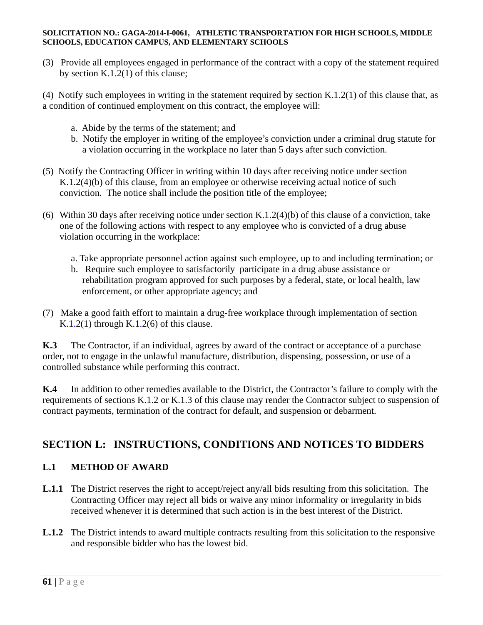(3) Provide all employees engaged in performance of the contract with a copy of the statement required by section K.1.2(1) of this clause;

(4) Notify such employees in writing in the statement required by section K.1.2(1) of this clause that, as a condition of continued employment on this contract, the employee will:

- a. Abide by the terms of the statement; and
- b. Notify the employer in writing of the employee's conviction under a criminal drug statute for a violation occurring in the workplace no later than 5 days after such conviction.
- (5) Notify the Contracting Officer in writing within 10 days after receiving notice under section K.1.2(4)(b) of this clause, from an employee or otherwise receiving actual notice of such conviction. The notice shall include the position title of the employee;
- (6) Within 30 days after receiving notice under section K.1.2(4)(b) of this clause of a conviction, take one of the following actions with respect to any employee who is convicted of a drug abuse violation occurring in the workplace:
	- a. Take appropriate personnel action against such employee, up to and including termination; or
	- b. Require such employee to satisfactorily participate in a drug abuse assistance or rehabilitation program approved for such purposes by a federal, state, or local health, law enforcement, or other appropriate agency; and
- (7) Make a good faith effort to maintain a drug-free workplace through implementation of section K.1.2(1) through K.1.2(6) of this clause.

**K.3** The Contractor, if an individual, agrees by award of the contract or acceptance of a purchase order, not to engage in the unlawful manufacture, distribution, dispensing, possession, or use of a controlled substance while performing this contract.

 **K.4** In addition to other remedies available to the District, the Contractor's failure to comply with the requirements of sections K.1.2 or K.1.3 of this clause may render the Contractor subject to suspension of contract payments, termination of the contract for default, and suspension or debarment.

# **SECTION L: INSTRUCTIONS, CONDITIONS AND NOTICES TO BIDDERS**

## **L.1 METHOD OF AWARD**

- **L.1.1** The District reserves the right to accept/reject any/all bids resulting from this solicitation. The Contracting Officer may reject all bids or waive any minor informality or irregularity in bids received whenever it is determined that such action is in the best interest of the District.
- **L.1.2** The District intends to award multiple contracts resulting from this solicitation to the responsive and responsible bidder who has the lowest bid.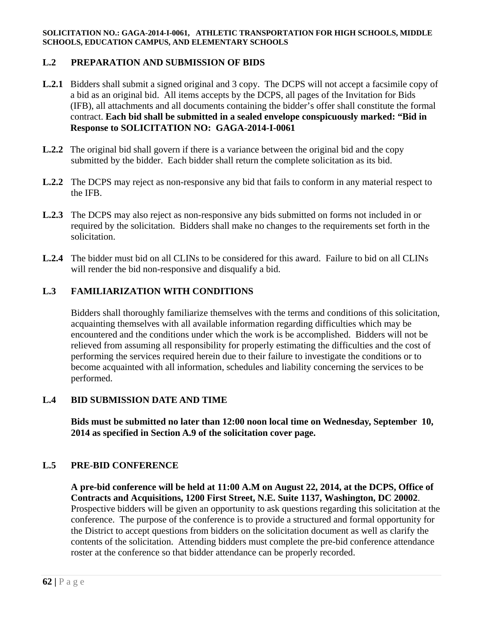## **L.2 PREPARATION AND SUBMISSION OF BIDS**

- **L.2.1** Bidders shall submit a signed original and 3 copy. The DCPS will not accept a facsimile copy of a bid as an original bid. All items accepts by the DCPS, all pages of the Invitation for Bids (IFB), all attachments and all documents containing the bidder's offer shall constitute the formal contract. **Each bid shall be submitted in a sealed envelope conspicuously marked: "Bid in Response to SOLICITATION NO: GAGA-2014-I-0061**
- **L.2.2** The original bid shall govern if there is a variance between the original bid and the copy submitted by the bidder. Each bidder shall return the complete solicitation as its bid.
- **L.2.2** The DCPS may reject as non-responsive any bid that fails to conform in any material respect to the IFB.
- **L.2.3** The DCPS may also reject as non-responsive any bids submitted on forms not included in or required by the solicitation. Bidders shall make no changes to the requirements set forth in the solicitation.
- **L.2.4** The bidder must bid on all CLINs to be considered for this award. Failure to bid on all CLINs will render the bid non-responsive and disqualify a bid.

### **L.3 FAMILIARIZATION WITH CONDITIONS**

Bidders shall thoroughly familiarize themselves with the terms and conditions of this solicitation, acquainting themselves with all available information regarding difficulties which may be encountered and the conditions under which the work is be accomplished. Bidders will not be relieved from assuming all responsibility for properly estimating the difficulties and the cost of performing the services required herein due to their failure to investigate the conditions or to become acquainted with all information, schedules and liability concerning the services to be performed.

### **L.4 BID SUBMISSION DATE AND TIME**

**Bids must be submitted no later than 12:00 noon local time on Wednesday, September 10, 2014 as specified in Section A.9 of the solicitation cover page.** 

#### **L.5 PRE-BID CONFERENCE**

 **A pre-bid conference will be held at 11:00 A.M on August 22, 2014, at the DCPS, Office of Contracts and Acquisitions, 1200 First Street, N.E. Suite 1137, Washington, DC 20002**. Prospective bidders will be given an opportunity to ask questions regarding this solicitation at the conference. The purpose of the conference is to provide a structured and formal opportunity for the District to accept questions from bidders on the solicitation document as well as clarify the contents of the solicitation. Attending bidders must complete the pre-bid conference attendance roster at the conference so that bidder attendance can be properly recorded.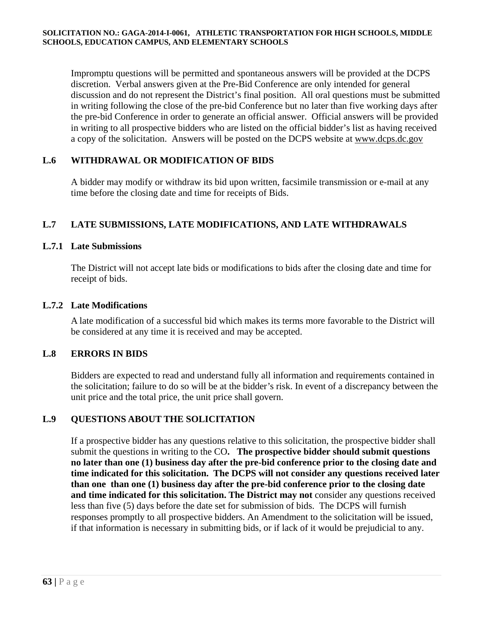Impromptu questions will be permitted and spontaneous answers will be provided at the DCPS discretion. Verbal answers given at the Pre-Bid Conference are only intended for general discussion and do not represent the District's final position. All oral questions must be submitted in writing following the close of the pre-bid Conference but no later than five working days after the pre-bid Conference in order to generate an official answer. Official answers will be provided in writing to all prospective bidders who are listed on the official bidder's list as having received a copy of the solicitation. Answers will be posted on the DCPS website at www.dcps.dc.gov

## **L.6 WITHDRAWAL OR MODIFICATION OF BIDS**

 A bidder may modify or withdraw its bid upon written, facsimile transmission or e-mail at any time before the closing date and time for receipts of Bids.

## **L.7 LATE SUBMISSIONS, LATE MODIFICATIONS, AND LATE WITHDRAWALS**

## **L.7.1 Late Submissions**

The District will not accept late bids or modifications to bids after the closing date and time for receipt of bids.

### **L.7.2 Late Modifications**

A late modification of a successful bid which makes its terms more favorable to the District will be considered at any time it is received and may be accepted.

## **L.8 ERRORS IN BIDS**

 Bidders are expected to read and understand fully all information and requirements contained in the solicitation; failure to do so will be at the bidder's risk. In event of a discrepancy between the unit price and the total price, the unit price shall govern.

## **L.9 QUESTIONS ABOUT THE SOLICITATION**

If a prospective bidder has any questions relative to this solicitation, the prospective bidder shall submit the questions in writing to the CO**. The prospective bidder should submit questions no later than one (1) business day after the pre-bid conference prior to the closing date and time indicated for this solicitation. The DCPS will not consider any questions received later than one than one (1) business day after the pre-bid conference prior to the closing date and time indicated for this solicitation. The District may not** consider any questions received less than five (5) days before the date set for submission of bids. The DCPS will furnish responses promptly to all prospective bidders. An Amendment to the solicitation will be issued, if that information is necessary in submitting bids, or if lack of it would be prejudicial to any.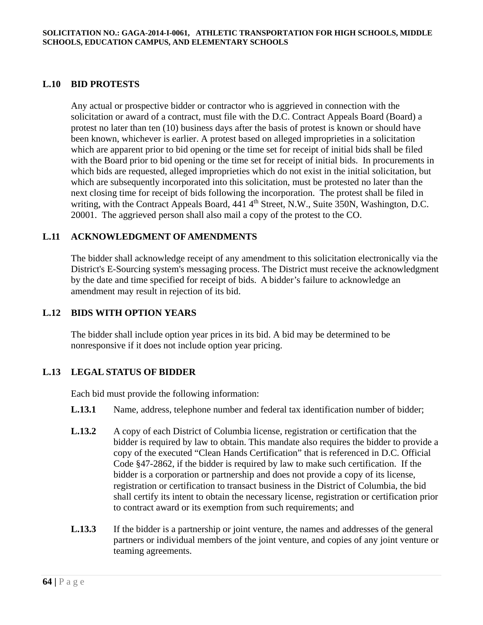### **L.10 BID PROTESTS**

Any actual or prospective bidder or contractor who is aggrieved in connection with the solicitation or award of a contract, must file with the D.C. Contract Appeals Board (Board) a protest no later than ten (10) business days after the basis of protest is known or should have been known, whichever is earlier. A protest based on alleged improprieties in a solicitation which are apparent prior to bid opening or the time set for receipt of initial bids shall be filed with the Board prior to bid opening or the time set for receipt of initial bids. In procurements in which bids are requested, alleged improprieties which do not exist in the initial solicitation, but which are subsequently incorporated into this solicitation, must be protested no later than the next closing time for receipt of bids following the incorporation. The protest shall be filed in writing, with the Contract Appeals Board, 441 4<sup>th</sup> Street, N.W., Suite 350N, Washington, D.C. 20001. The aggrieved person shall also mail a copy of the protest to the CO.

### **L.11 ACKNOWLEDGMENT OF AMENDMENTS**

The bidder shall acknowledge receipt of any amendment to this solicitation electronically via the District's E-Sourcing system's messaging process. The District must receive the acknowledgment by the date and time specified for receipt of bids. A bidder's failure to acknowledge an amendment may result in rejection of its bid.

### **L.12 BIDS WITH OPTION YEARS**

 The bidder shall include option year prices in its bid. A bid may be determined to be nonresponsive if it does not include option year pricing.

#### **L.13 LEGAL STATUS OF BIDDER**

Each bid must provide the following information:

- **L.13.1** Name, address, telephone number and federal tax identification number of bidder;
- **L.13.2** A copy of each District of Columbia license, registration or certification that the bidder is required by law to obtain. This mandate also requires the bidder to provide a copy of the executed "Clean Hands Certification" that is referenced in D.C. Official Code §47-2862, if the bidder is required by law to make such certification. If the bidder is a corporation or partnership and does not provide a copy of its license, registration or certification to transact business in the District of Columbia, the bid shall certify its intent to obtain the necessary license, registration or certification prior to contract award or its exemption from such requirements; and
- **L.13.3** If the bidder is a partnership or joint venture, the names and addresses of the general partners or individual members of the joint venture, and copies of any joint venture or teaming agreements.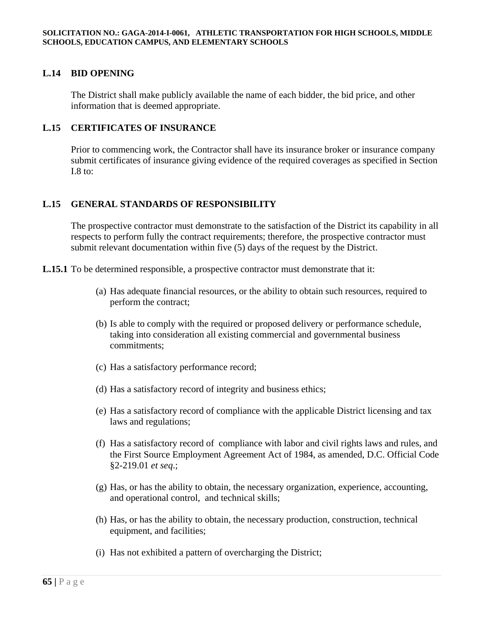## **L.14 BID OPENING**

The District shall make publicly available the name of each bidder, the bid price, and other information that is deemed appropriate.

#### **L.15 CERTIFICATES OF INSURANCE**

Prior to commencing work, the Contractor shall have its insurance broker or insurance company submit certificates of insurance giving evidence of the required coverages as specified in Section I.8 to:

## **L.15 GENERAL STANDARDS OF RESPONSIBILITY**

The prospective contractor must demonstrate to the satisfaction of the District its capability in all respects to perform fully the contract requirements; therefore, the prospective contractor must submit relevant documentation within five (5) days of the request by the District.

**L.15.1** To be determined responsible, a prospective contractor must demonstrate that it:

- (a) Has adequate financial resources, or the ability to obtain such resources, required to perform the contract;
- (b) Is able to comply with the required or proposed delivery or performance schedule, taking into consideration all existing commercial and governmental business commitments;
- (c) Has a satisfactory performance record;
- (d) Has a satisfactory record of integrity and business ethics;
- (e) Has a satisfactory record of compliance with the applicable District licensing and tax laws and regulations;
- (f) Has a satisfactory record of compliance with labor and civil rights laws and rules, and the First Source Employment Agreement Act of 1984, as amended, D.C. Official Code §2-219.01 *et seq*.;
- (g) Has, or has the ability to obtain, the necessary organization, experience, accounting, and operational control, and technical skills;
- (h) Has, or has the ability to obtain, the necessary production, construction, technical equipment, and facilities;
- (i) Has not exhibited a pattern of overcharging the District;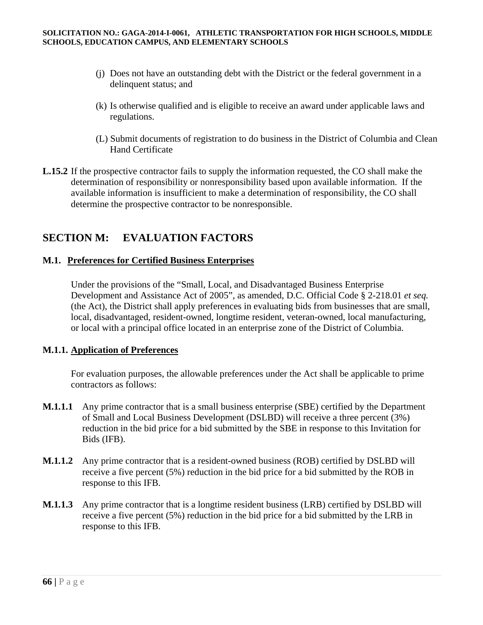- (j) Does not have an outstanding debt with the District or the federal government in a delinquent status; and
- (k) Is otherwise qualified and is eligible to receive an award under applicable laws and regulations.
- (L) Submit documents of registration to do business in the District of Columbia and Clean Hand Certificate
- **L.15.2** If the prospective contractor fails to supply the information requested, the CO shall make the determination of responsibility or nonresponsibility based upon available information. If the available information is insufficient to make a determination of responsibility, the CO shall determine the prospective contractor to be nonresponsible.

# **SECTION M: EVALUATION FACTORS**

## **M.1. Preferences for Certified Business Enterprises**

 Under the provisions of the "Small, Local, and Disadvantaged Business Enterprise Development and Assistance Act of 2005", as amended, D.C. Official Code § 2-218.01 *et seq.* (the Act), the District shall apply preferences in evaluating bids from businesses that are small, local, disadvantaged, resident-owned, longtime resident, veteran-owned, local manufacturing, or local with a principal office located in an enterprise zone of the District of Columbia.

## **M.1.1. Application of Preferences**

For evaluation purposes, the allowable preferences under the Act shall be applicable to prime contractors as follows:

- **M.1***.***1.1** Any prime contractor that is a small business enterprise (SBE) certified by the Department of Small and Local Business Development (DSLBD) will receive a three percent (3%) reduction in the bid price for a bid submitted by the SBE in response to this Invitation for Bids (IFB).
- **M.1***.***1.2** Any prime contractor that is a resident-owned business (ROB) certified by DSLBD will receive a five percent (5%) reduction in the bid price for a bid submitted by the ROB in response to this IFB.
- **M.1***.***1.3** Any prime contractor that is a longtime resident business (LRB) certified by DSLBD will receive a five percent (5%) reduction in the bid price for a bid submitted by the LRB in response to this IFB.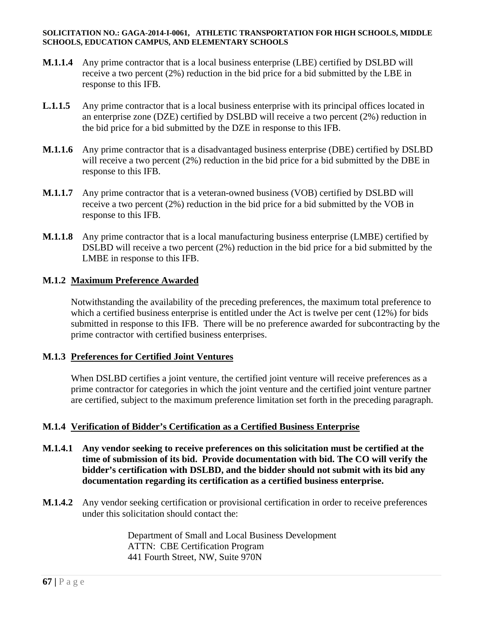- **M.1.1.4** Any prime contractor that is a local business enterprise (LBE) certified by DSLBD will receive a two percent (2%) reduction in the bid price for a bid submitted by the LBE in response to this IFB.
- **L.1***.***1.5** Any prime contractor that is a local business enterprise with its principal offices located in an enterprise zone (DZE) certified by DSLBD will receive a two percent (2%) reduction in the bid price for a bid submitted by the DZE in response to this IFB.
- **M.1***.***1.6** Any prime contractor that is a disadvantaged business enterprise (DBE) certified by DSLBD will receive a two percent (2%) reduction in the bid price for a bid submitted by the DBE in response to this IFB.
- **M.1***.***1.7** Any prime contractor that is a veteran-owned business (VOB) certified by DSLBD will receive a two percent (2%) reduction in the bid price for a bid submitted by the VOB in response to this IFB.
- **M.1***.***1.8** Any prime contractor that is a local manufacturing business enterprise (LMBE) certified by DSLBD will receive a two percent (2%) reduction in the bid price for a bid submitted by the LMBE in response to this IFB.

## **M.1.2 Maximum Preference Awarded**

 Notwithstanding the availability of the preceding preferences, the maximum total preference to which a certified business enterprise is entitled under the Act is twelve per cent (12%) for bids submitted in response to this IFB. There will be no preference awarded for subcontracting by the prime contractor with certified business enterprises.

## **M.1***.***3 Preferences for Certified Joint Ventures**

When DSLBD certifies a joint venture, the certified joint venture will receive preferences as a prime contractor for categories in which the joint venture and the certified joint venture partner are certified, subject to the maximum preference limitation set forth in the preceding paragraph.

## **M.1***.***4 Verification of Bidder's Certification as a Certified Business Enterprise**

- **M.1***.***4.1 Any vendor seeking to receive preferences on this solicitation must be certified at the time of submission of its bid. Provide documentation with bid. The CO will verify the bidder's certification with DSLBD, and the bidder should not submit with its bid any documentation regarding its certification as a certified business enterprise.**
- **M.1.4.2** Any vendor seeking certification or provisional certification in order to receive preferences under this solicitation should contact the:

 Department of Small and Local Business Development ATTN: CBE Certification Program 441 Fourth Street, NW, Suite 970N